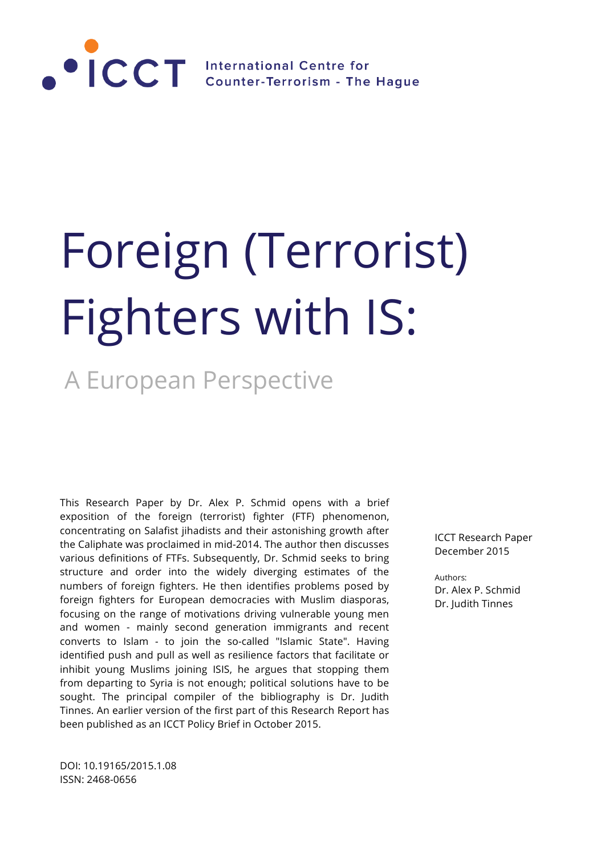

# Foreign (Terrorist) Fighters with IS:

# A European Perspective

This Research Paper by Dr. Alex P. Schmid opens with a brief exposition of the foreign (terrorist) fighter (FTF) phenomenon, concentrating on Salafist jihadists and their astonishing growth after the Caliphate was proclaimed in mid-2014. The author then discusses various definitions of FTFs. Subsequently, Dr. Schmid seeks to bring structure and order into the widely diverging estimates of the numbers of foreign fighters. He then identifies problems posed by foreign fighters for European democracies with Muslim diasporas, focusing on the range of motivations driving vulnerable young men and women - mainly second generation immigrants and recent converts to Islam - to join the so-called "Islamic State". Having identified push and pull as well as resilience factors that facilitate or inhibit young Muslims joining ISIS, he argues that stopping them from departing to Syria is not enough; political solutions have to be sought. The principal compiler of the bibliography is Dr. Judith Tinnes. An earlier version of the first part of this Research Report has been published as an ICCT Policy Brief in October 2015.

DOI: 10.19165/2015.1.08 ISSN: 2468-0656

ICCT Research Paper December 2015

Authors: Dr. Alex P. Schmid Dr. Judith Tinnes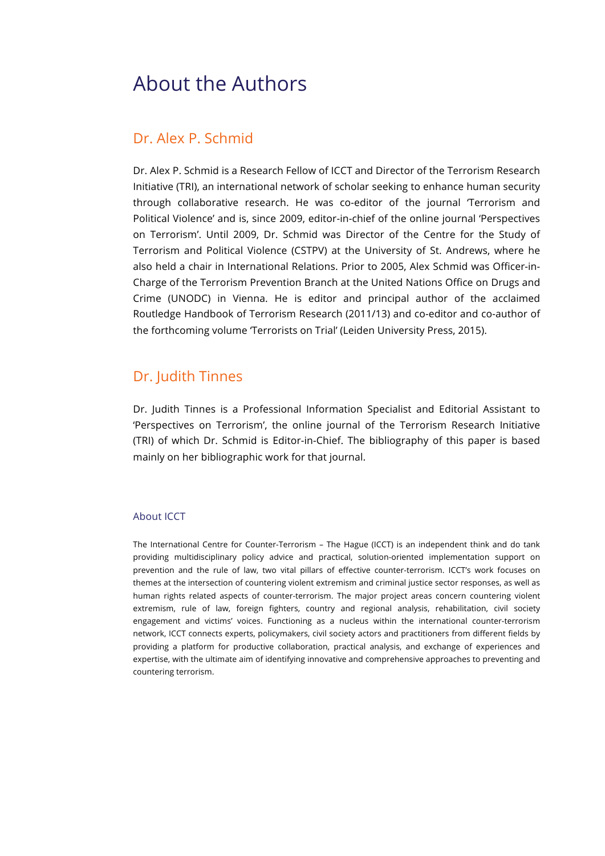## About the Authors

## Dr. Alex P. Schmid

Dr. Alex P. Schmid is a Research Fellow of ICCT and Director of the Terrorism Research Initiative (TRI), an international network of scholar seeking to enhance human security through collaborative research. He was co-editor of the journal 'Terrorism and Political Violence' and is, since 2009, editor-in-chief of the online journal 'Perspectives on Terrorism'. Until 2009, Dr. Schmid was Director of the Centre for the Study of Terrorism and Political Violence (CSTPV) at the University of St. Andrews, where he also held a chair in International Relations. Prior to 2005, Alex Schmid was Officer-in-Charge of the Terrorism Prevention Branch at the United Nations Office on Drugs and Crime (UNODC) in Vienna. He is editor and principal author of the acclaimed Routledge Handbook of Terrorism Research (2011/13) and co-editor and co-author of the forthcoming volume 'Terrorists on Trial' (Leiden University Press, 2015).

#### Dr. Judith Tinnes

Dr. Judith Tinnes is a Professional Information Specialist and Editorial Assistant to 'Perspectives on Terrorism', the online journal of the Terrorism Research Initiative (TRI) of which Dr. Schmid is Editor-in-Chief. The bibliography of this paper is based mainly on her bibliographic work for that journal.

#### About ICCT

The International Centre for Counter-Terrorism – The Hague (ICCT) is an independent think and do tank providing multidisciplinary policy advice and practical, solution-oriented implementation support on prevention and the rule of law, two vital pillars of effective counter-terrorism. ICCT's work focuses on themes at the intersection of countering violent extremism and criminal justice sector responses, as well as human rights related aspects of counter-terrorism. The major project areas concern countering violent extremism, rule of law, foreign fighters, country and regional analysis, rehabilitation, civil society engagement and victims' voices. Functioning as a nucleus within the international counter-terrorism network, ICCT connects experts, policymakers, civil society actors and practitioners from different fields by providing a platform for productive collaboration, practical analysis, and exchange of experiences and expertise, with the ultimate aim of identifying innovative and comprehensive approaches to preventing and countering terrorism.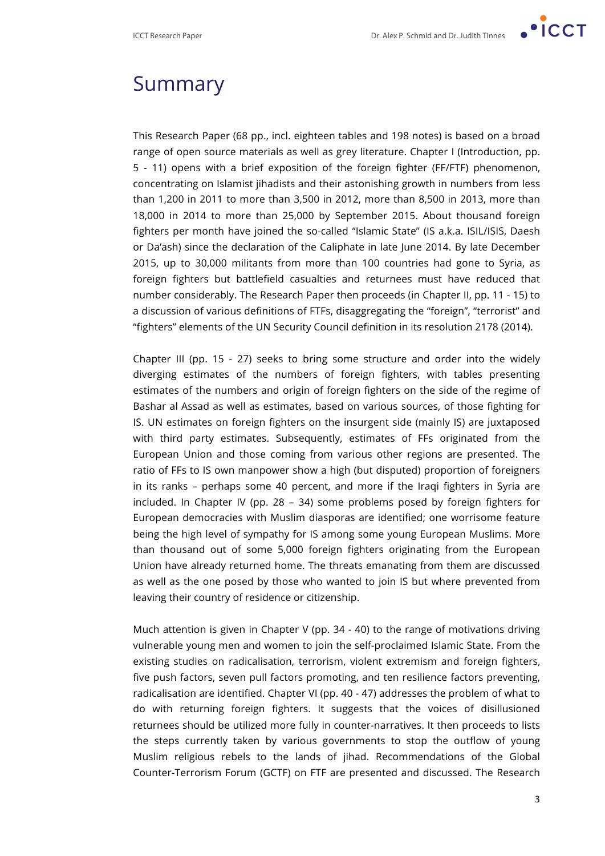

## Summary

This Research Paper (68 pp., incl. eighteen tables and 198 notes) is based on a broad range of open source materials as well as grey literature. Chapter I (Introduction, pp. 5 - 11) opens with a brief exposition of the foreign fighter (FF/FTF) phenomenon, concentrating on Islamist jihadists and their astonishing growth in numbers from less than 1,200 in 2011 to more than 3,500 in 2012, more than 8,500 in 2013, more than 18,000 in 2014 to more than 25,000 by September 2015. About thousand foreign fighters per month have joined the so-called "Islamic State" (IS a.k.a. ISIL/ISIS, Daesh or Da'ash) since the declaration of the Caliphate in late June 2014. By late December 2015, up to 30,000 militants from more than 100 countries had gone to Syria, as foreign fighters but battlefield casualties and returnees must have reduced that number considerably. The Research Paper then proceeds (in Chapter II, pp. 11 - 15) to a discussion of various definitions of FTFs, disaggregating the "foreign", "terrorist" and "fighters" elements of the UN Security Council definition in its resolution 2178 (2014).

Chapter III (pp. 15 - 27) seeks to bring some structure and order into the widely diverging estimates of the numbers of foreign fighters, with tables presenting estimates of the numbers and origin of foreign fighters on the side of the regime of Bashar al Assad as well as estimates, based on various sources, of those fighting for IS. UN estimates on foreign fighters on the insurgent side (mainly IS) are juxtaposed with third party estimates. Subsequently, estimates of FFs originated from the European Union and those coming from various other regions are presented. The ratio of FFs to IS own manpower show a high (but disputed) proportion of foreigners in its ranks – perhaps some 40 percent, and more if the Iraqi fighters in Syria are included. In Chapter IV (pp. 28 – 34) some problems posed by foreign fighters for European democracies with Muslim diasporas are identified; one worrisome feature being the high level of sympathy for IS among some young European Muslims. More than thousand out of some 5,000 foreign fighters originating from the European Union have already returned home. The threats emanating from them are discussed as well as the one posed by those who wanted to join IS but where prevented from leaving their country of residence or citizenship.

Much attention is given in Chapter V (pp. 34 - 40) to the range of motivations driving vulnerable young men and women to join the self-proclaimed Islamic State. From the existing studies on radicalisation, terrorism, violent extremism and foreign fighters, five push factors, seven pull factors promoting, and ten resilience factors preventing, radicalisation are identified. Chapter VI (pp. 40 - 47) addresses the problem of what to do with returning foreign fighters. It suggests that the voices of disillusioned returnees should be utilized more fully in counter-narratives. It then proceeds to lists the steps currently taken by various governments to stop the outflow of young Muslim religious rebels to the lands of jihad. Recommendations of the Global Counter-Terrorism Forum (GCTF) on FTF are presented and discussed. The Research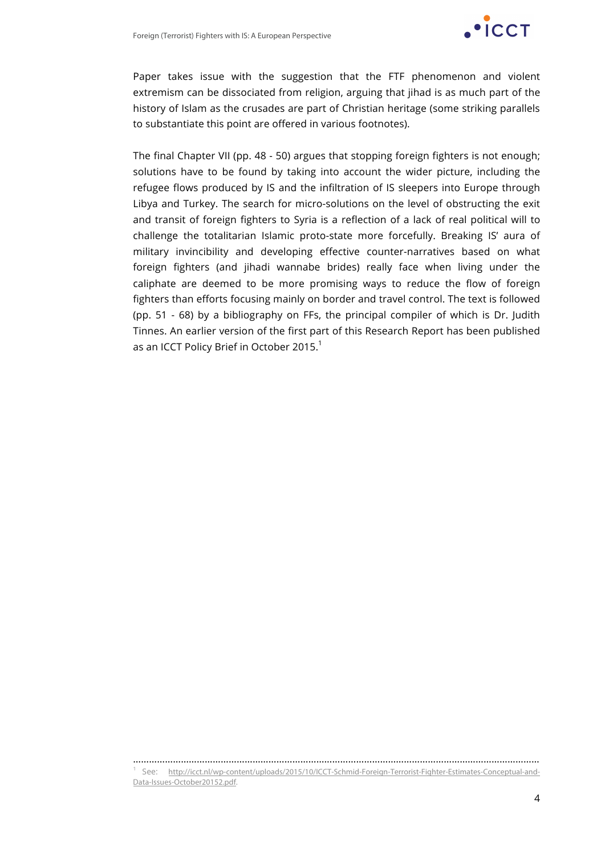

Paper takes issue with the suggestion that the FTF phenomenon and violent extremism can be dissociated from religion, arguing that jihad is as much part of the history of Islam as the crusades are part of Christian heritage (some striking parallels to substantiate this point are offered in various footnotes).

The final Chapter VII (pp. 48 - 50) argues that stopping foreign fighters is not enough; solutions have to be found by taking into account the wider picture, including the refugee flows produced by IS and the infiltration of IS sleepers into Europe through Libya and Turkey. The search for micro-solutions on the level of obstructing the exit and transit of foreign fighters to Syria is a reflection of a lack of real political will to challenge the totalitarian Islamic proto-state more forcefully. Breaking IS' aura of military invincibility and developing effective counter-narratives based on what foreign fighters (and jihadi wannabe brides) really face when living under the caliphate are deemed to be more promising ways to reduce the flow of foreign fighters than efforts focusing mainly on border and travel control. The text is followed (pp. 51 - 68) by a bibliography on FFs, the principal compiler of which is Dr. Judith Tinnes. An earlier version of the first part of this Research Report has been published as an ICCT Policy Brief in October 2015.<sup>1</sup>

……………………………………………………………………………………………………………………………………… <sup>1</sup> See: http://icct.nl/wp-content/uploads/2015/10/ICCT-Schmid-Foreign-Terrorist-Fighter-Estimates-Conceptual-and-Data-Issues-October20152.pdf.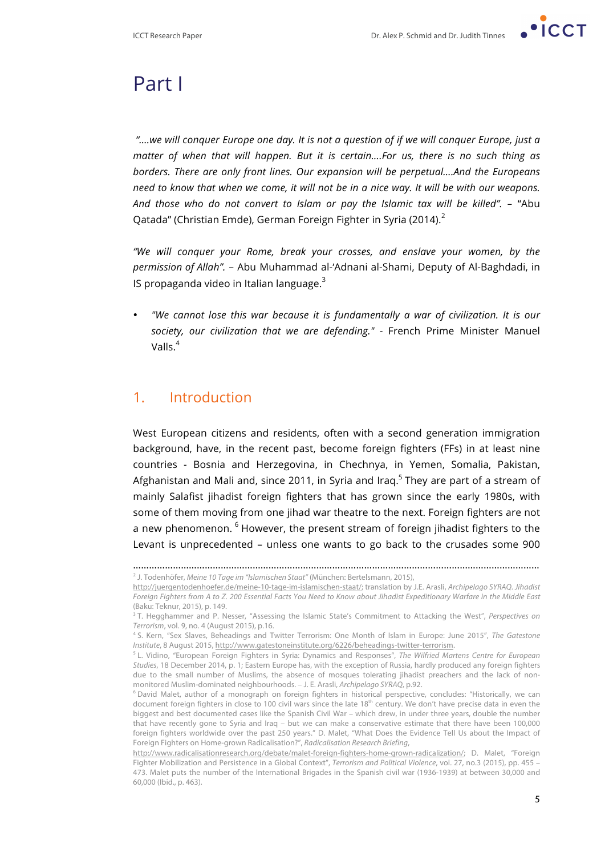

## Part I

*"….we will conquer Europe one day. It is not a question of if we will conquer Europe, just a matter of when that will happen. But it is certain….For us, there is no such thing as borders. There are only front lines. Our expansion will be perpetual….And the Europeans need to know that when we come, it will not be in a nice way. It will be with our weapons. And those who do not convert to Islam or pay the Islamic tax will be killed". –* "Abu Oatada" (Christian Emde), German Foreign Fighter in Syria (2014). $<sup>2</sup>$ </sup>

*"We will conquer your Rome, break your crosses, and enslave your women, by the permission of Allah".* – Abu Muhammad al-'Adnani al-Shami, Deputy of Al-Baghdadi, in IS propaganda video in Italian language. $3$ 

• *"We cannot lose this war because it is fundamentally a war of civilization. It is our society, our civilization that we are defending." -* French Prime Minister Manuel Valls $4$ 

#### 1. Introduction

West European citizens and residents, often with a second generation immigration background, have, in the recent past, become foreign fighters (FFs) in at least nine countries - Bosnia and Herzegovina, in Chechnya, in Yemen, Somalia, Pakistan, Afghanistan and Mali and, since 2011, in Syria and Iraq.<sup>5</sup> They are part of a stream of mainly Salafist jihadist foreign fighters that has grown since the early 1980s, with some of them moving from one jihad war theatre to the next. Foreign fighters are not a new phenomenon.  $6$  However, the present stream of foreign jihadist fighters to the Levant is unprecedented – unless one wants to go back to the crusades some 900

<sup>………………………………………………………………………………………………………………………………………</sup> <sup>2</sup> J. Todenhöfer, *Meine 10 Tage im "Islamischen Staat"* (München: Bertelsmann, 2015),

http://juergentodenhoefer.de/meine-10-tage-im-islamischen-staat/; translation by J.E. Arasli, *Archipelago SYRAQ. Jihadist Foreign Fighters from A to Z. 200 Essential Facts You Need to Know about Jihadist Expeditionary Warfare in the Middle East* (Baku: Teknur, 2015), p. 149.

<sup>3</sup> T. Hegghammer and P. Nesser, "Assessing the Islamic State's Commitment to Attacking the West", *Perspectives on Terrorism*, vol. 9, no. 4 (August 2015), p.16.

<sup>4</sup> S. Kern, "Sex Slaves, Beheadings and Twitter Terrorism: One Month of Islam in Europe: June 2015", *The Gatestone* 

<sup>&</sup>lt;sup>5</sup>L. Vidino, "European Foreign Fighters in Syria: Dynamics and Responses", The Wilfried Martens Centre for European *Studies*, 18 December 2014, p. 1; Eastern Europe has, with the exception of Russia, hardly produced any foreign fighters due to the small number of Muslims, the absence of mosques tolerating jihadist preachers and the lack of nonmonitored Muslim-dominated neighbourhoods. – J. E. Arasli, *Archipelago SYRAQ*, p.92.

<sup>6</sup> David Malet, author of a monograph on foreign fighters in historical perspective, concludes: "Historically, we can document foreign fighters in close to 100 civil wars since the late 18<sup>th</sup> century. We don't have precise data in even the biggest and best documented cases like the Spanish Civil War – which drew, in under three years, double the number that have recently gone to Syria and Iraq – but we can make a conservative estimate that there have been 100,000 foreign fighters worldwide over the past 250 years." D. Malet, "What Does the Evidence Tell Us about the Impact of Foreign Fighters on Home-grown Radicalisation?", *Radicalisation Research Briefing*,

http://www.radicalisationresearch.org/debate/malet-foreign-fighters-home-grown-radicalization/; D. Malet, "Foreign Fighter Mobilization and Persistence in a Global Context", *Terrorism and Political Violence*, vol. 27, no.3 (2015), pp. 455 – 473. Malet puts the number of the International Brigades in the Spanish civil war (1936-1939) at between 30,000 and 60,000 (Ibid., p. 463).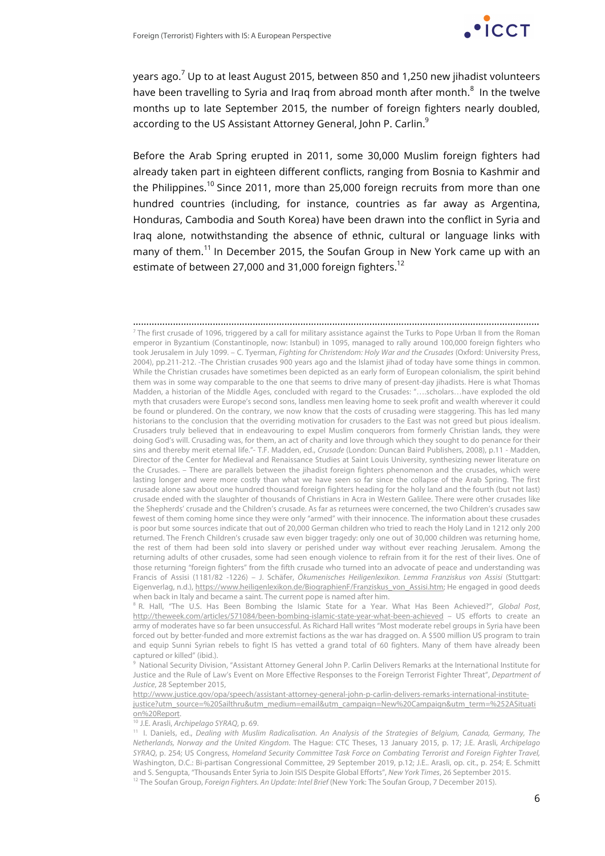

years ago. $7$  Up to at least August 2015, between 850 and 1,250 new jihadist volunteers have been travelling to Syria and Iraq from abroad month after month. $^8$  In the twelve months up to late September 2015, the number of foreign fighters nearly doubled, according to the US Assistant Attorney General, John P. Carlin.<sup>9</sup>

Before the Arab Spring erupted in 2011, some 30,000 Muslim foreign fighters had already taken part in eighteen different conflicts, ranging from Bosnia to Kashmir and the Philippines.<sup>10</sup> Since 2011, more than 25,000 foreign recruits from more than one hundred countries (including, for instance, countries as far away as Argentina, Honduras, Cambodia and South Korea) have been drawn into the conflict in Syria and Iraq alone, notwithstanding the absence of ethnic, cultural or language links with many of them.<sup>11</sup> In December 2015, the Soufan Group in New York came up with an estimate of between 27,000 and 31,000 foreign fighters.<sup>12</sup>

………………………………………………………………………………………………………………………………………  $<sup>7</sup>$  The first crusade of 1096, triggered by a call for military assistance against the Turks to Pope Urban II from the Roman</sup> emperor in Byzantium (Constantinople, now: Istanbul) in 1095, managed to rally around 100,000 foreign fighters who took Jerusalem in July 1099. – C. Tyerman, *Fighting for Christendom: Holy War and the Crusades* (Oxford: University Press, 2004), pp.211-212. -The Christian crusades 900 years ago and the Islamist jihad of today have some things in common. While the Christian crusades have sometimes been depicted as an early form of European colonialism, the spirit behind them was in some way comparable to the one that seems to drive many of present-day jihadists. Here is what Thomas Madden, a historian of the Middle Ages, concluded with regard to the Crusades: "….scholars…have exploded the old myth that crusaders were Europe's second sons, landless men leaving home to seek profit and wealth wherever it could be found or plundered. On the contrary, we now know that the costs of crusading were staggering. This has led many historians to the conclusion that the overriding motivation for crusaders to the East was not greed but pious idealism. Crusaders truly believed that in endeavouring to expel Muslim conquerors from formerly Christian lands, they were doing God's will. Crusading was, for them, an act of charity and love through which they sought to do penance for their sins and thereby merit eternal life."- T.F. Madden, ed., *Crusade* (London: Duncan Baird Publishers, 2008), p.11 - Madden, Director of the Center for Medieval and Renaissance Studies at Saint Louis University, synthesizing newer literature on the Crusades. – There are parallels between the jihadist foreign fighters phenomenon and the crusades, which were lasting longer and were more costly than what we have seen so far since the collapse of the Arab Spring. The first crusade alone saw about one hundred thousand foreign fighters heading for the holy land and the fourth (but not last) crusade ended with the slaughter of thousands of Christians in Acra in Western Galilee. There were other crusades like the Shepherds' crusade and the Children's crusade. As far as returnees were concerned, the two Children's crusades saw fewest of them coming home since they were only "armed" with their innocence. The information about these crusades is poor but some sources indicate that out of 20,000 German children who tried to reach the Holy Land in 1212 only 200 returned. The French Children's crusade saw even bigger tragedy: only one out of 30,000 children was returning home, the rest of them had been sold into slavery or perished under way without ever reaching Jerusalem. Among the returning adults of other crusades, some had seen enough violence to refrain from it for the rest of their lives. One of those returning "foreign fighters" from the fifth crusade who turned into an advocate of peace and understanding was Francis of Assisi (1181/82 -1226) – J. Schäfer, *Ökumenisches Heiligenlexikon. Lemma Franziskus von Assisi* (Stuttgart: Eigenverlag, n.d.), https://www.heiligenlexikon.de/BiographienF/Franziskus\_von\_Assisi.htm; He engaged in good deeds when back in Italy and became a saint. The current pope is named after him.

<sup>8</sup> R. Hall, "The U.S. Has Been Bombing the Islamic State for a Year. What Has Been Achieved?", *Global Post*, http://theweek.com/articles/571084/been-bombing-islamic-state-year-what-been-achieved – US efforts to create an army of moderates have so far been unsuccessful. As Richard Hall writes "Most moderate rebel groups in Syria have been forced out by better-funded and more extremist factions as the war has dragged on. A \$500 million US program to train and equip Sunni Syrian rebels to fight IS has vetted a grand total of 60 fighters. Many of them have already been captured or killed" (ibid.).

9 National Security Division, "Assistant Attorney General John P. Carlin Delivers Remarks at the International Institute for Justice and the Rule of Law's Event on More Effective Responses to the Foreign Terrorist Fighter Threat", *Department of Justice*, 28 September 2015,

http://www.justice.gov/opa/speech/assistant-attorney-general-john-p-carlin-delivers-remarks-international-institutejustice?utm\_source=%20Sailthru&utm\_medium=email&utm\_campaign=New%20Campaign&utm\_term=%252ASituati on%20Report.

<sup>10</sup> J.E. Arasli, *Archipelago SYRAQ*, p. 69.

11 I. Daniels, ed., *Dealing with Muslim Radicalisation. An Analysis of the Strategies of Belgium, Canada, Germany, The Netherlands, Norway and the United Kingdom*. The Hague: CTC Theses, 13 January 2015, p. 17; J.E. Arasli, *Archipelago SYRAQ*, p. 254; US Congress, *Homeland Security Committee Task Force on Combating Terrorist and Foreign Fighter Travel,* Washington, D.C.: Bi-partisan Congressional Committee, 29 September 2019, p.12; J.E.. Arasli, op. cit., p. 254; E. Schmitt and S. Sengupta, "Thousands Enter Syria to Join ISIS Despite Global Efforts", *New York Times*, 26 September 2015.

<sup>12</sup> The Soufan Group, *Foreign Fighters. An Update: Intel Brief* (New York: The Soufan Group, 7 December 2015).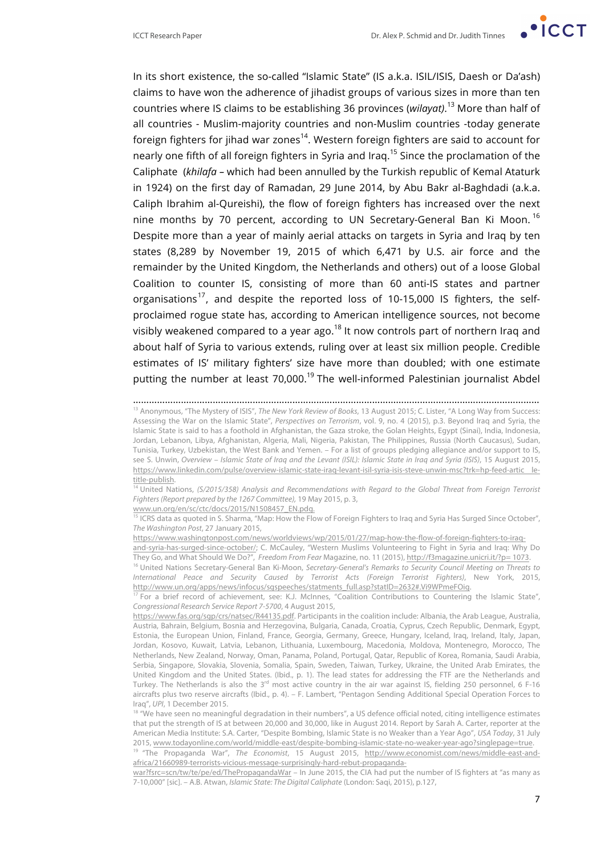

In its short existence, the so-called "Islamic State" (IS a.k.a. ISIL/ISIS, Daesh or Da'ash) claims to have won the adherence of jihadist groups of various sizes in more than ten countries where IS claims to be establishing 36 provinces (*wilayat)*. <sup>13</sup> More than half of all countries - Muslim-majority countries and non-Muslim countries -today generate foreign fighters for jihad war zones<sup>14</sup>. Western foreign fighters are said to account for nearly one fifth of all foreign fighters in Syria and Iraq.<sup>15</sup> Since the proclamation of the Caliphate (*khilafa –* which had been annulled by the Turkish republic of Kemal Ataturk in 1924) on the first day of Ramadan, 29 June 2014, by Abu Bakr al-Baghdadi (a.k.a. Caliph Ibrahim al-Qureishi), the flow of foreign fighters has increased over the next nine months by 70 percent, according to UN Secretary-General Ban Ki Moon.<sup>16</sup> Despite more than a year of mainly aerial attacks on targets in Syria and Iraq by ten states (8,289 by November 19, 2015 of which 6,471 by U.S. air force and the remainder by the United Kingdom, the Netherlands and others) out of a loose Global Coalition to counter IS, consisting of more than 60 anti-IS states and partner organisations<sup>17</sup>, and despite the reported loss of 10-15,000 IS fighters, the selfproclaimed rogue state has, according to American intelligence sources, not become visibly weakened compared to a year ago.<sup>18</sup> It now controls part of northern Iraq and about half of Syria to various extends, ruling over at least six million people. Credible estimates of IS' military fighters' size have more than doubled; with one estimate putting the number at least  $70,000$ .<sup>19</sup> The well-informed Palestinian journalist Abdel

………………………………………………………………………………………………………………………………………

<sup>13</sup> Anonymous, "The Mystery of ISIS", *The New York Review of Books*, 13 August 2015; C. Lister, "A Long Way from Success: Assessing the War on the Islamic State", *Perspectives on Terrorism*, vol. 9, no. 4 (2015), p.3. Beyond Iraq and Syria, the Islamic State is said to has a foothold in Afghanistan, the Gaza stroke, the Golan Heights, Egypt (Sinai), India, Indonesia, Jordan, Lebanon, Libya, Afghanistan, Algeria, Mali, Nigeria, Pakistan, The Philippines, Russia (North Caucasus), Sudan, Tunisia, Turkey, Uzbekistan, the West Bank and Yemen. – For a list of groups pledging allegiance and/or support to IS, see S. Unwin, *Overview – Islamic State of Iraq and the Levant (ISIL): Islamic State in Iraq and Syria (ISIS)*, 15 August 2015, https://www.linkedin.com/pulse/overview-islamic-state-iraq-levant-isil-syria-isis-steve-unwin-msc?trk=hp-feed-artic letitle-publish.

<sup>1</sup> United Nations, *(S/2015/358) Analysis and Recommendations with Regard to the Global Threat from Foreign Terrorist Fighters (Report prepared by the 1267 Committee),* 19 May 2015, p. 3,

www.un.org/en/sc/ctc/docs/2015/N1508457\_EN.pdg. <sup>15</sup> ICRS data as quoted in S. Sharma, "Map: How the Flow of Foreign Fighters to Iraq and Syria Has Surged Since October",

*The Washington Post*, 27 January 2015,

https://www.washingtonpost.com/news/worldviews/wp/2015/01/27/map-how-the-flow-of-foreign-fighters-to-iraqand-syria-has-surged-since-october/; C. McCauley, "Western Muslims Volunteering to Fight in Syria and Iraq: Why Do They Go, and What Should We Do?", *Freedom From Fear* Magazine, no. 11 (2015), http://f3magazine.unicri.it/?p= 1073.

 $17$  For a brief record of achievement, see: K.J. McInnes, "Coalition Contributions to Countering the Islamic State", *Congressional Research Service Report 7-5700*, 4 August 2015,

<sup>18</sup> "We have seen no meaningful degradation in their numbers", a US defence official noted, citing intelligence estimates that put the strength of IS at between 20,000 and 30,000, like in August 2014. Report by Sarah A. Carter, reporter at the American Media Institute: S.A. Carter, "Despite Bombing, Islamic State is no Weaker than a Year Ago", *USA Today*, 31 July 2015, www.todayonline.com/world/middle-east/despite-bombing-islamic-state-no-weaker-year-ago?singlepage=true.

<sup>19</sup> "The Propaganda War", *The Economist*, 15 August 2015, http://www.economist.com/news/middle-east-andafrica/21660989-terrorists-vicious-message-surprisingly-hard-rebut-propaganda-

war?fsrc=scn/tw/te/pe/ed/ThePropagandaWar – In June 2015, the CIA had put the number of IS fighters at "as many as 7-10,000" [sic]. – A.B. Atwan, *Islamic State: The Digital Caliphate* (London: Saqi, 2015), p.127,

<sup>16</sup> United Nations Secretary-General Ban Ki-Moon, *Secretary-General's Remarks to Security Council Meeting on Threats to International Peace and Security Caused by Terrorist Acts (Foreign Terrorist Fighters)*, New York, 2015, http://www.un.org/apps/news/infocus/sgspeeches/statments\_full.asp?statID=2632#.Vi9WPmeFOig.

https://www.fas.org/sgp/crs/natsec/R44135.pdf. Participants in the coalition include: Albania, the Arab League, Australia, Austria, Bahrain, Belgium, Bosnia and Herzegovina, Bulgaria, Canada, Croatia, Cyprus, Czech Republic, Denmark, Egypt, Estonia, the European Union, Finland, France, Georgia, Germany, Greece, Hungary, Iceland, Iraq, Ireland, Italy, Japan, Jordan, Kosovo, Kuwait, Latvia, Lebanon, Lithuania, Luxembourg, Macedonia, Moldova, Montenegro, Morocco, The Netherlands, New Zealand, Norway, Oman, Panama, Poland, Portugal, Qatar, Republic of Korea, Romania, Saudi Arabia, Serbia, Singapore, Slovakia, Slovenia, Somalia, Spain, Sweden, Taiwan, Turkey, Ukraine, the United Arab Emirates, the United Kingdom and the United States. (Ibid., p. 1). The lead states for addressing the FTF are the Netherlands and Turkey. The Netherlands is also the  $3^{rd}$  most active country in the air war against IS, fielding 250 personnel, 6 F-16 aircrafts plus two reserve aircrafts (Ibid., p. 4). – F. Lambert, "Pentagon Sending Additional Special Operation Forces to Iraq", *UPI*, 1 December 2015.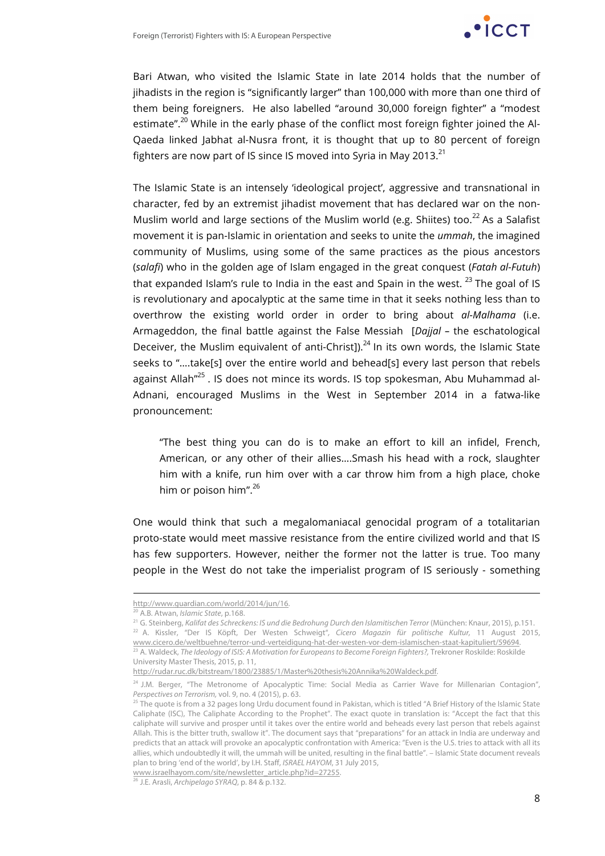

Bari Atwan, who visited the Islamic State in late 2014 holds that the number of jihadists in the region is "significantly larger" than 100,000 with more than one third of them being foreigners. He also labelled "around 30,000 foreign fighter" a "modest estimate".<sup>20</sup> While in the early phase of the conflict most foreign fighter joined the Al-Qaeda linked Jabhat al-Nusra front, it is thought that up to 80 percent of foreign fighters are now part of IS since IS moved into Syria in May 2013. $^{21}$ 

The Islamic State is an intensely 'ideological project', aggressive and transnational in character, fed by an extremist jihadist movement that has declared war on the non-Muslim world and large sections of the Muslim world (e.g. Shiites) too.<sup>22</sup> As a Salafist movement it is pan-Islamic in orientation and seeks to unite the *ummah*, the imagined community of Muslims, using some of the same practices as the pious ancestors (*salafi*) who in the golden age of Islam engaged in the great conquest (*Fatah al-Futuh*) that expanded Islam's rule to India in the east and Spain in the west.  $^{23}$  The goal of IS is revolutionary and apocalyptic at the same time in that it seeks nothing less than to overthrow the existing world order in order to bring about *al-Malhama* (i.e. Armageddon, the final battle against the False Messiah [*Dajjal –* the eschatological Deceiver, the Muslim equivalent of anti-Christ]). $^{24}$  In its own words, the Islamic State seeks to "….take[s] over the entire world and behead[s] every last person that rebels against Allah<sup>"25</sup>. IS does not mince its words. IS top spokesman, Abu Muhammad al-Adnani, encouraged Muslims in the West in September 2014 in a fatwa-like pronouncement:

"The best thing you can do is to make an effort to kill an infidel, French, American, or any other of their allies….Smash his head with a rock, slaughter him with a knife, run him over with a car throw him from a high place, choke him or poison him".<sup>26</sup>

One would think that such a megalomaniacal genocidal program of a totalitarian proto-state would meet massive resistance from the entire civilized world and that IS has few supporters. However, neither the former not the latter is true. Too many people in the West do not take the imperialist program of IS seriously - something

l

http://www.guardian.com/world/2014/jun/16.

<sup>20</sup> A.B. Atwan, *Islamic State*, p.168.

<sup>21</sup> G. Steinberg, *Kalifat des Schreckens: IS und die Bedrohung Durch den Islamitischen Terror* (München: Knaur, 2015), p.151. <sup>22</sup> A. Kissler, "Der IS Köpft, Der Westen Schweigt"*, Cicero Magazin für politische Kultur,* 11 August 2015, www.cicero.de/weltbuehne/terror-und-verteidigung-hat-der-westen-vor-dem-islamischen-staat-kapituliert/59694. <sup>23</sup> A. Waldeck, *The Ideology of ISIS: A Motivation for Europeans to Become Foreign Fighters?, Trekroner Roskilde: Roskilde* University Master Thesis, 2015, p. 11,

http://rudar.ruc.dk/bitstream/1800/23885/1/Master%20thesis%20Annika%20Waldeck.pdf.

<sup>&</sup>lt;sup>24</sup> J.M. Berger, "The Metronome of Apocalyptic Time: Social Media as Carrier Wave for Millenarian Contagion", *Perspectives on Terrorism,* vol. 9, no. 4 (2015), p. 63.

<sup>&</sup>lt;sup>25</sup> The quote is from a 32 pages long Urdu document found in Pakistan, which is titled "A Brief History of the Islamic State Caliphate (ISC), The Caliphate According to the Prophet". The exact quote in translation is: "Accept the fact that this caliphate will survive and prosper until it takes over the entire world and beheads every last person that rebels against Allah. This is the bitter truth, swallow it". The document says that "preparations" for an attack in India are underway and predicts that an attack will provoke an apocalyptic confrontation with America: "Even is the U.S. tries to attack with all its allies, which undoubtedly it will, the ummah will be united, resulting in the final battle". – Islamic State document reveals plan to bring 'end of the world', by I.H. Staff, *ISRAEL HAYOM*, 31 July 2015,

www.israelhayom.com/site/newsletter\_article.php?id=27255.

<sup>26</sup> J.E. Arasli, *Archipelago SYRAQ*, p. 84 & p.132.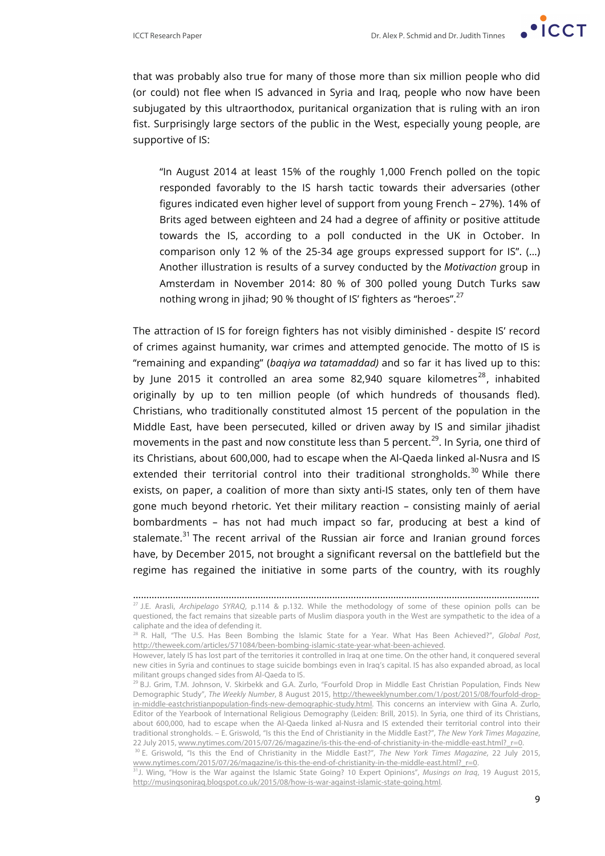

that was probably also true for many of those more than six million people who did (or could) not flee when IS advanced in Syria and Iraq, people who now have been subjugated by this ultraorthodox, puritanical organization that is ruling with an iron fist. Surprisingly large sectors of the public in the West, especially young people, are supportive of IS:

"In August 2014 at least 15% of the roughly 1,000 French polled on the topic responded favorably to the IS harsh tactic towards their adversaries (other figures indicated even higher level of support from young French – 27%). 14% of Brits aged between eighteen and 24 had a degree of affinity or positive attitude towards the IS, according to a poll conducted in the UK in October. In comparison only 12 % of the 25-34 age groups expressed support for IS". (…) Another illustration is results of a survey conducted by the *Motivaction* group in Amsterdam in November 2014: 80 % of 300 polled young Dutch Turks saw nothing wrong in jihad; 90 % thought of IS' fighters as "heroes".<sup>27</sup>

The attraction of IS for foreign fighters has not visibly diminished - despite IS' record of crimes against humanity, war crimes and attempted genocide. The motto of IS is "remaining and expanding" (*baqiya wa tatamaddad)* and so far it has lived up to this: by June 2015 it controlled an area some 82,940 square kilometres<sup>28</sup>, inhabited originally by up to ten million people (of which hundreds of thousands fled). Christians, who traditionally constituted almost 15 percent of the population in the Middle East, have been persecuted, killed or driven away by IS and similar jihadist movements in the past and now constitute less than 5 percent.<sup>29</sup>. In Syria, one third of its Christians, about 600,000, had to escape when the Al-Qaeda linked al-Nusra and IS extended their territorial control into their traditional strongholds.<sup>30</sup> While there exists, on paper, a coalition of more than sixty anti-IS states, only ten of them have gone much beyond rhetoric. Yet their military reaction – consisting mainly of aerial bombardments – has not had much impact so far, producing at best a kind of stalemate. $31$  The recent arrival of the Russian air force and Iranian ground forces have, by December 2015, not brought a significant reversal on the battlefield but the regime has regained the initiative in some parts of the country, with its roughly

<sup>………………………………………………………………………………………………………………………………………</sup> <sup>27</sup> J.E. Arasli, *Archipelago SYRAQ*, p.114 & p.132. While the methodology of some of these opinion polls can be questioned, the fact remains that sizeable parts of Muslim diaspora youth in the West are sympathetic to the idea of a caliphate and the idea of defending it.

<sup>28</sup> R. Hall, "The U.S. Has Been Bombing the Islamic State for a Year. What Has Been Achieved?", *Global Post*, http://theweek.com/articles/571084/been-bombing-islamic-state-year-what-been-achieved.

However, lately IS has lost part of the territories it controlled in Iraq at one time. On the other hand, it conquered several new cities in Syria and continues to stage suicide bombings even in Iraq's capital. IS has also expanded abroad, as local militant groups changed sides from Al-Qaeda to IS.<br><sup>29</sup> B.J. Grim, T.M. Johnson, V. Skirbekk and G.A. Zurlo, "Fourfold Drop in Middle East Christian Population, Finds New

Demographic Study", *The Weekly Number*, 8 August 2015, http://theweeklynumber.com/1/post/2015/08/fourfold-dropin-middle-eastchristianpopulation-finds-new-demographic-study.html. This concerns an interview with Gina A. Zurlo, Editor of the Yearbook of International Religious Demography (Leiden: Brill, 2015). In Syria, one third of its Christians, about 600,000, had to escape when the Al-Qaeda linked al-Nusra and IS extended their territorial control into their traditional strongholds. – E. Griswold, "Is this the End of Christianity in the Middle East?", *The New York Times Magazine*, 22 July 2015, www.nytimes.com/2015/07/26/magazine/is-this-the-end-of-christianity-in-the-middle-east.html?\_r=0.

<sup>30</sup> E. Griswold, "Is this the End of Christianity in the Middle East?", *The New York Times Magazine*, 22 July 2015, www.nytimes.com/2015/07/26/magazine/is-this-the-end-of-christianity-in-the-middle-east.html?\_r=0.

<sup>31</sup>J. Wing, "How is the War against the Islamic State Going? 10 Expert Opinions", *Musings on Iraq*, 19 August 2015, http://musingsoniraq.blogspot.co.uk/2015/08/how-is-war-against-islamic-state-going.html.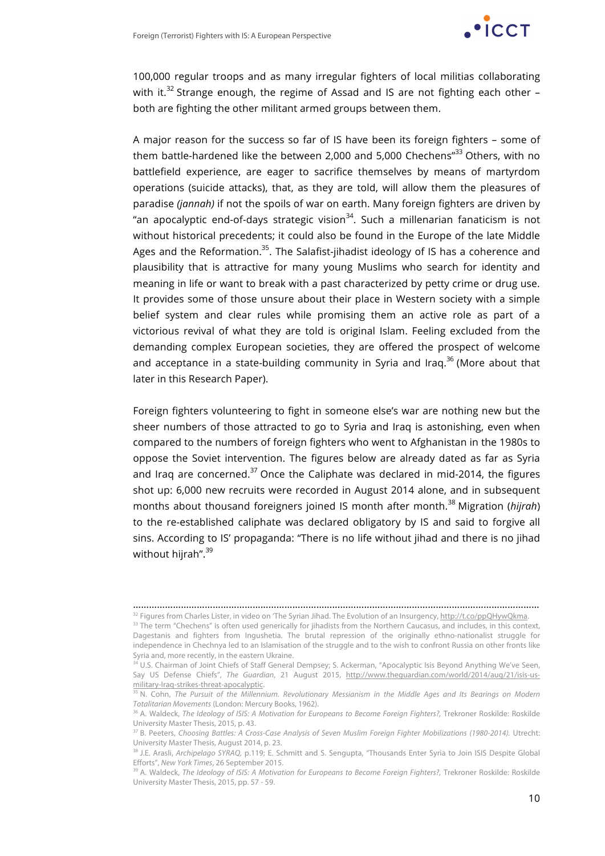

100,000 regular troops and as many irregular fighters of local militias collaborating with it.<sup>32</sup> Strange enough, the regime of Assad and IS are not fighting each other  $$ both are fighting the other militant armed groups between them.

A major reason for the success so far of IS have been its foreign fighters – some of them battle-hardened like the between 2,000 and 5,000 Chechens<sup>"33</sup> Others, with no battlefield experience, are eager to sacrifice themselves by means of martyrdom operations (suicide attacks), that, as they are told, will allow them the pleasures of paradise *(jannah)* if not the spoils of war on earth. Many foreign fighters are driven by "an apocalyptic end-of-days strategic vision $34$ . Such a millenarian fanaticism is not without historical precedents; it could also be found in the Europe of the late Middle Ages and the Reformation.<sup>35</sup>. The Salafist-jihadist ideology of IS has a coherence and plausibility that is attractive for many young Muslims who search for identity and meaning in life or want to break with a past characterized by petty crime or drug use. It provides some of those unsure about their place in Western society with a simple belief system and clear rules while promising them an active role as part of a victorious revival of what they are told is original Islam. Feeling excluded from the demanding complex European societies, they are offered the prospect of welcome and acceptance in a state-building community in Syria and Iraq.<sup>36</sup> (More about that later in this Research Paper).

Foreign fighters volunteering to fight in someone else's war are nothing new but the sheer numbers of those attracted to go to Syria and Iraq is astonishing, even when compared to the numbers of foreign fighters who went to Afghanistan in the 1980s to oppose the Soviet intervention. The figures below are already dated as far as Syria and Iraq are concerned. $37$  Once the Caliphate was declared in mid-2014, the figures shot up: 6,000 new recruits were recorded in August 2014 alone, and in subsequent months about thousand foreigners joined IS month after month.<sup>38</sup> Migration (*hijrah*) to the re-established caliphate was declared obligatory by IS and said to forgive all sins. According to IS' propaganda: "There is no life without jihad and there is no jihad without hijrah".<sup>39</sup>

<sup>………………………………………………………………………………………………………………………………………</sup> <sup>32</sup> Figures from Charles Lister, in video on 'The Syrian Jihad. The Evolution of an Insurgency, http://t.co/ppQHywQkma.

<sup>&</sup>lt;sup>33</sup> The term "Chechens" is often used generically for jihadists from the Northern Caucasus, and includes, in this context, Dagestanis and fighters from Ingushetia. The brutal repression of the originally ethno-nationalist struggle for independence in Chechnya led to an Islamisation of the struggle and to the wish to confront Russia on other fronts like Syria and, more recently, in the eastern Ukraine.

<sup>&</sup>lt;sup>34</sup> U.S. Chairman of Joint Chiefs of Staff General Dempsey; S. Ackerman, "Apocalyptic Isis Beyond Anything We've Seen, Say US Defense Chiefs", *The Guardian*, 21 August 2015, http://www.theguardian.com/world/2014/aug/21/isis-usmilitary-Iraq-strikes-threat-apocalyptic.

<sup>35</sup> N. Cohn, *The Pursuit of the Millennium. Revolutionary Messianism in the Middle Ages and Its Bearings on Modern Totalitarian Movements* (London: Mercury Books, 1962).

<sup>36</sup> A. Waldeck, *The Ideology of ISIS: A Motivation for Europeans to Become Foreign Fighters?,* Trekroner Roskilde: Roskilde University Master Thesis, 2015, p. 43.

<sup>37</sup> B. Peeters, *Choosing Battles: A Cross-Case Analysis of Seven Muslim Foreign Fighter Mobilizations (1980-2014).* Utrecht: University Master Thesis, August 2014, p. 23.

<sup>38</sup> J.E. Arasli, *Archipelago SYRAQ,* p.119; E. Schmitt and S. Sengupta, "Thousands Enter Syria to Join ISIS Despite Global Efforts", *New York Times*, 26 September 2015.

<sup>39</sup> A. Waldeck, *The Ideology of ISIS: A Motivation for Europeans to Become Foreign Fighters?,* Trekroner Roskilde: Roskilde University Master Thesis, 2015, pp. 57 - 59.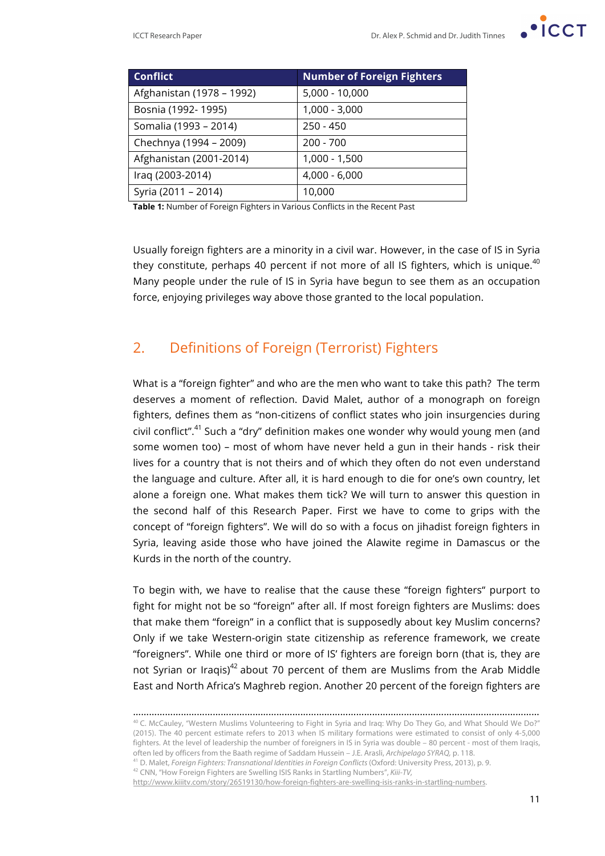

| <b>Conflict</b>           | <b>Number of Foreign Fighters</b> |
|---------------------------|-----------------------------------|
| Afghanistan (1978 – 1992) | $5,000 - 10,000$                  |
| Bosnia (1992-1995)        | $1,000 - 3,000$                   |
| Somalia (1993 - 2014)     | $250 - 450$                       |
| Chechnya (1994 - 2009)    | $200 - 700$                       |
| Afghanistan (2001-2014)   | 1,000 - 1,500                     |
| Iraq (2003-2014)          | $4,000 - 6,000$                   |
| Syria (2011 - 2014)       | 10,000                            |

**Table 1:** Number of Foreign Fighters in Various Conflicts in the Recent Past

Usually foreign fighters are a minority in a civil war. However, in the case of IS in Syria they constitute, perhaps 40 percent if not more of all IS fighters, which is unique.<sup>40</sup> Many people under the rule of IS in Syria have begun to see them as an occupation force, enjoying privileges way above those granted to the local population.

## 2. Definitions of Foreign (Terrorist) Fighters

What is a "foreign fighter" and who are the men who want to take this path? The term deserves a moment of reflection. David Malet, author of a monograph on foreign fighters, defines them as "non-citizens of conflict states who join insurgencies during civil conflict".<sup>41</sup> Such a "dry" definition makes one wonder why would young men (and some women too) – most of whom have never held a gun in their hands - risk their lives for a country that is not theirs and of which they often do not even understand the language and culture. After all, it is hard enough to die for one's own country, let alone a foreign one. What makes them tick? We will turn to answer this question in the second half of this Research Paper. First we have to come to grips with the concept of "foreign fighters". We will do so with a focus on jihadist foreign fighters in Syria, leaving aside those who have joined the Alawite regime in Damascus or the Kurds in the north of the country.

To begin with, we have to realise that the cause these "foreign fighters" purport to fight for might not be so "foreign" after all. If most foreign fighters are Muslims: does that make them "foreign" in a conflict that is supposedly about key Muslim concerns? Only if we take Western-origin state citizenship as reference framework, we create "foreigners". While one third or more of IS' fighters are foreign born (that is, they are not Syrian or Iraqis) $42$  about 70 percent of them are Muslims from the Arab Middle East and North Africa's Maghreb region. Another 20 percent of the foreign fighters are

<sup>42</sup> CNN, "How Foreign Fighters are Swelling ISIS Ranks in Startling Numbers", *Kiii-TV,*

<sup>………………………………………………………………………………………………………………………………………</sup>  $40$  C. McCauley, "Western Muslims Volunteering to Fight in Syria and Iraq: Why Do They Go, and What Should We Do?" (2015). The 40 percent estimate refers to 2013 when IS military formations were estimated to consist of only 4-5,000 fighters. At the level of leadership the number of foreigners in IS in Syria was double – 80 percent - most of them Iraqis, often led by officers from the Baath regime of Saddam Hussein – J.E. Arasli, *Archipelago SYRAQ,* p. 118.

<sup>41</sup> D. Malet, *Foreign Fighters: Transnational Identities in Foreign Conflicts* (Oxford: University Press, 2013), p. 9.

http://www.kiiitv.com/story/26519130/how-foreign-fighters-are-swelling-isis-ranks-in-startling-numbers.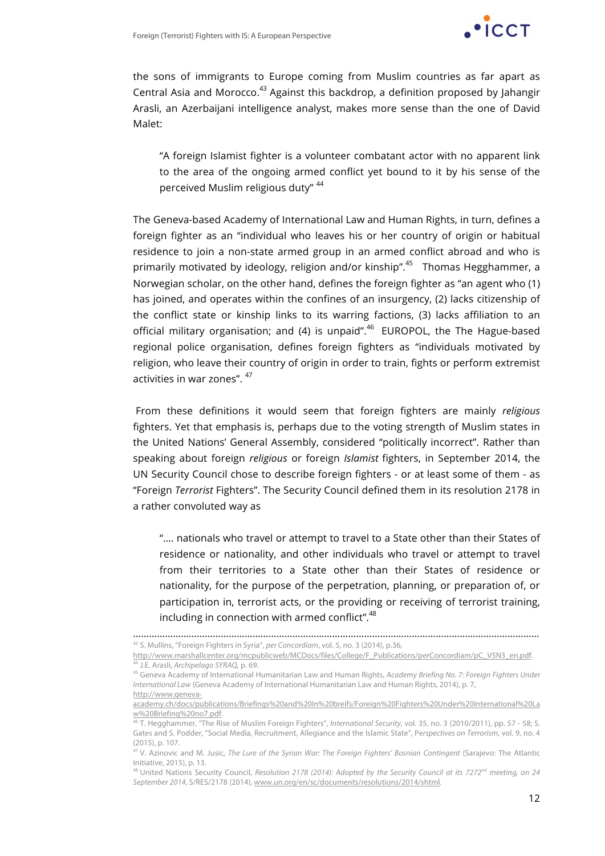

the sons of immigrants to Europe coming from Muslim countries as far apart as Central Asia and Morocco.<sup>43</sup> Against this backdrop, a definition proposed by Jahangir Arasli, an Azerbaijani intelligence analyst, makes more sense than the one of David Malet:

"A foreign Islamist fighter is a volunteer combatant actor with no apparent link to the area of the ongoing armed conflict yet bound to it by his sense of the perceived Muslim religious duty" 44

The Geneva-based Academy of International Law and Human Rights, in turn, defines a foreign fighter as an "individual who leaves his or her country of origin or habitual residence to join a non-state armed group in an armed conflict abroad and who is primarily motivated by ideology, religion and/or kinship".<sup>45</sup> Thomas Hegghammer, a Norwegian scholar, on the other hand, defines the foreign fighter as "an agent who (1) has joined, and operates within the confines of an insurgency, (2) lacks citizenship of the conflict state or kinship links to its warring factions, (3) lacks affiliation to an official military organisation; and (4) is unpaid".<sup>46</sup> EUROPOL, the The Hague-based regional police organisation, defines foreign fighters as "individuals motivated by religion, who leave their country of origin in order to train, fights or perform extremist activities in war zones". 47

From these definitions it would seem that foreign fighters are mainly *religious* fighters. Yet that emphasis is, perhaps due to the voting strength of Muslim states in the United Nations' General Assembly, considered "politically incorrect". Rather than speaking about foreign *religious* or foreign *Islamist* fighters, in September 2014, the UN Security Council chose to describe foreign fighters - or at least some of them - as "Foreign *Terrorist* Fighters". The Security Council defined them in its resolution 2178 in a rather convoluted way as

"…. nationals who travel or attempt to travel to a State other than their States of residence or nationality, and other individuals who travel or attempt to travel from their territories to a State other than their States of residence or nationality, for the purpose of the perpetration, planning, or preparation of, or participation in, terrorist acts, or the providing or receiving of terrorist training, including in connection with armed conflict".<sup>48</sup>

……………………………………………………………………………………………………………………………………… <sup>43</sup> S. Mullins, "Foreign Fighters in Syria", *per Concordiam*, vol. 5, no. 3 (2014), p.36,

http://www.marshallcenter.org/mcpublicweb/MCDocs/files/College/F\_Publications/perConcordiam/pC\_V5N3\_en.pdf.

<sup>44</sup> J.E. Arasli, *Archipelago SYRAQ,* p. 69.

<sup>45</sup> Geneva Academy of International Humanitarian Law and Human Rights, *Academy Briefing No. 7: Foreign Fighters Under International Law* (Geneva Academy of International Humanitarian Law and Human Rights, 2014), p. 7, http://www.geneva-

academy.ch/docs/publications/Briefings%20and%20In%20breifs/Foreign%20Fighters%20Under%20International%20La w%20Briefing%20no7.pdf.

<sup>46</sup> T. Hegghammer, "The Rise of Muslim Foreign Fighters", *International Security*, vol. 35, no. 3 (2010/2011), pp. 57 - 58; S. Gates and S. Podder, "Social Media, Recruitment, Allegiance and the Islamic State", Pe*rspectives on Terrorism*, vol. 9, no. 4 (2015), p. 107.

<sup>47</sup> V. Azinovic and M. Jusic, *The Lure of the Syrian War: The Foreign Fighters' Bosnian Contingent* (Sarajevo: The Atlantic Initiative, 2015), p. 13.

<sup>&</sup>lt;sup>48</sup> United Nations Security Council, *Resolution 2178 (2014): Adopted by the Security Council at its 7272<sup>nd</sup> meeting, on 24 September 2014*, S/RES/2178 (2014), www.un.org/en/sc/documents/resolutions/2014/shtml.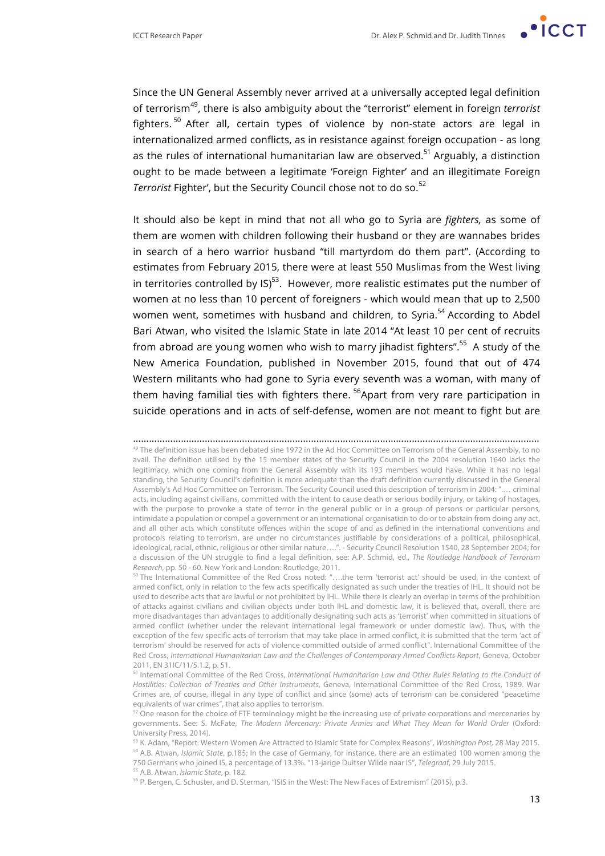

Since the UN General Assembly never arrived at a universally accepted legal definition of terrorism49, there is also ambiguity about the "terrorist" element in foreign *terrorist* fighters.<sup>50</sup> After all, certain types of violence by non-state actors are legal in internationalized armed conflicts, as in resistance against foreign occupation - as long as the rules of international humanitarian law are observed.<sup>51</sup> Arguably, a distinction ought to be made between a legitimate 'Foreign Fighter' and an illegitimate Foreign *Terrorist* Fighter', but the Security Council chose not to do so.<sup>52</sup>

It should also be kept in mind that not all who go to Syria are *fighters,* as some of them are women with children following their husband or they are wannabes brides in search of a hero warrior husband "till martyrdom do them part". (According to estimates from February 2015, there were at least 550 Muslimas from the West living in territories controlled by IS) $^{53}$ . However, more realistic estimates put the number of women at no less than 10 percent of foreigners - which would mean that up to 2,500 women went, sometimes with husband and children, to Syria.<sup>54</sup> According to Abdel Bari Atwan, who visited the Islamic State in late 2014 "At least 10 per cent of recruits from abroad are young women who wish to marry jihadist fighters".<sup>55</sup> A study of the New America Foundation, published in November 2015, found that out of 474 Western militants who had gone to Syria every seventh was a woman, with many of them having familial ties with fighters there.<sup>56</sup>Apart from very rare participation in suicide operations and in acts of self-defense, women are not meant to fight but are

<sup>………………………………………………………………………………………………………………………………………</sup> <sup>49</sup> The definition issue has been debated sine 1972 in the Ad Hoc Committee on Terrorism of the General Assembly, to no avail. The definition utilised by the 15 member states of the Security Council in the 2004 resolution 1640 lacks the legitimacy, which one coming from the General Assembly with its 193 members would have. While it has no legal standing, the Security Council's definition is more adequate than the draft definition currently discussed in the General Assembly's Ad Hoc Committee on Terrorism. The Security Council used this description of terrorism in 2004: ".… criminal acts, including against civilians, committed with the intent to cause death or serious bodily injury, or taking of hostages, with the purpose to provoke a state of terror in the general public or in a group of persons or particular persons, intimidate a population or compel a government or an international organisation to do or to abstain from doing any act, and all other acts which constitute offences within the scope of and as defined in the international conventions and protocols relating to terrorism, are under no circumstances justifiable by considerations of a political, philosophical, ideological, racial, ethnic, religious or other similar nature….". - Security Council Resolution 1540, 28 September 2004; for a discussion of the UN struggle to find a legal definition, see: A.P. Schmid, ed., *The Routledge Handbook of Terrorism Research*, pp. 50 - 60. New York and London: Routledge, 2011.

<sup>50</sup> The International Committee of the Red Cross noted: "….the term 'terrorist act' should be used, in the context of armed conflict, only in relation to the few acts specifically designated as such under the treaties of IHL. It should not be used to describe acts that are lawful or not prohibited by IHL. While there is clearly an overlap in terms of the prohibition of attacks against civilians and civilian objects under both IHL and domestic law, it is believed that, overall, there are more disadvantages than advantages to additionally designating such acts as 'terrorist' when committed in situations of armed conflict (whether under the relevant international legal framework or under domestic law). Thus, with the exception of the few specific acts of terrorism that may take place in armed conflict, it is submitted that the term 'act of terrorism' should be reserved for acts of violence committed outside of armed conflict". International Committee of the Red Cross, *International Humanitarian Law and the Challenges of Contemporary Armed Conflicts Report*, Geneva, October 2011, EN 31IC/11/5.1.2, p. 51.

<sup>51</sup> International Committee of the Red Cross, *International Humanitarian Law and Other Rules Relating to the Conduct of Hostilities: Collection of Treaties and Other Instruments*, Geneva, International Committee of the Red Cross, 1989. War Crimes are, of course, illegal in any type of conflict and since (some) acts of terrorism can be considered "peacetime equivalents of war crimes", that also applies to terrorism.

 $52$  One reason for the choice of FTF terminology might be the increasing use of private corporations and mercenaries by governments. See: S. McFate, *The Modern Mercenary: Private Armies and What They Mean for World Order* (Oxford: University Press, 2014).

<sup>53</sup> K. Adam, "Report: Western Women Are Attracted to Islamic State for Complex Reasons", *Washington Post,* 28 May 2015. <sup>54</sup> A.B. Atwan, *Islamic State*, p.185; In the case of Germany, for instance, there are an estimated 100 women among the 750 Germans who joined IS, a percentage of 13.3%. "13-jarige Duitser Wilde naar IS", *Telegraaf*, 29 July 2015. <sup>55</sup> A.B. Atwan, *Islamic State*, p. 182.

<sup>56</sup> P. Bergen, C. Schuster, and D. Sterman, "ISIS in the West: The New Faces of Extremism" (2015), p.3.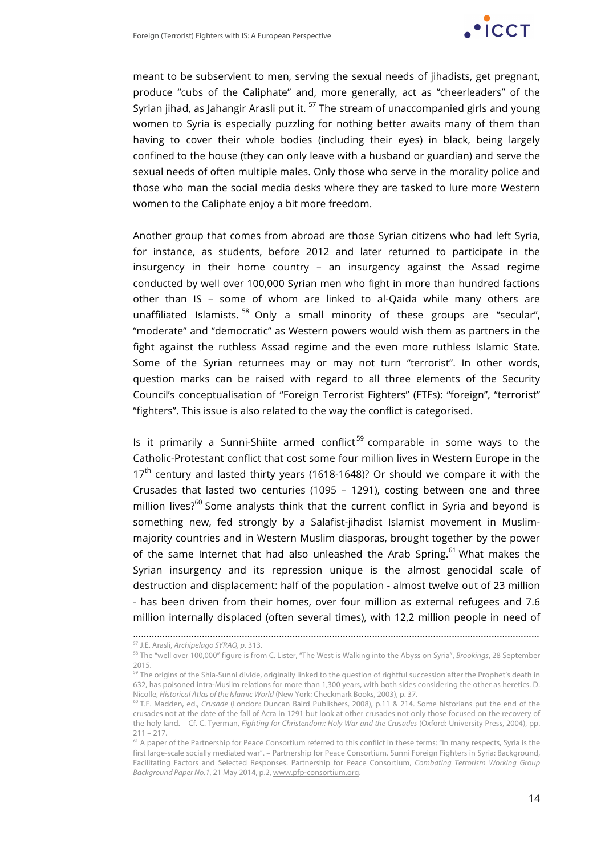

meant to be subservient to men, serving the sexual needs of jihadists, get pregnant, produce "cubs of the Caliphate" and, more generally, act as "cheerleaders" of the Syrian jihad, as Jahangir Arasli put it.  $57$  The stream of unaccompanied girls and young women to Syria is especially puzzling for nothing better awaits many of them than having to cover their whole bodies (including their eyes) in black, being largely confined to the house (they can only leave with a husband or guardian) and serve the sexual needs of often multiple males. Only those who serve in the morality police and those who man the social media desks where they are tasked to lure more Western women to the Caliphate enjoy a bit more freedom.

Another group that comes from abroad are those Syrian citizens who had left Syria, for instance, as students, before 2012 and later returned to participate in the insurgency in their home country – an insurgency against the Assad regime conducted by well over 100,000 Syrian men who fight in more than hundred factions other than IS – some of whom are linked to al-Qaida while many others are unaffiliated Islamists.<sup>58</sup> Only a small minority of these groups are "secular", "moderate" and "democratic" as Western powers would wish them as partners in the fight against the ruthless Assad regime and the even more ruthless Islamic State. Some of the Syrian returnees may or may not turn "terrorist". In other words, question marks can be raised with regard to all three elements of the Security Council's conceptualisation of "Foreign Terrorist Fighters" (FTFs): "foreign", "terrorist" "fighters". This issue is also related to the way the conflict is categorised.

Is it primarily a Sunni-Shiite armed conflict<sup>59</sup> comparable in some ways to the Catholic-Protestant conflict that cost some four million lives in Western Europe in the  $17<sup>th</sup>$  century and lasted thirty years (1618-1648)? Or should we compare it with the Crusades that lasted two centuries (1095 – 1291), costing between one and three million lives?<sup>60</sup> Some analysts think that the current conflict in Syria and beyond is something new, fed strongly by a Salafist-jihadist Islamist movement in Muslimmajority countries and in Western Muslim diasporas, brought together by the power of the same Internet that had also unleashed the Arab Spring. $61$  What makes the Syrian insurgency and its repression unique is the almost genocidal scale of destruction and displacement: half of the population - almost twelve out of 23 million - has been driven from their homes, over four million as external refugees and 7.6 million internally displaced (often several times), with 12,2 million people in need of

<sup>………………………………………………………………………………………………………………………………………</sup>

<sup>57</sup> J.E. Arasli, *Archipelago SYRAQ, p*. 313.

<sup>58</sup> The "well over 100,000" figure is from C. Lister, "The West is Walking into the Abyss on Syria", *Brookings*, 28 September 2015.

<sup>&</sup>lt;sup>59</sup> The origins of the Shia-Sunni divide, originally linked to the question of rightful succession after the Prophet's death in 632, has poisoned intra-Muslim relations for more than 1,300 years, with both sides considering the other as heretics. D. Nicolle, *Historical Atlas of the Islamic World* (New York: Checkmark Books, 2003), p. 37.

<sup>60</sup> T.F. Madden, ed., *Crusade* (London: Duncan Baird Publishers, 2008), p.11 & 214. Some historians put the end of the crusades not at the date of the fall of Acra in 1291 but look at other crusades not only those focused on the recovery of the holy land. – Cf. C. Tyerman, *Fighting for Christendom: Holy War and the Crusades* (Oxford: University Press, 2004), pp. 211 – 217.<br><sup>61</sup> A paper of the Partnership for Peace Consortium referred to this conflict in these terms: "In many respects, Syria is the

first large-scale socially mediated war". – Partnership for Peace Consortium. Sunni Foreign Fighters in Syria: Background, Facilitating Factors and Selected Responses. Partnership for Peace Consortium, *Combating Terrorism Working Group Background Paper No.1*, 21 May 2014, p.2, www.pfp-consortium.org.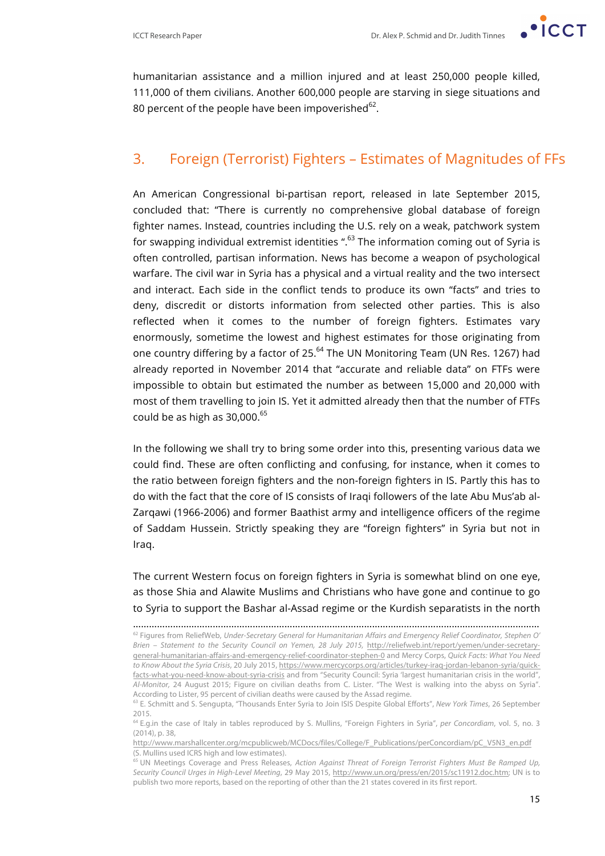

humanitarian assistance and a million injured and at least 250,000 people killed, 111,000 of them civilians. Another 600,000 people are starving in siege situations and 80 percent of the people have been impoverished $^{62}$ .

## 3. Foreign (Terrorist) Fighters – Estimates of Magnitudes of FFs

An American Congressional bi-partisan report, released in late September 2015, concluded that: "There is currently no comprehensive global database of foreign fighter names. Instead, countries including the U.S. rely on a weak, patchwork system for swapping individual extremist identities ". $63$  The information coming out of Syria is often controlled, partisan information. News has become a weapon of psychological warfare. The civil war in Syria has a physical and a virtual reality and the two intersect and interact. Each side in the conflict tends to produce its own "facts" and tries to deny, discredit or distorts information from selected other parties. This is also reflected when it comes to the number of foreign fighters. Estimates vary enormously, sometime the lowest and highest estimates for those originating from one country differing by a factor of 25.<sup>64</sup> The UN Monitoring Team (UN Res. 1267) had already reported in November 2014 that "accurate and reliable data" on FTFs were impossible to obtain but estimated the number as between 15,000 and 20,000 with most of them travelling to join IS. Yet it admitted already then that the number of FTFs could be as high as  $30,000$ .<sup>65</sup>

In the following we shall try to bring some order into this, presenting various data we could find. These are often conflicting and confusing, for instance, when it comes to the ratio between foreign fighters and the non-foreign fighters in IS. Partly this has to do with the fact that the core of IS consists of Iraqi followers of the late Abu Mus'ab al-Zarqawi (1966-2006) and former Baathist army and intelligence officers of the regime of Saddam Hussein. Strictly speaking they are "foreign fighters" in Syria but not in Iraq.

The current Western focus on foreign fighters in Syria is somewhat blind on one eye, as those Shia and Alawite Muslims and Christians who have gone and continue to go to Syria to support the Bashar al-Assad regime or the Kurdish separatists in the north

<sup>………………………………………………………………………………………………………………………………………</sup> <sup>62</sup> Figures from ReliefWeb, *Under-Secretary General for Humanitarian Affairs and Emergency Relief Coordinator, Stephen O' Brien – Statement to the Security Council on Yemen, 28 July 2015,* http://reliefweb.int/report/yemen/under-secretarygeneral-humanitarian-affairs-and-emergency-relief-coordinator-stephen-0 and Mercy Corps, *Quick Facts: What You Need to Know About the Syria Crisis*, 20 July 2015, https://www.mercycorps.org/articles/turkey-iraq-jordan-lebanon-syria/quickfacts-what-you-need-know-about-syria-crisis and from "Security Council: Syria 'largest humanitarian crisis in the world", *Al-Monitor,* 24 August 2015; Figure on civilian deaths from C. Lister. "The West is walking into the abyss on Syria". According to Lister, 95 percent of civilian deaths were caused by the Assad regime.

<sup>63</sup> E. Schmitt and S. Sengupta, "Thousands Enter Syria to Join ISIS Despite Global Efforts", *New York Times*, 26 September 2015.

<sup>64</sup> E.g.in the case of Italy in tables reproduced by S. Mullins, "Foreign Fighters in Syria", *per Concordiam*, vol. 5, no. 3 (2014), p. 38,

http://www.marshallcenter.org/mcpublicweb/MCDocs/files/College/F\_Publications/perConcordiam/pC\_V5N3\_en.pdf (S. Mullins used ICRS high and low estimates).

<sup>65</sup> UN Meetings Coverage and Press Releases, *Action Against Threat of Foreign Terrorist Fighters Must Be Ramped Up, Security Council Urges in High-Level Meeting*, 29 May 2015, http://www.un.org/press/en/2015/sc11912.doc.htm; UN is to publish two more reports, based on the reporting of other than the 21 states covered in its first report.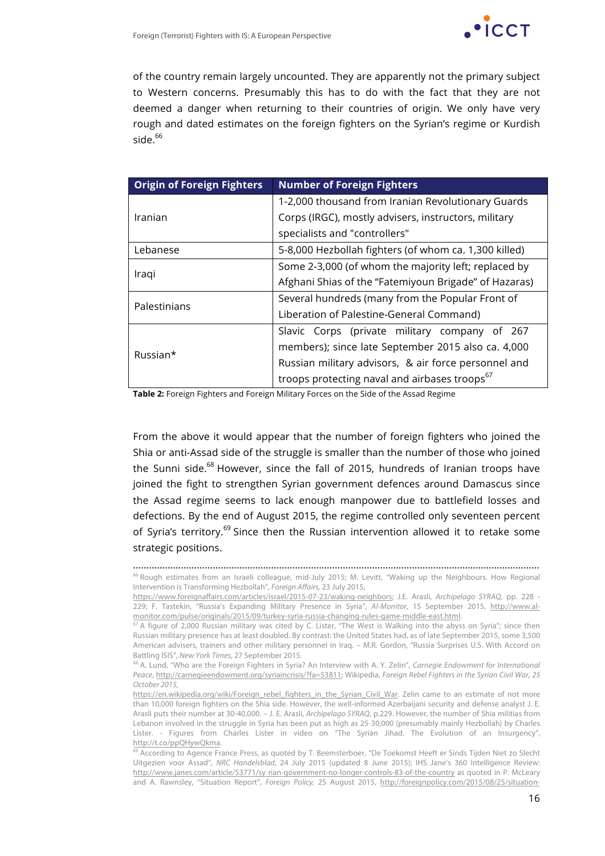

of the country remain largely uncounted. They are apparently not the primary subject to Western concerns. Presumably this has to do with the fact that they are not deemed a danger when returning to their countries of origin. We only have very rough and dated estimates on the foreign fighters on the Syrian's regime or Kurdish side.<sup>66</sup>

| <b>Origin of Foreign Fighters</b> | <b>Number of Foreign Fighters</b>                         |  |
|-----------------------------------|-----------------------------------------------------------|--|
|                                   | 1-2,000 thousand from Iranian Revolutionary Guards        |  |
| Iranian                           | Corps (IRGC), mostly advisers, instructors, military      |  |
|                                   | specialists and "controllers"                             |  |
| Lebanese                          | 5-8,000 Hezbollah fighters (of whom ca. 1,300 killed)     |  |
| Iraqi                             | Some 2-3,000 (of whom the majority left; replaced by      |  |
|                                   | Afghani Shias of the "Fatemiyoun Brigade" of Hazaras)     |  |
| Palestinians                      | Several hundreds (many from the Popular Front of          |  |
|                                   | Liberation of Palestine-General Command)                  |  |
|                                   | Slavic Corps (private military company of 267             |  |
| Russian*                          | members); since late September 2015 also ca. 4,000        |  |
|                                   | Russian military advisors, & air force personnel and      |  |
|                                   | troops protecting naval and airbases troops <sup>67</sup> |  |

**Table 2:** Foreign Fighters and Foreign Military Forces on the Side of the Assad Regime

From the above it would appear that the number of foreign fighters who joined the Shia or anti-Assad side of the struggle is smaller than the number of those who joined the Sunni side.<sup>68</sup> However, since the fall of 2015, hundreds of Iranian troops have joined the fight to strengthen Syrian government defences around Damascus since the Assad regime seems to lack enough manpower due to battlefield losses and defections. By the end of August 2015, the regime controlled only seventeen percent of Syria's territory.<sup>69</sup> Since then the Russian intervention allowed it to retake some strategic positions.

<sup>………………………………………………………………………………………………………………………………………</sup> <sup>66</sup> Rough estimates from an Israeli colleague, mid-July 2015; M. Levitt, "Waking up the Neighbours. How Regional Intervention is Transforming Hezbollah", *Foreign Affairs,* 23 July 2015,

https://www.foreignaffairs.com/articles/israel/2015-07-23/waking-neighbors; J.E. Arasli, *Archipelago SYRAQ,* pp. 228 - 229; F. Tastekin, "Russia's Expanding Military Presence in Syria", *Al-Monitor*, 15 September 2015, http://www.almonitor.com/pulse/originals/2015/09/turkey-syria-russia-changing-rules-game-middle-east.html.

 $67$  A figure of 2,000 Russian military was cited by C. Lister, "The West is Walking into the abyss on Syria"; since then Russian military presence has at least doubled. By contrast: the United States had, as of late September 2015, some 3,500 American advisers, trainers and other military personnel in Iraq. – M.R. Gordon, "Russia Surprises U.S. With Accord on Battling ISIS", *New York Times*, 27 September 2015.

<sup>68</sup> A. Lund, "Who are the Foreign Fighters in Syria? An Interview with A. Y. Zelin", *Carnegie Endowment for International Peace*, http://carnegieendowment.org/syriaincrisis/?fa=53811; Wikipedia, *Foreign Rebel Fighters in the Syrian Civil War*, *25 October 2015,*

https://en.wikipedia.org/wiki/Foreign\_rebel\_fighters\_in\_the\_Syrian\_Civil\_War. Zelin came to an estimate of not more than 10,000 foreign fighters on the Shia side. However, the well-informed Azerbaijani security and defense analyst J. E. Arasli puts their number at 30-40,000. – J. E. Arasli, *Archipelago SYRAQ,* p.229. However, the number of Shia militias from Lebanon involved in the struggle in Syria has been put as high as 25-30,000 (presumably mainly Hezbollah) by Charles Lister. - Figures from Charles Lister in video on "The Syrian Jihad. The Evolution of an Insurgency", http://t.co/ppQHywQkma.

<sup>&</sup>lt;sup>69</sup> According to Agence France Press, as quoted by T. Beemsterboer, "De Toekomst Heeft er Sinds Tijden Niet zo Slecht Uitgezien voor Assad", *NRC Handelsblad*, 24 July 2015 (updated 8 June 2015); IHS Jane's 360 Intelligence Review: http://www.janes.com/article/53771/sy rian-government-no-longer-controls-83-of-the-country as quoted in P. McLeary and A. Rawnsley, "Situation Report", *Foreign Policy,* 25 August 2015, http://foreignpolicy.com/2015/08/25/situation-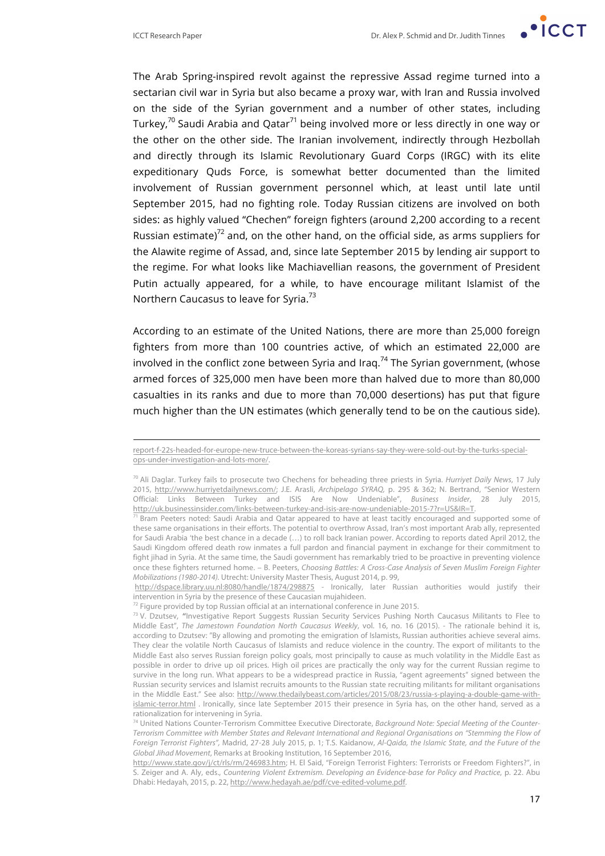l

The Arab Spring-inspired revolt against the repressive Assad regime turned into a sectarian civil war in Syria but also became a proxy war, with Iran and Russia involved on the side of the Syrian government and a number of other states, including Turkey,<sup>70</sup> Saudi Arabia and Qatar<sup>71</sup> being involved more or less directly in one way or the other on the other side. The Iranian involvement, indirectly through Hezbollah and directly through its Islamic Revolutionary Guard Corps (IRGC) with its elite expeditionary Quds Force, is somewhat better documented than the limited involvement of Russian government personnel which, at least until late until September 2015, had no fighting role. Today Russian citizens are involved on both sides: as highly valued "Chechen" foreign fighters (around 2,200 according to a recent Russian estimate)<sup>72</sup> and, on the other hand, on the official side, as arms suppliers for the Alawite regime of Assad, and, since late September 2015 by lending air support to the regime. For what looks like Machiavellian reasons, the government of President Putin actually appeared, for a while, to have encourage militant Islamist of the Northern Caucasus to leave for Syria.<sup>73</sup>

According to an estimate of the United Nations, there are more than 25,000 foreign fighters from more than 100 countries active, of which an estimated 22,000 are involved in the conflict zone between Syria and Iraq.<sup>74</sup> The Syrian government, (whose armed forces of 325,000 men have been more than halved due to more than 80,000 casualties in its ranks and due to more than 70,000 desertions) has put that figure much higher than the UN estimates (which generally tend to be on the cautious side).

report-f-22s-headed-for-europe-new-truce-between-the-koreas-syrians-say-they-were-sold-out-by-the-turks-specialops-under-investigation-and-lots-more/.

<sup>70</sup> Ali Daglar. Turkey fails to prosecute two Chechens for beheading three priests in Syria. *Hurriyet Daily News*, 17 July 2015, http://www.hurriyetdailynews.com/; J.E. Arasli, *Archipelago SYRAQ,* p. 295 & 362; N. Bertrand, "Senior Western Official: Links Between Turkey and ISIS Are Now Undeniable", *Business Insider*, 28 July 2015, http://uk.businessinsider.com/links-between-turkey-and-isis-are-now-undeniable-2015-7?r=US&IR=T.

 $71$  Bram Peeters noted: Saudi Arabia and Qatar appeared to have at least tacitly encouraged and supported some of these same organisations in their efforts. The potential to overthrow Assad, Iran's most important Arab ally, represented for Saudi Arabia 'the best chance in a decade (…) to roll back Iranian power. According to reports dated April 2012, the Saudi Kingdom offered death row inmates a full pardon and financial payment in exchange for their commitment to fight jihad in Syria. At the same time, the Saudi government has remarkably tried to be proactive in preventing violence once these fighters returned home. – B. Peeters, *Choosing Battles: A Cross-Case Analysis of Seven Muslim Foreign Fighter Mobilizations (1980-2014).* Utrecht: University Master Thesis, August 2014, p. 99,

http://dspace.library.uu.nl:8080/handle/1874/298875 - Ironically, later Russian authorities would justify their intervention in Syria by the presence of these Caucasian mujahideen.<br><sup>72</sup> Figure provided by top Russian official at an international conference in June 2015.

<sup>73</sup> V. Dzutsev, "Investigative Report Suggests Russian Security Services Pushing North Caucasus Militants to Flee to Middle East", *The Jamestown Foundation North Caucasus Weekly*, vol. 16, no. 16 (2015). - The rationale behind it is, according to Dzutsev: "By allowing and promoting the emigration of Islamists, Russian authorities achieve several aims. They clear the volatile North Caucasus of Islamists and reduce violence in the country. The export of militants to the Middle East also serves Russian foreign policy goals, most principally to cause as much volatility in the Middle East as possible in order to drive up oil prices. High oil prices are practically the only way for the current Russian regime to survive in the long run. What appears to be a widespread practice in Russia, "agent agreements" signed between the Russian security services and Islamist recruits amounts to the Russian state recruiting militants for militant organisations in the Middle East." See also: http://www.thedailybeast.com/articles/2015/08/23/russia-s-playing-a-double-game-withislamic-terror.html . Ironically, since late September 2015 their presence in Syria has, on the other hand, served as a rationalization for intervening in Syria.

<sup>74</sup> United Nations Counter-Terrorism Committee Executive Directorate, *Background Note: Special Meeting of the Counter-Terrorism Committee with Member States and Relevant International and Regional Organisations on "Stemming the Flow of Foreign Terrorist Fighters",* Madrid, 27-28 July 2015, p. 1; T.S. Kaidanow, *Al-Qaida, the Islamic State, and the Future of the Global Jihad Movement*, Remarks at Brooking Institution, 16 September 2016,

http://www.state.gov/j/ct/rls/rm/246983.htm; H. El Said, "Foreign Terrorist Fighters: Terrorists or Freedom Fighters?", in S. Zeiger and A. Aly, eds., *Countering Violent Extremism. Developing an Evidence-base for Policy and Practice*, p. 22. Abu Dhabi: Hedayah, 2015, p. 22, http://www.hedayah.ae/pdf/cve-edited-volume.pdf.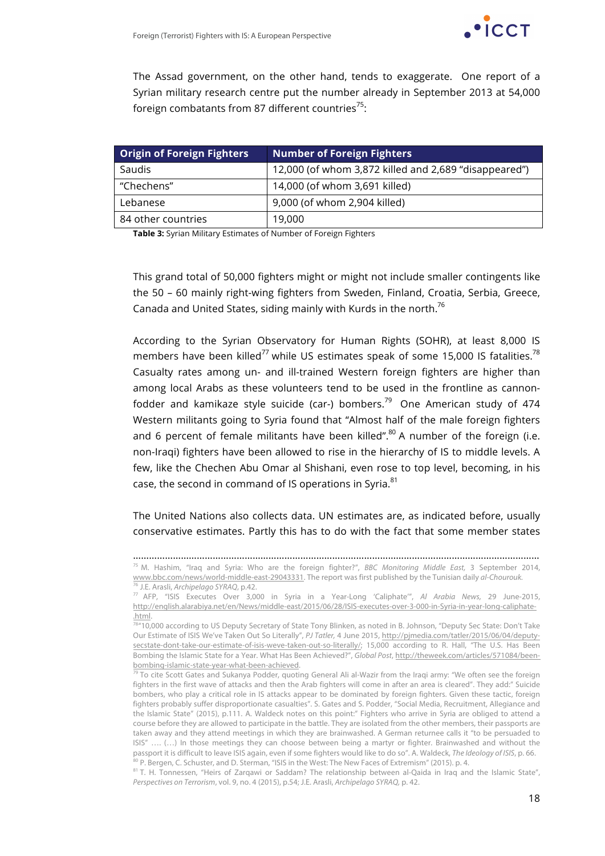The Assad government, on the other hand, tends to exaggerate. One report of a Syrian military research centre put the number already in September 2013 at 54,000 foreign combatants from 87 different countries<sup>75</sup>:

| <b>Origin of Foreign Fighters</b> | <b>Number of Foreign Fighters</b>                     |
|-----------------------------------|-------------------------------------------------------|
| Saudis                            | 12,000 (of whom 3,872 killed and 2,689 "disappeared") |
| "Chechens"                        | 14,000 (of whom 3,691 killed)                         |
| Lebanese                          | 9,000 (of whom 2,904 killed)                          |
| 84 other countries                | 19,000                                                |

**Table 3:** Syrian Military Estimates of Number of Foreign Fighters

This grand total of 50,000 fighters might or might not include smaller contingents like the 50 – 60 mainly right-wing fighters from Sweden, Finland, Croatia, Serbia, Greece, Canada and United States, siding mainly with Kurds in the north.<sup>76</sup>

According to the Syrian Observatory for Human Rights (SOHR), at least 8,000 IS members have been killed<sup>77</sup> while US estimates speak of some 15,000 IS fatalities.<sup>78</sup> Casualty rates among un- and ill-trained Western foreign fighters are higher than among local Arabs as these volunteers tend to be used in the frontline as cannonfodder and kamikaze style suicide (car-) bombers.<sup>79</sup> One American study of 474 Western militants going to Syria found that "Almost half of the male foreign fighters and 6 percent of female militants have been killed".<sup>80</sup> A number of the foreign (i.e. non-Iraqi) fighters have been allowed to rise in the hierarchy of IS to middle levels. A few, like the Chechen Abu Omar al Shishani, even rose to top level, becoming, in his case, the second in command of IS operations in Syria.<sup>81</sup>

The United Nations also collects data. UN estimates are, as indicated before, usually conservative estimates. Partly this has to do with the fact that some member states

<sup>………………………………………………………………………………………………………………………………………</sup> <sup>75</sup> M. Hashim, "Iraq and Syria: Who are the foreign fighter?", *BBC Monitoring Middle East,* 3 September 2014, www.bbc.com/news/world-middle-east-29043331. The report was first published by the Tunisian daily *al-Chourouk.*

<sup>76</sup> J.E. Arasli, *Archipelago SYRAQ*, p.42.

<sup>77</sup> AFP, "ISIS Executes Over 3,000 in Syria in a Year-Long 'Caliphate'", *Al Arabia News,* 29 June-2015, http://english.alarabiya.net/en/News/middle-east/2015/06/28/ISIS-executes-over-3-000-in-Syria-in-year-long-caliphate- .html.

 $78''$ 10,000 according to US Deputy Secretary of State Tony Blinken, as noted in B. Johnson, "Deputy Sec State: Don't Take Our Estimate of ISIS We've Taken Out So Literally", *PJ Tatler,* 4 June 2015, http://pjmedia.com/tatler/2015/06/04/deputysecstate-dont-take-our-estimate-of-isis-weve-taken-out-so-literally/; 15,000 according to R. Hall, "The U.S. Has Been Bombing the Islamic State for a Year. What Has Been Achieved?", *Global Post*, http://theweek.com/articles/571084/beenbombing-islamic-state-year-what-been-achieved.

 $79$  To cite Scott Gates and Sukanya Podder, quoting General Ali al-Wazir from the Iraqi army: "We often see the foreign fighters in the first wave of attacks and then the Arab fighters will come in after an area is cleared". They add:" Suicide bombers, who play a critical role in IS attacks appear to be dominated by foreign fighters. Given these tactic, foreign fighters probably suffer disproportionate casualties". S. Gates and S. Podder, "Social Media, Recruitment, Allegiance and the Islamic State" (2015), p.111. A. Waldeck notes on this point:" Fighters who arrive in Syria are obliged to attend a course before they are allowed to participate in the battle. They are isolated from the other members, their passports are taken away and they attend meetings in which they are brainwashed. A German returnee calls it "to be persuaded to ISIS" …. (…) In those meetings they can choose between being a martyr or fighter. Brainwashed and without the passport it is difficult to leave ISIS again, even if some fighters would like to do so". A. Waldeck, *The Ideology of ISIS*, p. 66. 80 P. Bergen, C. Schuster, and D. Sterman, "ISIS in the West: The New Faces of Extremism" (2015). p. 4.

<sup>&</sup>lt;sup>81</sup> T. H. Tonnessen, "Heirs of Zarqawi or Saddam? The relationship between al-Qaida in Iraq and the Islamic State", *Perspectives on Terrorism*, vol. 9, no. 4 (2015), p.54; J.E. Arasli, *Archipelago SYRAQ,* p. 42.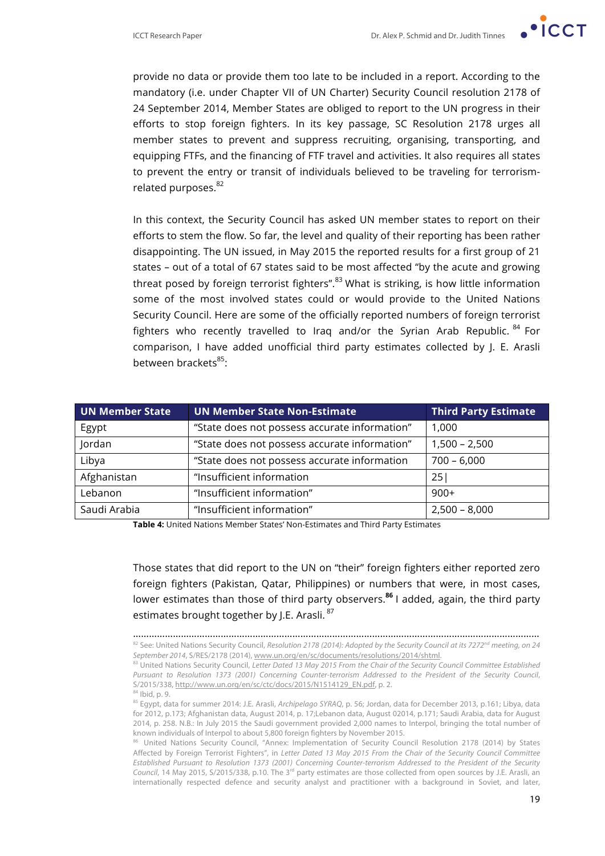

provide no data or provide them too late to be included in a report. According to the mandatory (i.e. under Chapter VII of UN Charter) Security Council resolution 2178 of 24 September 2014, Member States are obliged to report to the UN progress in their efforts to stop foreign fighters. In its key passage, SC Resolution 2178 urges all member states to prevent and suppress recruiting, organising, transporting, and equipping FTFs, and the financing of FTF travel and activities. It also requires all states to prevent the entry or transit of individuals believed to be traveling for terrorismrelated purposes.<sup>82</sup>

In this context, the Security Council has asked UN member states to report on their efforts to stem the flow. So far, the level and quality of their reporting has been rather disappointing. The UN issued, in May 2015 the reported results for a first group of 21 states – out of a total of 67 states said to be most affected "by the acute and growing threat posed by foreign terrorist fighters".<sup>83</sup> What is striking, is how little information some of the most involved states could or would provide to the United Nations Security Council. Here are some of the officially reported numbers of foreign terrorist fighters who recently travelled to Iraq and/or the Syrian Arab Republic. <sup>84</sup> For comparison, I have added unofficial third party estimates collected by J. E. Arasli between brackets<sup>85</sup>:

| <b>UN Member State</b> | <b>UN Member State Non-Estimate</b>           | <b>Third Party Estimate</b> |
|------------------------|-----------------------------------------------|-----------------------------|
| Egypt                  | "State does not possess accurate information" | 1,000                       |
| Jordan                 | "State does not possess accurate information" | $1,500 - 2,500$             |
| Libya                  | "State does not possess accurate information  | $700 - 6,000$               |
| Afghanistan            | "Insufficient information                     | 25!                         |
| Lebanon                | "Insufficient information"                    | $900+$                      |
| Saudi Arabia           | "Insufficient information"                    | $2,500 - 8,000$             |

**Table 4:** United Nations Member States' Non-Estimates and Third Party Estimates

Those states that did report to the UN on "their" foreign fighters either reported zero foreign fighters (Pakistan, Qatar, Philippines) or numbers that were, in most cases, lower estimates than those of third party observers.**<sup>86</sup>** I added, again, the third party estimates brought together by J.E. Arasli.<sup>87</sup>

<sup>………………………………………………………………………………………………………………………………………</sup> <sup>82</sup> See: United Nations Security Council, *Resolution 2178 (2014): Adopted by the Security Council at its 7272nd meeting, on 24 September 2014*, S/RES/2178 (2014), www.un.org/en/sc/documents/resolutions/2014/shtml.

<sup>83</sup> United Nations Security Council, Letter Dated 13 May 2015 From the Chair of the Security Council Committee Established *Pursuant to Resolution 1373 (2001) Concerning Counter-terrorism Addressed to the President of the Security Council*, S/2015/338, http://www.un.org/en/sc/ctc/docs/2015/N1514129\_EN.pdf, p. 2. <sup>84</sup> Ibid, p. 9.

<sup>85</sup> Egypt, data for summer 2014: J.E. Arasli, *Archipelago SYRAQ*, p. 56; Jordan, data for December 2013, p.161; Libya, data for 2012, p.173; Afghanistan data, August 2014, p. 17;Lebanon data, August 02014, p.171; Saudi Arabia, data for August 2014, p. 258. N.B.: In July 2015 the Saudi government provided 2,000 names to Interpol, bringing the total number of known individuals of Interpol to about 5,800 foreign fighters by November 2015.

United Nations Security Council, "Annex: Implementation of Security Council Resolution 2178 (2014) by States Affected by Foreign Terrorist Fighters", in *Letter Dated 13 May 2015 From the Chair of the Security Council Committee Established Pursuant to Resolution 1373 (2001) Concerning Counter-terrorism Addressed to the President of the Security*  Council, 14 May 2015, S/2015/338, p.10. The 3<sup>rd</sup> party estimates are those collected from open sources by J.E. Arasli, an internationally respected defence and security analyst and practitioner with a background in Soviet, and later,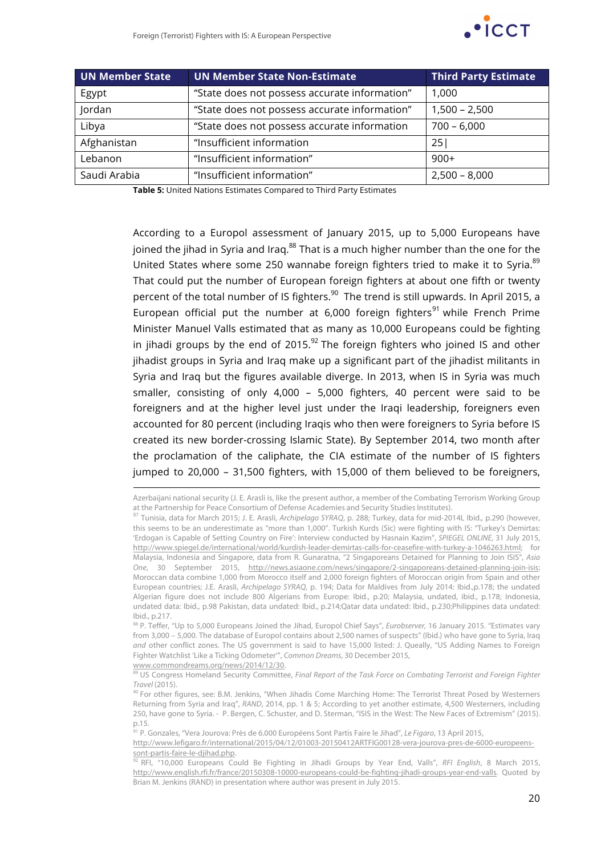

| UN Member State | UN Member State Non-Estimate                  | <b>Third Party Estimate</b> |
|-----------------|-----------------------------------------------|-----------------------------|
| Egypt           | "State does not possess accurate information" | 1,000                       |
| Jordan          | "State does not possess accurate information" | $1,500 - 2,500$             |
| Libya           | "State does not possess accurate information  | $700 - 6,000$               |
| Afghanistan     | "Insufficient information                     | 25                          |
| Lebanon         | "Insufficient information"                    | $900+$                      |
| Saudi Arabia    | "Insufficient information"                    | $2,500 - 8,000$             |

**Table 5:** United Nations Estimates Compared to Third Party Estimates

According to a Europol assessment of January 2015, up to 5,000 Europeans have joined the jihad in Syria and Iraq.<sup>88</sup> That is a much higher number than the one for the United States where some 250 wannabe foreign fighters tried to make it to Syria. $89$ That could put the number of European foreign fighters at about one fifth or twenty percent of the total number of IS fighters.<sup>90</sup> The trend is still upwards. In April 2015, a European official put the number at 6,000 foreign fighters<sup>91</sup> while French Prime Minister Manuel Valls estimated that as many as 10,000 Europeans could be fighting in jihadi groups by the end of 2015.<sup>92</sup> The foreign fighters who joined IS and other jihadist groups in Syria and Iraq make up a significant part of the jihadist militants in Syria and Iraq but the figures available diverge. In 2013, when IS in Syria was much smaller, consisting of only 4,000 – 5,000 fighters, 40 percent were said to be foreigners and at the higher level just under the Iraqi leadership, foreigners even accounted for 80 percent (including Iraqis who then were foreigners to Syria before IS created its new border-crossing Islamic State). By September 2014, two month after the proclamation of the caliphate, the CIA estimate of the number of IS fighters jumped to 20,000 – 31,500 fighters, with 15,000 of them believed to be foreigners,

www.commondreams.org/news/2014/12/30. <sup>89</sup> US Congress Homeland Security Committee, Final Report of the Task Force on Combating Terrorist and Foreign Fighter

l

Azerbaijani national security (J. E. Arasli is, like the present author, a member of the Combating Terrorism Working Group at the Partnership for Peace Consortium of Defense Academies and Security Studies Institutes).

<sup>87</sup> Tunisia, data for March 2015; J. E. Arasli, *Archipelago SYRAQ*, p. 288; Turkey, data for mid-2014L Ibid.*,* p.290 (however, this seems to be an underestimate as "more than 1,000". Turkish Kurds (Sic) were fighting with IS: "Turkey's Demirtas: 'Erdogan is Capable of Setting Country on Fire': Interview conducted by Hasnain Kazim", *SPIEGEL ONLINE*, 31 July 2015, http://www.spiegel.de/international/world/kurdish-leader-demirtas-calls-for-ceasefire-with-turkey-a-1046263.html; for Malaysia, Indonesia and Singapore, data from R. Gunaratna, "2 Singaporeans Detained for Planning to Join ISIS", *Asia One*, 30 September 2015, http://news.asiaone.com/news/singapore/2-singaporeans-detained-planning-join-isis; Moroccan data combine 1,000 from Morocco itself and 2,000 foreign fighters of Moroccan origin from Spain and other European countries; J.E. Arasli, *Archipelago SYRAQ,* p. 194; Data for Maldives from July 2014: Ibid.,p.178; the undated Algerian figure does not include 800 Algerians from Europe: Ibid., p.20; Malaysia, undated, ibid., p.178; Indonesia, undated data: Ibid., p.98 Pakistan, data undated: Ibid., p.214;Qatar data undated: Ibid., p.230;Philippines data undated: Ibid., p.217.

<sup>88</sup> P. Teffer, "Up to 5,000 Europeans Joined the Jihad, Europol Chief Says", *Eurobserver*, 16 January 2015. "Estimates vary from 3,000 – 5,000. The database of Europol contains about 2,500 names of suspects" (Ibid.) who have gone to Syria, Iraq *and* other conflict zones. The US government is said to have 15,000 listed: J. Queally, "US Adding Names to Foreign Fighter Watchlist 'Like a Ticking Odometer'", *Common Dreams*, 30 December 2015,

*Travel* (2015).

<sup>90</sup> For other figures, see: B.M. Jenkins, "When Jihadis Come Marching Home: The Terrorist Threat Posed by Westerners Returning from Syria and Iraq", *RAND*, 2014, pp. 1 & 5; According to yet another estimate, 4,500 Westerners, including 250, have gone to Syria. - P. Bergen, C. Schuster, and D. Sterman, "ISIS in the West: The New Faces of Extremism" (2015). p.15.

<sup>91</sup> P. Gonzales, "Vera Jourova: Près de 6.000 Européens Sont Partis Faire le Jihad", *Le Figaro*, 13 April 2015,

http://www.lefigaro.fr/international/2015/04/12/01003-20150412ARTFIG00128-vera-jourova-pres-de-6000-europeenssont-partis-faire-le-djihad.php.

<sup>92</sup> RFI, "10,000 Europeans Could Be Fighting in Jihadi Groups by Year End, Valls", *RFI English*, 8 March 2015, http://www.english.rfi.fr/france/20150308-10000-europeans-could-be-fighting-jihadi-groups-year-end-valls. Quoted by Brian M. Jenkins (RAND) in presentation where author was present in July 2015.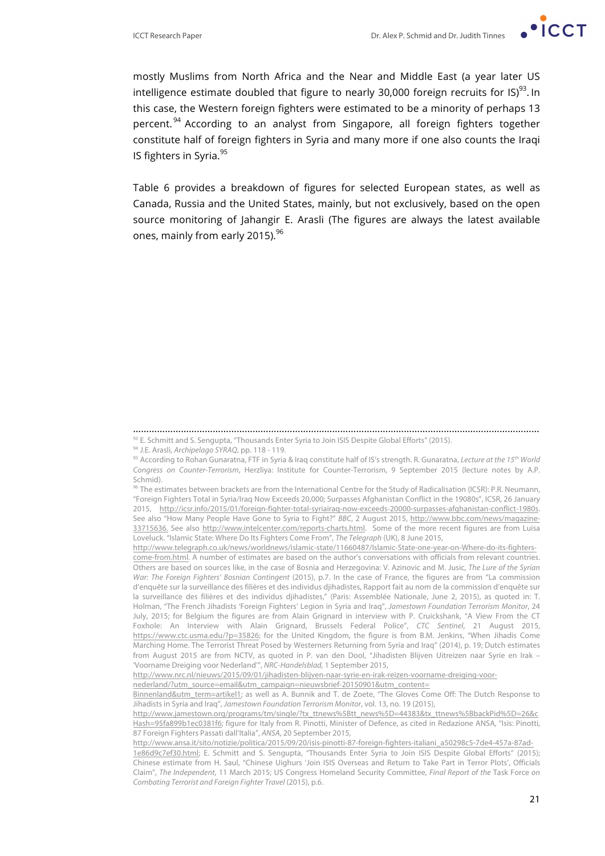

mostly Muslims from North Africa and the Near and Middle East (a year later US intelligence estimate doubled that figure to nearly 30,000 foreign recruits for IS) $^{93}$ . In this case, the Western foreign fighters were estimated to be a minority of perhaps 13 percent.<sup>94</sup> According to an analyst from Singapore, all foreign fighters together constitute half of foreign fighters in Syria and many more if one also counts the Iraqi IS fighters in Syria.<sup>95</sup>

Table 6 provides a breakdown of figures for selected European states, as well as Canada, Russia and the United States, mainly, but not exclusively, based on the open source monitoring of Jahangir E. Arasli (The figures are always the latest available ones, mainly from early 2015). $96$ 

nederland/?utm\_source=email&utm\_campaign=nieuwsbrief-20150901&utm\_content=

<sup>………………………………………………………………………………………………………………………………………</sup> 93 E. Schmitt and S. Sengupta, "Thousands Enter Syria to Join ISIS Despite Global Efforts" (2015).

<sup>94</sup> J.E. Arasli, *Archipelago SYRAQ*, pp. 118 - 119.

<sup>95</sup> According to Rohan Gunaratna, FTF in Syria & Iraq constitute half of IS's strength. R. Gunaratna, *Lecture at the 15th World Congress on Counter-Terrorism*, Herzliya: Institute for Counter-Terrorism, 9 September 2015 (lecture notes by A.P. Schmid).

<sup>96</sup> The estimates between brackets are from the International Centre for the Study of Radicalisation (ICSR): P.R. Neumann, "Foreign Fighters Total in Syria/Iraq Now Exceeds 20,000; Surpasses Afghanistan Conflict in the 19080s", ICSR, 26 January 2015, http://icsr.info/2015/01/foreign-fighter-total-syriairaq-now-exceeds-20000-surpasses-afghanistan-conflict-1980s. See also "How Many People Have Gone to Syria to Fight?" *BBC*, 2 August 2015, http://www.bbc.com/news/magazine-33715636. See also http://www.intelcenter.com/reports-charts.html. Some of the more recent figures are from Luisa Loveluck. "Islamic State: Where Do Its Fighters Come From", *The Telegraph* (UK), 8 June 2015,

http://www.telegraph.co.uk/news/worldnews/islamic-state/11660487/Islamic-State-one-year-on-Where-do-its-fighterscome-from.html. A number of estimates are based on the author's conversations with officials from relevant countries. Others are based on sources like, in the case of Bosnia and Herzegovina: V. Azinovic and M. Jusic, *The Lure of the Syrian War: The Foreign Fighters' Bosnian Contingent* (2015), p.7. In the case of France, the figures are from "La commission d'enquête sur la surveillance des filières et des individus djihadistes, Rapport fait au nom de la commission d'enquête sur la surveillance des filières et des individus djihadistes," (Paris: Assemblée Nationale, June 2, 2015), as quoted in: T. Holman, "The French Jihadists 'Foreign Fighters' Legion in Syria and Iraq", *Jamestown Foundation Terrorism Monitor*, 24 July, 2015; for Belgium the figures are from Alain Grignard in interview with P. Cruickshank, "A View From the CT Foxhole: An Interview with Alain Grignard, Brussels Federal Police", *CTC Sentinel*, 21 August 2015, https://www.ctc.usma.edu/?p=35826; for the United Kingdom, the figure is from B.M. Jenkins, "When Jihadis Come Marching Home. The Terrorist Threat Posed by Westerners Returning from Syria and Iraq" (2014), p. 19; Dutch estimates from August 2015 are from NCTV, as quoted in P. van den Dool, "Jihadisten Blijven Uitreizen naar Syrie en Irak – 'Voorname Dreiging voor Nederland'", *NRC-Handelsblad,* 1 September 2015,

http://www.nrc.nl/nieuws/2015/09/01/jihadisten-blijven-naar-syrie-en-irak-reizen-voorname-dreiging-voor-

Binnenland&utm\_term=artikel1; as well as A. Bunnik and T. de Zoete, "The Gloves Come Off: The Dutch Response to Jihadists in Syria and Iraq", *Jamestown Foundation Terrorism Monitor*, vol. 13, no. 19 (2015),

http://www.jamestown.org/programs/tm/single/?tx\_ttnews%5Btt\_news%5D=44383&tx\_ttnews%5BbackPid%5D=26&c Hash=95fa899b1ec0381f6; figure for Italy from R. Pinotti, Minister of Defence, as cited in Redazione ANSA, "Isis: Pinotti, 87 Foreign Fighters Passati dall'Italia", *ANSA*, 20 September 2015,

http://www.ansa.it/sito/notizie/politica/2015/09/20/isis-pinotti-87-foreign-fighters-italiani\_a50298c5-7de4-457a-87ad-1e86d9c7ef30.html; E. Schmitt and S. Sengupta, "Thousands Enter Syria to Join ISIS Despite Global Efforts" (2015); Chinese estimate from H. Saul, "Chinese Uighurs 'Join ISIS Overseas and Return to Take Part in Terror Plots', Officials Claim", *The Independent*, 11 March 2015; US Congress Homeland Security Committee, *Final Report of the* Task Force *on Combating Terrorist and Foreign Fighter Travel* (2015), p.6.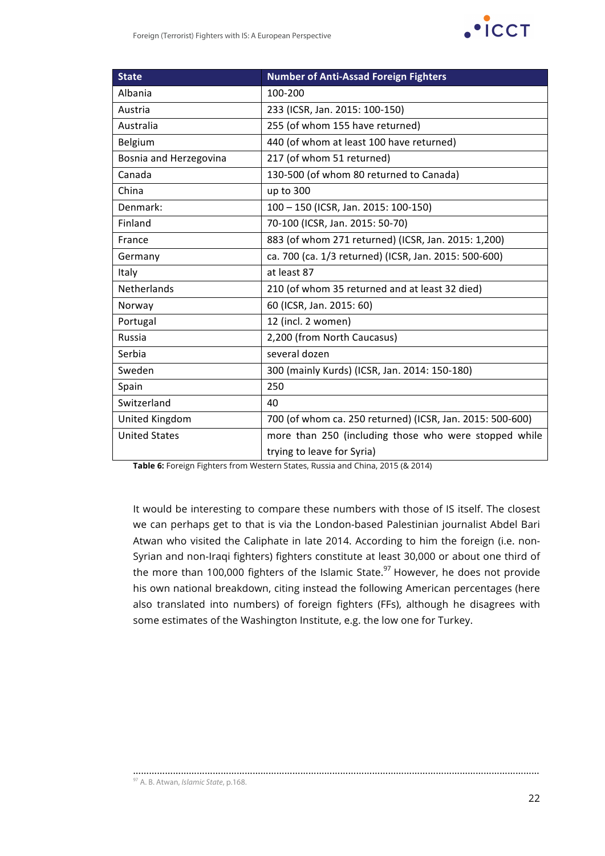

| <b>State</b>           | <b>Number of Anti-Assad Foreign Fighters</b>              |
|------------------------|-----------------------------------------------------------|
| Albania                | 100-200                                                   |
| Austria                | 233 (ICSR, Jan. 2015: 100-150)                            |
| Australia              | 255 (of whom 155 have returned)                           |
| Belgium                | 440 (of whom at least 100 have returned)                  |
| Bosnia and Herzegovina | 217 (of whom 51 returned)                                 |
| Canada                 | 130-500 (of whom 80 returned to Canada)                   |
| China                  | up to 300                                                 |
| Denmark:               | 100 - 150 (ICSR, Jan. 2015: 100-150)                      |
| Finland                | 70-100 (ICSR, Jan. 2015: 50-70)                           |
| France                 | 883 (of whom 271 returned) (ICSR, Jan. 2015: 1,200)       |
| Germany                | ca. 700 (ca. 1/3 returned) (ICSR, Jan. 2015: 500-600)     |
| Italy                  | at least 87                                               |
| <b>Netherlands</b>     | 210 (of whom 35 returned and at least 32 died)            |
| Norway                 | 60 (ICSR, Jan. 2015: 60)                                  |
| Portugal               | 12 (incl. 2 women)                                        |
| Russia                 | 2,200 (from North Caucasus)                               |
| Serbia                 | several dozen                                             |
| Sweden                 | 300 (mainly Kurds) (ICSR, Jan. 2014: 150-180)             |
| Spain                  | 250                                                       |
| Switzerland            | 40                                                        |
| United Kingdom         | 700 (of whom ca. 250 returned) (ICSR, Jan. 2015: 500-600) |
| <b>United States</b>   | more than 250 (including those who were stopped while     |
|                        | trying to leave for Syria)                                |

**Table 6:** Foreign Fighters from Western States, Russia and China, 2015 (& 2014)

It would be interesting to compare these numbers with those of IS itself. The closest we can perhaps get to that is via the London-based Palestinian journalist Abdel Bari Atwan who visited the Caliphate in late 2014. According to him the foreign (i.e. non-Syrian and non-Iraqi fighters) fighters constitute at least 30,000 or about one third of the more than 100,000 fighters of the Islamic State. $97$  However, he does not provide his own national breakdown, citing instead the following American percentages (here also translated into numbers) of foreign fighters (FFs), although he disagrees with some estimates of the Washington Institute, e.g. the low one for Turkey.

………………………………………………………………………………………………………………………………………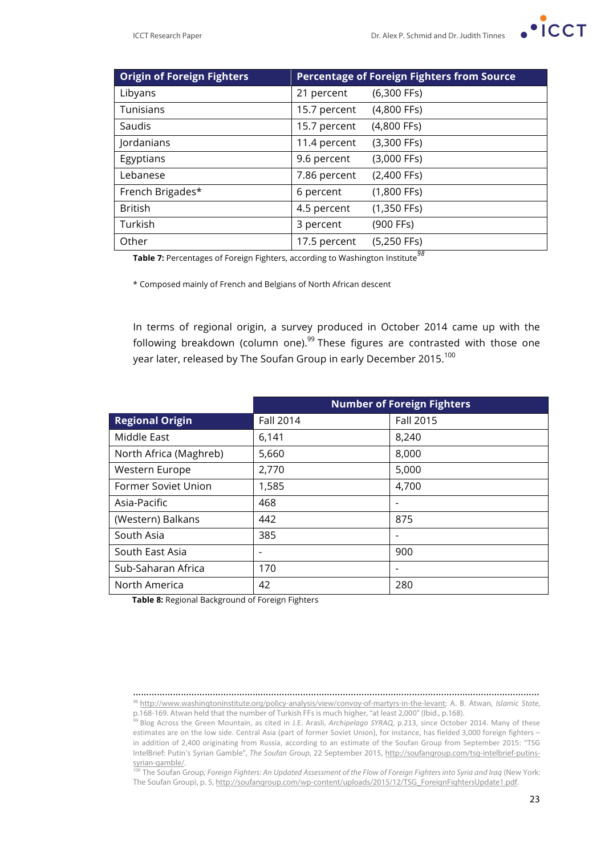

| <b>Origin of Foreign Fighters</b> | <b>Percentage of Foreign Fighters from Source</b> |               |  |
|-----------------------------------|---------------------------------------------------|---------------|--|
| Libyans                           | 21 percent                                        | $(6,300$ FFs) |  |
| Tunisians                         | 15.7 percent                                      | $(4,800$ FFs) |  |
| Saudis                            | 15.7 percent                                      | (4,800 FFs)   |  |
| Jordanians                        | 11.4 percent                                      | $(3,300$ FFs) |  |
| Egyptians                         | 9.6 percent                                       | $(3,000$ FFs) |  |
| Lebanese                          | 7.86 percent                                      | $(2,400$ FFs) |  |
| French Brigades*                  | 6 percent                                         | $(1,800$ FFs) |  |
| <b>British</b>                    | 4.5 percent                                       | $(1,350$ FFs) |  |
| Turkish                           | 3 percent                                         | (900 FFs)     |  |
| Other                             | 17.5 percent                                      | $(5,250$ FFs) |  |

**Table 7:** Percentages of Foreign Fighters, according to Washington Institute*<sup>98</sup>*

\* Composed mainly of French and Belgians of North African descent

In terms of regional origin, a survey produced in October 2014 came up with the following breakdown (column one).<sup>99</sup> These figures are contrasted with those one year later, released by The Soufan Group in early December 2015.<sup>100</sup>

|                        | <b>Number of Foreign Fighters</b> |           |
|------------------------|-----------------------------------|-----------|
| <b>Regional Origin</b> | Fall 2014                         | Fall 2015 |
| Middle East            | 6,141                             | 8,240     |
| North Africa (Maghreb) | 5,660                             | 8,000     |
| Western Europe         | 2,770                             | 5,000     |
| Former Soviet Union    | 1,585                             | 4,700     |
| Asia-Pacific           | 468                               |           |
| (Western) Balkans      | 442                               | 875       |
| South Asia             | 385                               |           |
| South East Asia        |                                   | 900       |
| Sub-Saharan Africa     | 170                               |           |
| North America          | 42                                | 280       |

**Table 8:** Regional Background of Foreign Fighters

<sup>………………………………………………………………………………………………………………………………………</sup> <sup>98</sup> http://www.washingtoninstitute.org/policy-analysis/view/convoy-of-martyrs-in-the-levant; A. B. Atwan, *Islamic State*, p.168-169. Atwan held that the number of Turkish FFs is much higher, "at least 2,000" (Ibid., p.168).

<sup>&</sup>lt;sup>99</sup> Blog Across the Green Mountain, as cited in J.E. Arasli, *Archipelago SYRAQ*, p.213, since October 2014. Many of these estimates are on the low side. Central Asia (part of former Soviet Union), for instance, has fielded 3,000 foreign fighters in addition of 2,400 originating from Russia, according to an estimate of the Soufan Group from September 2015: "TSG IntelBrief: Putin's Syrian Gamble", *The Soufan Group*, 22 September 2015, http://soufangroup.com/tsg-intelbrief-putinssyrian-gamble/.

<sup>&</sup>lt;sup>100</sup> The Soufan Group, Foreign Fighters: An Updated Assessment of the Flow of Foreign Fighters into Syria and Iraq (New York: The Soufan Group), p. 5, http://soufangroup.com/wp-content/uploads/2015/12/TSG\_ForeignFightersUpdate1.pdf.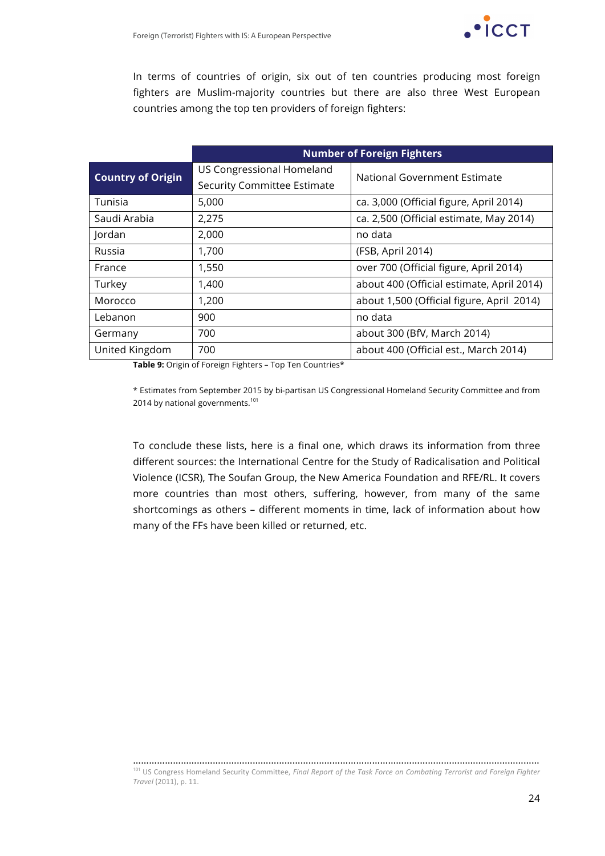

In terms of countries of origin, six out of ten countries producing most foreign fighters are Muslim-majority countries but there are also three West European countries among the top ten providers of foreign fighters:

|                          | <b>Number of Foreign Fighters</b> |                                           |  |
|--------------------------|-----------------------------------|-------------------------------------------|--|
| <b>Country of Origin</b> | US Congressional Homeland         | National Government Estimate              |  |
|                          | Security Committee Estimate       |                                           |  |
| Tunisia                  | 5,000                             | ca. 3,000 (Official figure, April 2014)   |  |
| Saudi Arabia             | 2,275                             | ca. 2,500 (Official estimate, May 2014)   |  |
| Jordan                   | 2,000                             | no data                                   |  |
| Russia                   | 1,700                             | (FSB, April 2014)                         |  |
| France                   | 1,550                             | over 700 (Official figure, April 2014)    |  |
| Turkey                   | 1,400                             | about 400 (Official estimate, April 2014) |  |
| Morocco                  | 1,200                             | about 1,500 (Official figure, April 2014) |  |
| Lebanon                  | 900                               | no data                                   |  |
| Germany                  | 700                               | about 300 (BfV, March 2014)               |  |
| United Kingdom           | 700                               | about 400 (Official est., March 2014)     |  |

**Table 9:** Origin of Foreign Fighters – Top Ten Countries\*

\* Estimates from September 2015 by bi-partisan US Congressional Homeland Security Committee and from 2014 by national governments.<sup>101</sup>

To conclude these lists, here is a final one, which draws its information from three different sources: the International Centre for the Study of Radicalisation and Political Violence (ICSR), The Soufan Group, the New America Foundation and RFE/RL. It covers more countries than most others, suffering, however, from many of the same shortcomings as others – different moments in time, lack of information about how many of the FFs have been killed or returned, etc.

<sup>………………………………………………………………………………………………………………………………………</sup> <sup>101</sup> US Congress Homeland Security Committee, *Final Report of the Task Force on Combating Terrorist and Foreign Fighter Travel* (2011), p. 11.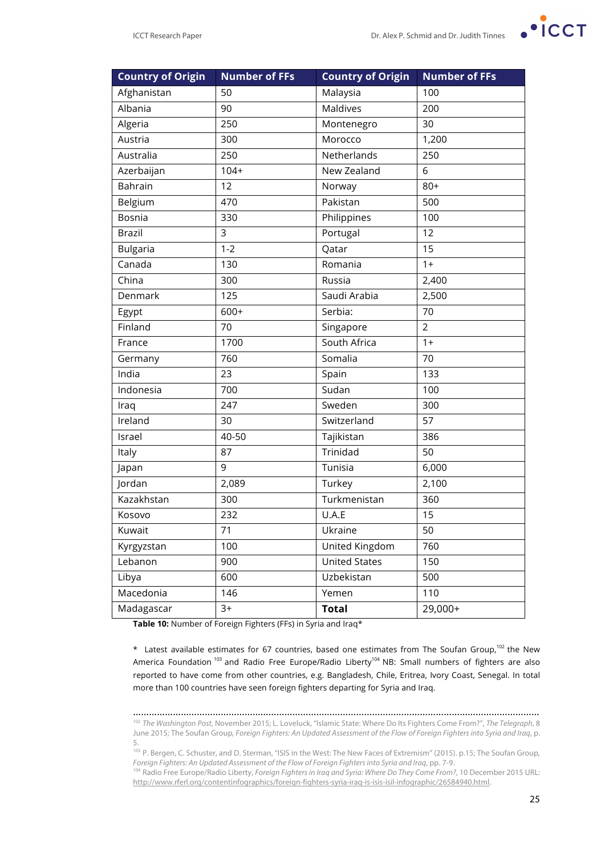

| <b>Country of Origin</b> | <b>Number of FFs</b> | <b>Country of Origin</b> | <b>Number of FFs</b> |
|--------------------------|----------------------|--------------------------|----------------------|
| Afghanistan              | 50                   | Malaysia                 | 100                  |
| Albania                  | 90                   | Maldives                 | 200                  |
| Algeria                  | 250                  | Montenegro               | 30                   |
| Austria                  | 300                  | Morocco                  | 1,200                |
| Australia                | 250                  | Netherlands              | 250                  |
| Azerbaijan               | $104+$               | New Zealand              | 6                    |
| Bahrain                  | 12                   | Norway                   | $80+$                |
| Belgium                  | 470                  | Pakistan                 | 500                  |
| Bosnia                   | 330                  | Philippines              | 100                  |
| <b>Brazil</b>            | 3                    | Portugal                 | 12                   |
| <b>Bulgaria</b>          | $1 - 2$              | Qatar                    | 15                   |
| Canada                   | 130                  | Romania                  | $1+$                 |
| China                    | 300                  | Russia                   | 2,400                |
| Denmark                  | 125                  | Saudi Arabia             | 2,500                |
| Egypt                    | $600+$               | Serbia:                  | 70                   |
| Finland                  | 70                   | Singapore                | $\overline{2}$       |
| France                   | 1700                 | South Africa             | $1+$                 |
| Germany                  | 760                  | Somalia                  | 70                   |
| India                    | 23                   | Spain                    | 133                  |
| Indonesia                | 700                  | Sudan                    | 100                  |
| Iraq                     | 247                  | Sweden                   | 300                  |
| Ireland                  | 30                   | Switzerland              | 57                   |
| Israel                   | 40-50                | Tajikistan               | 386                  |
| Italy                    | 87                   | Trinidad                 | 50                   |
| Japan                    | 9                    | Tunisia                  | 6,000                |
| Jordan                   | 2,089                | Turkey                   | 2,100                |
| Kazakhstan               | 300                  | Turkmenistan             | 360                  |
| Kosovo                   | 232                  | U.A.E                    | 15                   |
| Kuwait                   | 71                   | Ukraine                  | 50                   |
| Kyrgyzstan               | 100                  | United Kingdom           | 760                  |
| Lebanon                  | 900                  | <b>United States</b>     | 150                  |
| Libya                    | 600                  | Uzbekistan               | 500                  |
| Macedonia                | 146                  | Yemen                    | 110                  |
| Madagascar               | $3+$                 | <b>Total</b>             | 29,000+              |

**Table 10:** Number of Foreign Fighters (FFs) in Syria and Iraq\*

 $*$  Latest available estimates for 67 countries, based one estimates from The Soufan Group,<sup>102</sup> the New America Foundation<sup>103</sup> and Radio Free Europe/Radio Liberty<sup>104</sup> NB: Small numbers of fighters are also reported to have come from other countries, e.g. Bangladesh, Chile, Eritrea, Ivory Coast, Senegal. In total more than 100 countries have seen foreign fighters departing for Syria and Iraq.

……………………………………………………………………………………………………………………………………… <sup>102</sup> *The Washington Post*, November 2015; L. Loveluck, "Islamic State: Where Do Its Fighters Come From?", *The Telegraph*, 8 June 2015; The Soufan Group*, Foreign Fighters: An Updated Assessment of the Flow of Foreign Fighters into Syria and Iraq*, p. 5.

<sup>103</sup> P. Bergen, C. Schuster, and D. Sterman, "ISIS in the West: The New Faces of Extremism" (2015). p.15; The Soufan Group*, Foreign Fighters: An Updated Assessment of the Flow of Foreign Fighters into Syria and Iraq*, pp. 7-9.

<sup>104</sup> Radio Free Europe/Radio Liberty, *Foreign Fighters in Iraq and Syria: Where Do They Come From?*, 10 December 2015 URL: http://www.rferl.org/contentinfographics/foreign-fighters-syria-iraq-is-isis-isil-infographic/26584940.html.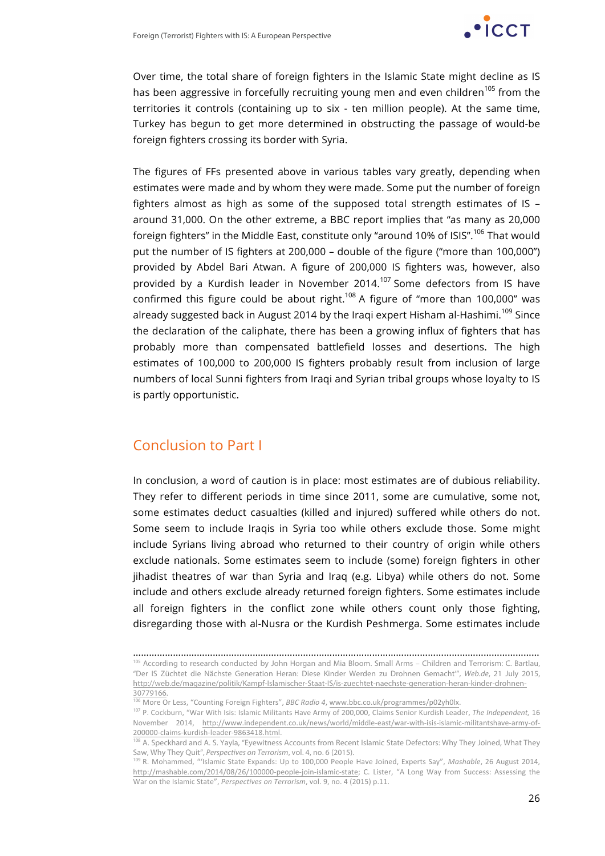

Over time, the total share of foreign fighters in the Islamic State might decline as IS has been aggressive in forcefully recruiting young men and even children<sup>105</sup> from the territories it controls (containing up to six - ten million people). At the same time, Turkey has begun to get more determined in obstructing the passage of would-be foreign fighters crossing its border with Syria.

The figures of FFs presented above in various tables vary greatly, depending when estimates were made and by whom they were made. Some put the number of foreign fighters almost as high as some of the supposed total strength estimates of IS – around 31,000. On the other extreme, a BBC report implies that "as many as 20,000 foreign fighters" in the Middle East, constitute only "around 10% of ISIS".<sup>106</sup> That would put the number of IS fighters at 200,000 – double of the figure ("more than 100,000") provided by Abdel Bari Atwan. A figure of 200,000 IS fighters was, however, also provided by a Kurdish leader in November 2014.<sup>107</sup> Some defectors from IS have confirmed this figure could be about right.<sup>108</sup> A figure of "more than 100,000" was already suggested back in August 2014 by the Iraqi expert Hisham al-Hashimi.<sup>109</sup> Since the declaration of the caliphate, there has been a growing influx of fighters that has probably more than compensated battlefield losses and desertions. The high estimates of 100,000 to 200,000 IS fighters probably result from inclusion of large numbers of local Sunni fighters from Iraqi and Syrian tribal groups whose loyalty to IS is partly opportunistic.

## Conclusion to Part I

In conclusion, a word of caution is in place: most estimates are of dubious reliability. They refer to different periods in time since 2011, some are cumulative, some not, some estimates deduct casualties (killed and injured) suffered while others do not. Some seem to include Iraqis in Syria too while others exclude those. Some might include Syrians living abroad who returned to their country of origin while others exclude nationals. Some estimates seem to include (some) foreign fighters in other jihadist theatres of war than Syria and Iraq (e.g. Libya) while others do not. Some include and others exclude already returned foreign fighters. Some estimates include all foreign fighters in the conflict zone while others count only those fighting, disregarding those with al-Nusra or the Kurdish Peshmerga. Some estimates include

<sup>………………………………………………………………………………………………………………………………………</sup> 105 According to research conducted by John Horgan and Mia Bloom. Small Arms – Children and Terrorism: C. Bartlau, "Der IS Züchtet die Nächste Generation Heran: Diese Kinder Werden zu Drohnen Gemacht'", *Web.de*, 21 July 2015, http://web.de/magazine/politik/Kampf-Islamischer-Staat-IS/is-zuechtet-naechste-generation-heran-kinder-drohnen-30779166.

<sup>&</sup>lt;sup>1</sup><br>106 More Or Less, "Counting Foreign Fighters", *BBC Radio 4*, www.bbc.co.uk/programmes/p02yh0lx.

<sup>107</sup> P. Cockburn, "War With Isis: Islamic Militants Have Army of 200,000, Claims Senior Kurdish Leader, The Independent, 16 November 2014, http://www.independent.co.uk/news/world/middle-east/war-with-isis-islamic-militantshave-army-of-200000-claims-kurdish-leader-9863418.html.

<sup>&</sup>lt;sup>108</sup> A. Speckhard and A. S. Yayla, "Eyewitness Accounts from Recent Islamic State Defectors: Why They Joined, What They Saw, Why They Quit", *Perspectives on Terrorism*, vol. 4, no. 6 (2015).

<sup>&</sup>lt;sup>109</sup> R. Mohammed, "'Islamic State Expands: Up to 100,000 People Have Joined, Experts Say", *Mashable*, 26 August 2014, http://mashable.com/2014/08/26/100000-people-join-islamic-state; C. Lister, "A Long Way from Success: Assessing the War on the Islamic State", *Perspectives on Terrorism*, vol. 9, no. 4 (2015) p.11.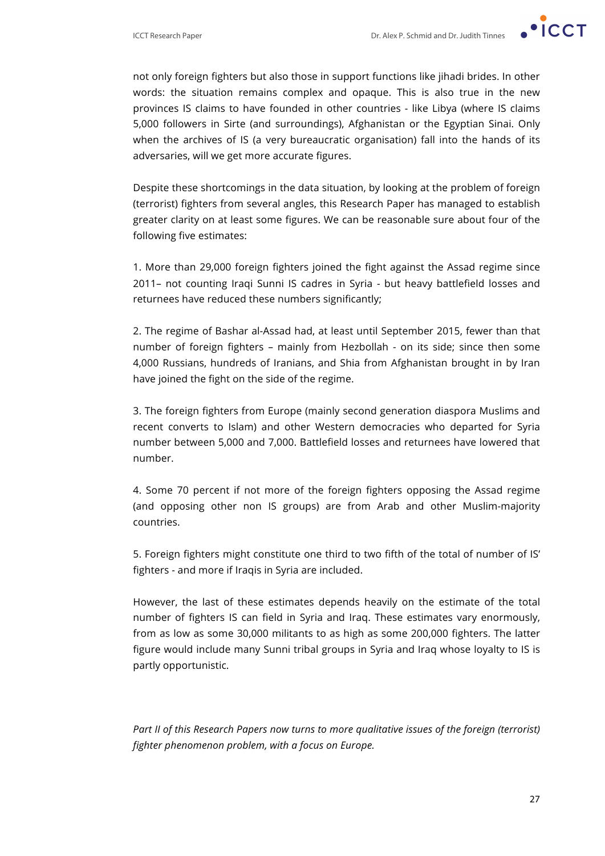

not only foreign fighters but also those in support functions like jihadi brides. In other words: the situation remains complex and opaque. This is also true in the new provinces IS claims to have founded in other countries - like Libya (where IS claims 5,000 followers in Sirte (and surroundings), Afghanistan or the Egyptian Sinai. Only when the archives of IS (a very bureaucratic organisation) fall into the hands of its adversaries, will we get more accurate figures.

Despite these shortcomings in the data situation, by looking at the problem of foreign (terrorist) fighters from several angles, this Research Paper has managed to establish greater clarity on at least some figures. We can be reasonable sure about four of the following five estimates:

1. More than 29,000 foreign fighters joined the fight against the Assad regime since 2011– not counting Iraqi Sunni IS cadres in Syria - but heavy battlefield losses and returnees have reduced these numbers significantly;

2. The regime of Bashar al-Assad had, at least until September 2015, fewer than that number of foreign fighters – mainly from Hezbollah - on its side; since then some 4,000 Russians, hundreds of Iranians, and Shia from Afghanistan brought in by Iran have joined the fight on the side of the regime.

3. The foreign fighters from Europe (mainly second generation diaspora Muslims and recent converts to Islam) and other Western democracies who departed for Syria number between 5,000 and 7,000. Battlefield losses and returnees have lowered that number.

4. Some 70 percent if not more of the foreign fighters opposing the Assad regime (and opposing other non IS groups) are from Arab and other Muslim-majority countries.

5. Foreign fighters might constitute one third to two fifth of the total of number of IS' fighters - and more if Iraqis in Syria are included.

However, the last of these estimates depends heavily on the estimate of the total number of fighters IS can field in Syria and Iraq. These estimates vary enormously, from as low as some 30,000 militants to as high as some 200,000 fighters. The latter figure would include many Sunni tribal groups in Syria and Iraq whose loyalty to IS is partly opportunistic.

Part II of this Research Papers now turns to more qualitative issues of the foreign (terrorist) *fighter phenomenon problem, with a focus on Europe.*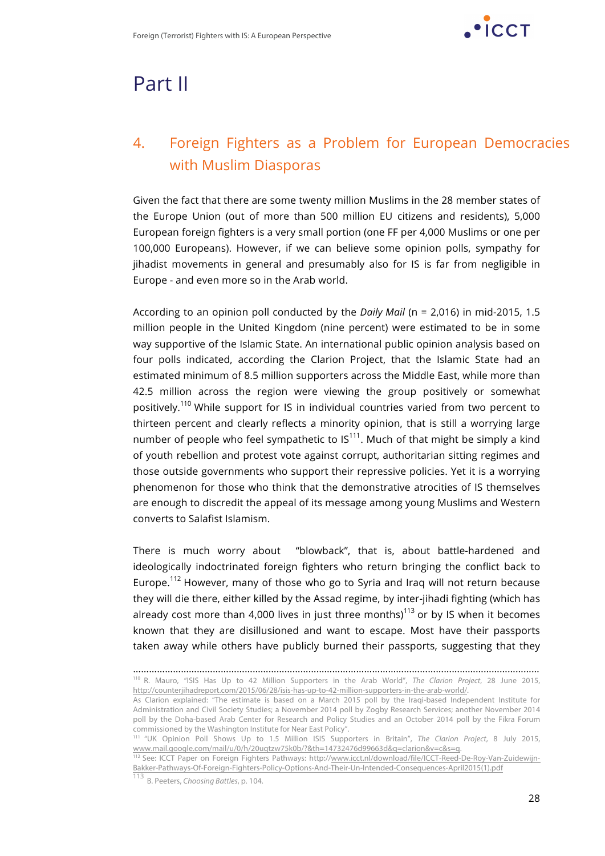

## Part II

## 4. Foreign Fighters as a Problem for European Democracies with Muslim Diasporas

Given the fact that there are some twenty million Muslims in the 28 member states of the Europe Union (out of more than 500 million EU citizens and residents), 5,000 European foreign fighters is a very small portion (one FF per 4,000 Muslims or one per 100,000 Europeans). However, if we can believe some opinion polls, sympathy for jihadist movements in general and presumably also for IS is far from negligible in Europe - and even more so in the Arab world.

According to an opinion poll conducted by the *Daily Mail* (n = 2,016) in mid-2015, 1.5 million people in the United Kingdom (nine percent) were estimated to be in some way supportive of the Islamic State. An international public opinion analysis based on four polls indicated, according the Clarion Project, that the Islamic State had an estimated minimum of 8.5 million supporters across the Middle East, while more than 42.5 million across the region were viewing the group positively or somewhat positively.<sup>110</sup> While support for IS in individual countries varied from two percent to thirteen percent and clearly reflects a minority opinion, that is still a worrying large number of people who feel sympathetic to  $IS^{111}$ . Much of that might be simply a kind of youth rebellion and protest vote against corrupt, authoritarian sitting regimes and those outside governments who support their repressive policies. Yet it is a worrying phenomenon for those who think that the demonstrative atrocities of IS themselves are enough to discredit the appeal of its message among young Muslims and Western converts to Salafist Islamism.

There is much worry about "blowback", that is, about battle-hardened and ideologically indoctrinated foreign fighters who return bringing the conflict back to Europe.<sup>112</sup> However, many of those who go to Syria and Iraq will not return because they will die there, either killed by the Assad regime, by inter-jihadi fighting (which has already cost more than 4,000 lives in just three months)<sup>113</sup> or by IS when it becomes known that they are disillusioned and want to escape. Most have their passports taken away while others have publicly burned their passports, suggesting that they

<sup>………………………………………………………………………………………………………………………………………</sup> <sup>110</sup> R. Mauro, "ISIS Has Up to 42 Million Supporters in the Arab World", *The Clarion Project*, 28 June 2015, http://counterjihadreport.com/2015/06/28/isis-has-up-to-42-million-supporters-in-the-arab-world/.

As Clarion explained: "The estimate is based on a March 2015 poll by the Iraqi-based Independent Institute for Administration and Civil Society Studies; a November 2014 poll by Zogby Research Services; another November 2014 poll by the Doha-based Arab Center for Research and Policy Studies and an October 2014 poll by the Fikra Forum commissioned by the Washington Institute for Near East Policy".

<sup>111</sup> "UK Opinion Poll Shows Up to 1.5 Million ISIS Supporters in Britain", *The Clarion Project*, 8 July 2015, www.mail.google.com/mail/u/0/h/20uqtzw75k0b/?&th=14732476d99663d&q=clarion&v=c&s=q.

<sup>112</sup> See: ICCT Paper on Foreign Fighters Pathways: http://www.icct.nl/download/file/ICCT-Reed-De-Roy-Van-Zuidewijn-Bakker-Pathways-Of-Foreign-Fighters-Policy-Options-And-Their-Un-Intended-Consequences-April2015(1).pdf

<sup>113</sup> B. Peeters, *Choosing Battles*, p. 104.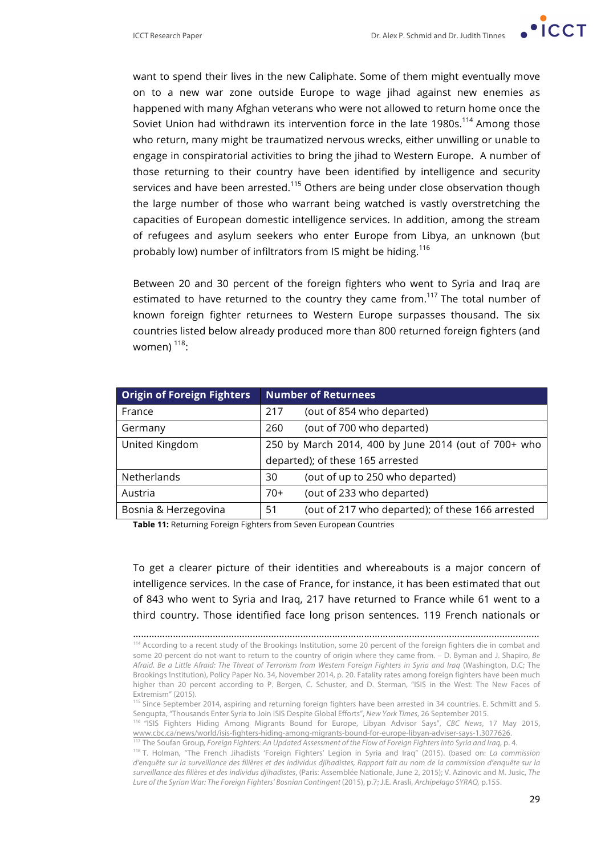want to spend their lives in the new Caliphate. Some of them might eventually move on to a new war zone outside Europe to wage jihad against new enemies as happened with many Afghan veterans who were not allowed to return home once the Soviet Union had withdrawn its intervention force in the late 1980s.<sup>114</sup> Among those who return, many might be traumatized nervous wrecks, either unwilling or unable to engage in conspiratorial activities to bring the jihad to Western Europe. A number of those returning to their country have been identified by intelligence and security services and have been arrested.<sup>115</sup> Others are being under close observation though the large number of those who warrant being watched is vastly overstretching the capacities of European domestic intelligence services. In addition, among the stream of refugees and asylum seekers who enter Europe from Libya, an unknown (but probably low) number of infiltrators from IS might be hiding.<sup>116</sup>

Between 20 and 30 percent of the foreign fighters who went to Syria and Iraq are estimated to have returned to the country they came from.<sup>117</sup> The total number of known foreign fighter returnees to Western Europe surpasses thousand. The six countries listed below already produced more than 800 returned foreign fighters (and women) $118$ :

| <b>Origin of Foreign Fighters</b> | <b>Number of Returnees</b>                             |  |
|-----------------------------------|--------------------------------------------------------|--|
| France                            | (out of 854 who departed)<br>217                       |  |
| Germany                           | (out of 700 who departed)<br>260                       |  |
| United Kingdom                    | 250 by March 2014, 400 by June 2014 (out of 700+ who   |  |
|                                   | departed); of these 165 arrested                       |  |
| Netherlands                       | (out of up to 250 who departed)<br>30                  |  |
| Austria                           | (out of 233 who departed)<br>$70+$                     |  |
| Bosnia & Herzegovina              | (out of 217 who departed); of these 166 arrested<br>51 |  |

**Table 11:** Returning Foreign Fighters from Seven European Countries

To get a clearer picture of their identities and whereabouts is a major concern of intelligence services. In the case of France, for instance, it has been estimated that out of 843 who went to Syria and Iraq, 217 have returned to France while 61 went to a third country. Those identified face long prison sentences. 119 French nationals or

<sup>………………………………………………………………………………………………………………………………………</sup> <sup>114</sup> According to a recent study of the Brookings Institution, some 20 percent of the foreign fighters die in combat and some 20 percent do not want to return to the country of origin where they came from. – D. Byman and J. Shapiro, *Be Afraid. Be a Little Afraid: The Threat of Terrorism from Western Foreign Fighters in Syria and Iraq* (Washington, D.C; The Brookings Institution), Policy Paper No. 34, November 2014, p. 20. Fatality rates among foreign fighters have been much higher than 20 percent according to P. Bergen, C. Schuster, and D. Sterman, "ISIS in the West: The New Faces of Extremism" (2015).

<sup>115</sup> Since September 2014, aspiring and returning foreign fighters have been arrested in 34 countries. E. Schmitt and S. Sengupta, "Thousands Enter Syria to Join ISIS Despite Global Efforts", *New York Times*, 26 September 2015.

<sup>&</sup>lt;sup>116</sup> "ISIS Fighters Hiding Among Migrants Bound for Europe, Libyan Advisor Says", *CBC News*, 17 May 2015,<br>www.cbc.ca/news/world/isis-fighters-hiding-among-migrants-bound-for-europe-libyan-adviser-says-1.3077626.

<sup>&</sup>lt;sup>117</sup> The Soufan Group, *Foreign Fighters: An Updated Assessment of the Flow of Foreign Fighters into Syria and Iraq, p. 4.<br><sup>118</sup> T. Holman, "The French Jihadists 'Foreign Fighters' Legion in Syria and Iraq" (2015). (based d'enquête sur la surveillance des filières et des individus djihadistes, Rapport fait au nom de la commission d'enquête sur la surveillance des filières et des individus djihadistes*, (Paris: Assemblée Nationale, June 2, 2015); V. Azinovic and M. Jusic, *The Lure of the Syrian War: The Foreign Fighters' Bosnian Contingent* (2015), p.7; J.E. Arasli, *Archipelago SYRAQ,* p.155.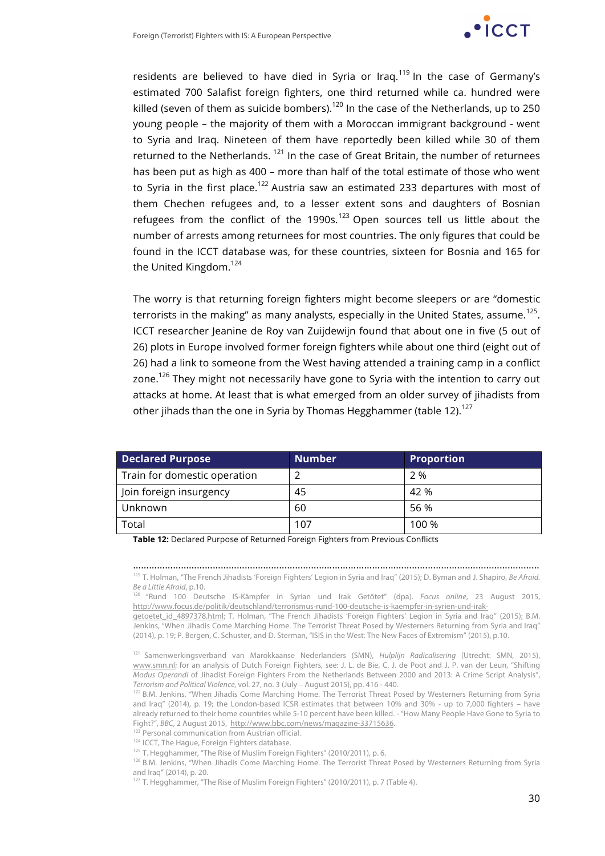

residents are believed to have died in Syria or Irag.<sup>119</sup> In the case of Germany's estimated 700 Salafist foreign fighters, one third returned while ca. hundred were killed (seven of them as suicide bombers).<sup>120</sup> In the case of the Netherlands, up to 250 young people – the majority of them with a Moroccan immigrant background - went to Syria and Iraq. Nineteen of them have reportedly been killed while 30 of them returned to the Netherlands.  $121$  In the case of Great Britain, the number of returnees has been put as high as 400 – more than half of the total estimate of those who went to Syria in the first place.<sup>122</sup> Austria saw an estimated 233 departures with most of them Chechen refugees and, to a lesser extent sons and daughters of Bosnian refugees from the conflict of the  $1990s.<sup>123</sup>$  Open sources tell us little about the number of arrests among returnees for most countries. The only figures that could be found in the ICCT database was, for these countries, sixteen for Bosnia and 165 for the United Kingdom.<sup>124</sup>

The worry is that returning foreign fighters might become sleepers or are "domestic terrorists in the making" as many analysts, especially in the United States, assume.<sup>125</sup>. ICCT researcher Jeanine de Roy van Zuijdewijn found that about one in five (5 out of 26) plots in Europe involved former foreign fighters while about one third (eight out of 26) had a link to someone from the West having attended a training camp in a conflict zone.<sup>126</sup> They might not necessarily have gone to Syria with the intention to carry out attacks at home. At least that is what emerged from an older survey of jihadists from other jihads than the one in Syria by Thomas Hegghammer (table 12).<sup>127</sup>

| <b>Declared Purpose</b>      | <b>Number</b> | Proportion |
|------------------------------|---------------|------------|
| Train for domestic operation |               | 2 %        |
| Join foreign insurgency      | 45            | 42 %       |
| Unknown                      | 60            | 56 %       |
| Total                        | 107           | 100 %      |

**Table 12:** Declared Purpose of Returned Foreign Fighters from Previous Conflicts

……………………………………………………………………………………………………………………………………… <sup>119</sup> T. Holman, "The French Jihadists 'Foreign Fighters' Legion in Syria and Iraq" (2015); D. Byman and J. Shapiro, *Be Afraid. Be a Little Afraid*, p.10. 120 "Rund 100 Deutsche IS-Kämpfer in Syrian und Irak Getötet" (dpa). *Focus online*, 23 August 2015,

http://www.focus.de/politik/deutschland/terrorismus-rund-100-deutsche-is-kaempfer-in-syrien-und-irak-

getoetet\_id\_4897378.html; T. Holman, "The French Jihadists 'Foreign Fighters' Legion in Syria and Iraq" (2015); B.M. Jenkins, "When Jihadis Come Marching Home. The Terrorist Threat Posed by Westerners Returning from Syria and Iraq" (2014), p. 19; P. Bergen, C. Schuster, and D. Sterman, "ISIS in the West: The New Faces of Extremism" (2015), p.10.

<sup>121</sup> Samenwerkingsverband van Marokkaanse Nederlanders (SMN), *Hulplijn Radicalisering* (Utrecht: SMN, 2015), www.smn.nl; for an analysis of Dutch Foreign Fighters, see: J. L. de Bie, C. J. de Poot and J. P. van der Leun, "Shifting *Modus Operandi* of Jihadist Foreign Fighters From the Netherlands Between 2000 and 2013: A Crime Script Analysis", *Terrorism and Political Violence,* vol. 27, no. 3 (July – August 2015), pp. 416 - 440.

<sup>122</sup> B.M. Jenkins, "When Jihadis Come Marching Home. The Terrorist Threat Posed by Westerners Returning from Syria and Iraq" (2014), p. 19; the London-based ICSR estimates that between 10% and 30% - up to 7,000 fighters – have already returned to their home countries while 5-10 percent have been killed. - "How Many People Have Gone to Syria to Fight?", BBC, 2 August 2015, http://www.bbc.com/news/magazine-33715636.

<sup>123</sup> Personal communication from Austrian official.

124 ICCT. The Haque, Foreign Fighters database.

<sup>125</sup> T. Hegghammer, "The Rise of Muslim Foreign Fighters" (2010/2011), p. 6.

126 B.M. Jenkins, "When Jihadis Come Marching Home. The Terrorist Threat Posed by Westerners Returning from Syria and Iraq" (2014), p. 20.

<sup>127</sup> T. Hegghammer, "The Rise of Muslim Foreign Fighters" (2010/2011), p. 7 (Table 4).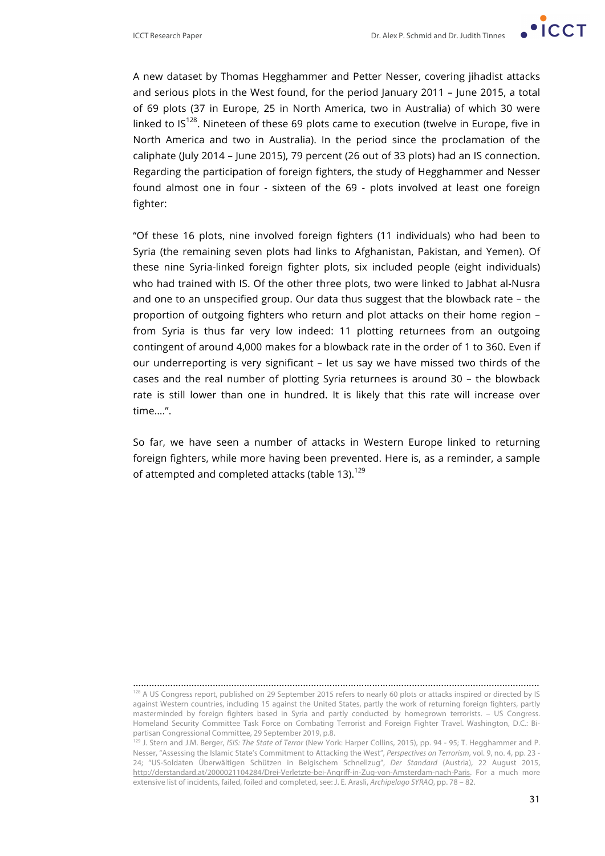

A new dataset by Thomas Hegghammer and Petter Nesser, covering jihadist attacks and serious plots in the West found, for the period January 2011 – June 2015, a total of 69 plots (37 in Europe, 25 in North America, two in Australia) of which 30 were linked to  $IS^{128}$ . Nineteen of these 69 plots came to execution (twelve in Europe, five in North America and two in Australia). In the period since the proclamation of the caliphate (July 2014 – June 2015), 79 percent (26 out of 33 plots) had an IS connection. Regarding the participation of foreign fighters, the study of Hegghammer and Nesser found almost one in four - sixteen of the 69 - plots involved at least one foreign fighter:

"Of these 16 plots, nine involved foreign fighters (11 individuals) who had been to Syria (the remaining seven plots had links to Afghanistan, Pakistan, and Yemen). Of these nine Syria-linked foreign fighter plots, six included people (eight individuals) who had trained with IS. Of the other three plots, two were linked to Jabhat al-Nusra and one to an unspecified group. Our data thus suggest that the blowback rate – the proportion of outgoing fighters who return and plot attacks on their home region – from Syria is thus far very low indeed: 11 plotting returnees from an outgoing contingent of around 4,000 makes for a blowback rate in the order of 1 to 360. Even if our underreporting is very significant – let us say we have missed two thirds of the cases and the real number of plotting Syria returnees is around 30 – the blowback rate is still lower than one in hundred. It is likely that this rate will increase over time….".

So far, we have seen a number of attacks in Western Europe linked to returning foreign fighters, while more having been prevented. Here is, as a reminder, a sample of attempted and completed attacks (table 13).<sup>129</sup>

<sup>………………………………………………………………………………………………………………………………………</sup> <sup>128</sup> A US Congress report, published on 29 September 2015 refers to nearly 60 plots or attacks inspired or directed by IS against Western countries, including 15 against the United States, partly the work of returning foreign fighters, partly masterminded by foreign fighters based in Syria and partly conducted by homegrown terrorists. – US Congress. Homeland Security Committee Task Force on Combating Terrorist and Foreign Fighter Travel. Washington, D.C.: Bipartisan Congressional Committee, 29 September 2019, p.8.

<sup>129</sup> J. Stern and J.M. Berger, *ISIS: The State of Terror* (New York: Harper Collins, 2015), pp. 94 - 95; T. Hegghammer and P. Nesser, "Assessing the Islamic State's Commitment to Attacking the West", *Perspectives on Terrorism*, vol. 9, no. 4, pp. 23 - 24; "US-Soldaten Überwältigen Schützen in Belgischem Schnellzug", *Der Standard* (Austria), 22 August 2015, http://derstandard.at/2000021104284/Drei-Verletzte-bei-Angriff-in-Zug-von-Amsterdam-nach-Paris. For a much more extensive list of incidents, failed, foiled and completed, see: J. E. Arasli, *Archipelago SYRAQ*, pp. 78 – 82.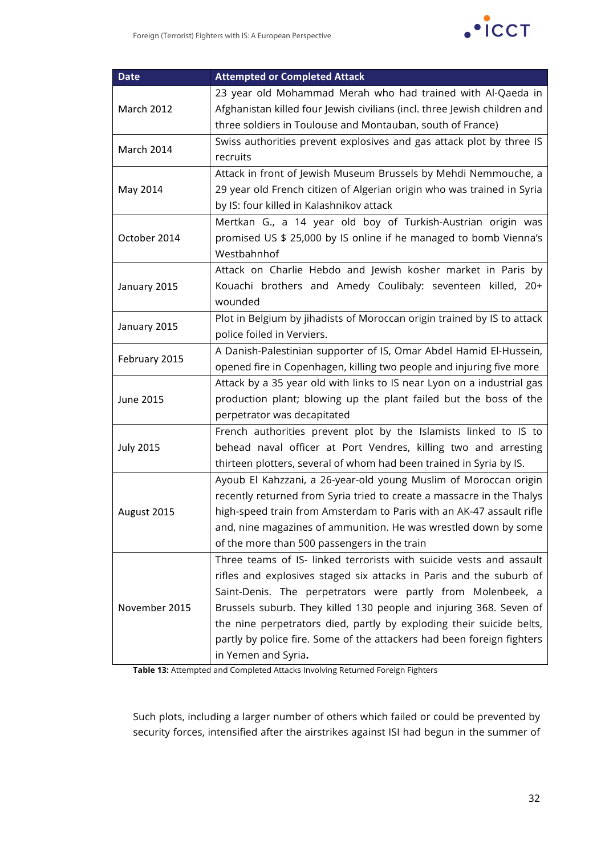| <b>Date</b>      | <b>Attempted or Completed Attack</b>                                      |
|------------------|---------------------------------------------------------------------------|
|                  | 23 year old Mohammad Merah who had trained with Al-Qaeda in               |
| March 2012       | Afghanistan killed four Jewish civilians (incl. three Jewish children and |
|                  | three soldiers in Toulouse and Montauban, south of France)                |
| March 2014       | Swiss authorities prevent explosives and gas attack plot by three IS      |
|                  | recruits                                                                  |
|                  | Attack in front of Jewish Museum Brussels by Mehdi Nemmouche, a           |
| May 2014         | 29 year old French citizen of Algerian origin who was trained in Syria    |
|                  | by IS: four killed in Kalashnikov attack                                  |
|                  | Mertkan G., a 14 year old boy of Turkish-Austrian origin was              |
| October 2014     | promised US \$ 25,000 by IS online if he managed to bomb Vienna's         |
|                  | Westbahnhof                                                               |
|                  | Attack on Charlie Hebdo and Jewish kosher market in Paris by              |
| January 2015     | Kouachi brothers and Amedy Coulibaly: seventeen killed, 20+               |
|                  | wounded                                                                   |
| January 2015     | Plot in Belgium by jihadists of Moroccan origin trained by IS to attack   |
|                  | police foiled in Verviers.                                                |
| February 2015    | A Danish-Palestinian supporter of IS, Omar Abdel Hamid El-Hussein,        |
|                  | opened fire in Copenhagen, killing two people and injuring five more      |
|                  | Attack by a 35 year old with links to IS near Lyon on a industrial gas    |
| <b>June 2015</b> | production plant; blowing up the plant failed but the boss of the         |
|                  | perpetrator was decapitated                                               |
|                  | French authorities prevent plot by the Islamists linked to IS to          |
| <b>July 2015</b> | behead naval officer at Port Vendres, killing two and arresting           |
|                  | thirteen plotters, several of whom had been trained in Syria by IS.       |
|                  | Ayoub El Kahzzani, a 26-year-old young Muslim of Moroccan origin          |
|                  | recently returned from Syria tried to create a massacre in the Thalys     |
| August 2015      | high-speed train from Amsterdam to Paris with an AK-47 assault rifle      |
|                  | and, nine magazines of ammunition. He was wrestled down by some           |
|                  | of the more than 500 passengers in the train                              |
| November 2015    | Three teams of IS- linked terrorists with suicide vests and assault       |
|                  | rifles and explosives staged six attacks in Paris and the suburb of       |
|                  | Saint-Denis. The perpetrators were partly from Molenbeek, a               |
|                  | Brussels suburb. They killed 130 people and injuring 368. Seven of        |
|                  | the nine perpetrators died, partly by exploding their suicide belts,      |
|                  | partly by police fire. Some of the attackers had been foreign fighters    |
|                  | in Yemen and Syria.                                                       |

**Table 13:** Attempted and Completed Attacks Involving Returned Foreign Fighters

Such plots, including a larger number of others which failed or could be prevented by security forces, intensified after the airstrikes against ISI had begun in the summer of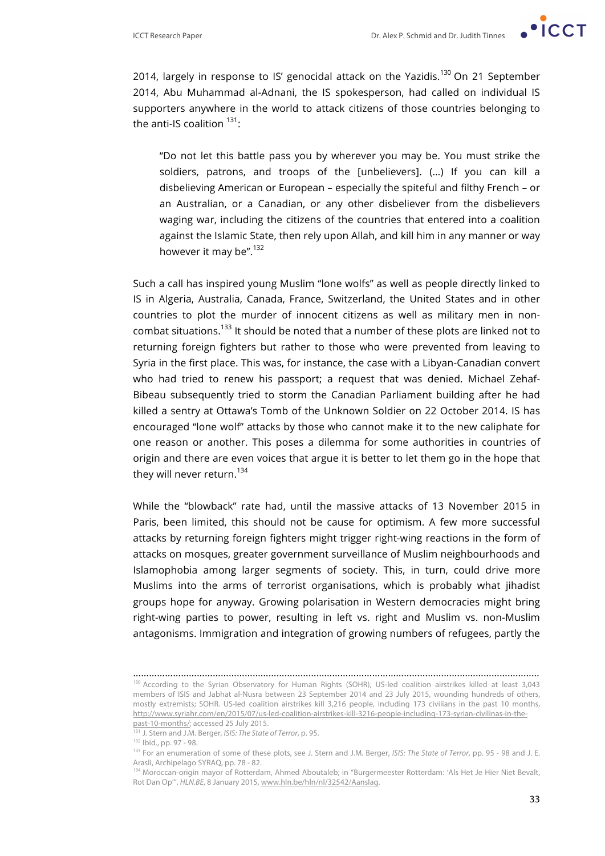

2014, largely in response to IS' genocidal attack on the Yazidis.<sup>130</sup> On 21 September 2014, Abu Muhammad al-Adnani, the IS spokesperson, had called on individual IS supporters anywhere in the world to attack citizens of those countries belonging to the anti-IS coalition  $131$ :

"Do not let this battle pass you by wherever you may be. You must strike the soldiers, patrons, and troops of the [unbelievers]. (…) If you can kill a disbelieving American or European – especially the spiteful and filthy French – or an Australian, or a Canadian, or any other disbeliever from the disbelievers waging war, including the citizens of the countries that entered into a coalition against the Islamic State, then rely upon Allah, and kill him in any manner or way however it may be".<sup>132</sup>

Such a call has inspired young Muslim "lone wolfs" as well as people directly linked to IS in Algeria, Australia, Canada, France, Switzerland, the United States and in other countries to plot the murder of innocent citizens as well as military men in noncombat situations.<sup>133</sup> It should be noted that a number of these plots are linked not to returning foreign fighters but rather to those who were prevented from leaving to Syria in the first place. This was, for instance, the case with a Libyan-Canadian convert who had tried to renew his passport; a request that was denied. Michael Zehaf-Bibeau subsequently tried to storm the Canadian Parliament building after he had killed a sentry at Ottawa's Tomb of the Unknown Soldier on 22 October 2014. IS has encouraged "lone wolf" attacks by those who cannot make it to the new caliphate for one reason or another. This poses a dilemma for some authorities in countries of origin and there are even voices that argue it is better to let them go in the hope that they will never return.<sup>134</sup>

While the "blowback" rate had, until the massive attacks of 13 November 2015 in Paris, been limited, this should not be cause for optimism. A few more successful attacks by returning foreign fighters might trigger right-wing reactions in the form of attacks on mosques, greater government surveillance of Muslim neighbourhoods and Islamophobia among larger segments of society. This, in turn, could drive more Muslims into the arms of terrorist organisations, which is probably what jihadist groups hope for anyway. Growing polarisation in Western democracies might bring right-wing parties to power, resulting in left vs. right and Muslim vs. non-Muslim antagonisms. Immigration and integration of growing numbers of refugees, partly the

<sup>………………………………………………………………………………………………………………………………………</sup> 130 According to the Syrian Observatory for Human Rights (SOHR), US-led coalition airstrikes killed at least 3,043 members of ISIS and Jabhat al-Nusra between 23 September 2014 and 23 July 2015, wounding hundreds of others, mostly extremists; SOHR. US-led coalition airstrikes kill 3,216 people, including 173 civilians in the past 10 months, http://www.syriahr.com/en/2015/07/us-led-coalition-airstrikes-kill-3216-people-including-173-syrian-civilinas-in-thepast-10-months/; accessed 25 July 2015.

<sup>131</sup> J. Stern and J.M. Berger, *ISIS: The State of Terror*, p. 95.

<sup>132</sup> Ibid., pp. 97 - 98.

<sup>&</sup>lt;sup>133</sup> For an enumeration of some of these plots, see J. Stern and J.M. Berger, *ISIS: The State of Terror*, pp. 95 - 98 and J. E. Arasli, Archipelago SYRAQ, pp. 78 - 82.

<sup>134</sup> Moroccan-origin mayor of Rotterdam, Ahmed Aboutaleb; in "Burgermeester Rotterdam: 'Als Het Je Hier Niet Bevalt, Rot Dan Op'", *HLN.BE*, 8 January 2015, www.hln.be/hln/nl/32542/Aanslag.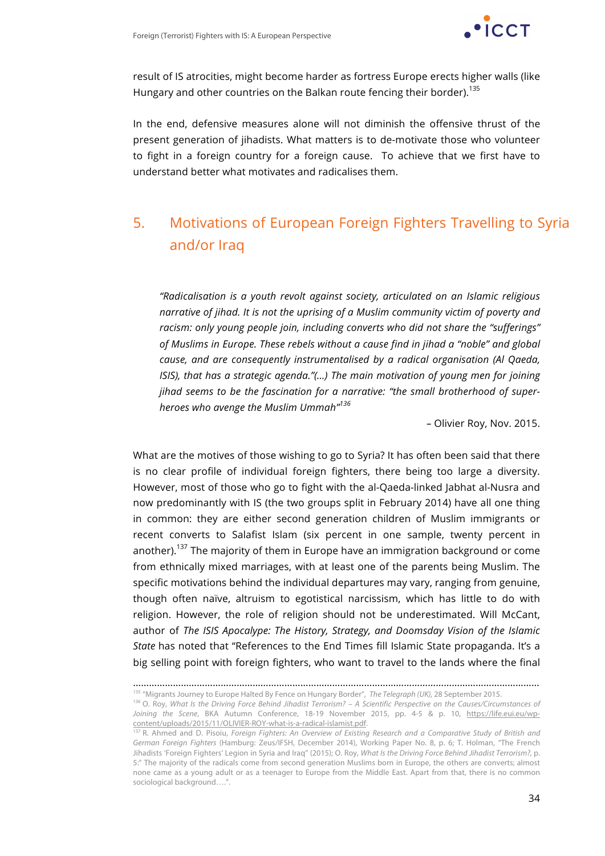

result of IS atrocities, might become harder as fortress Europe erects higher walls (like Hungary and other countries on the Balkan route fencing their border).<sup>135</sup>

In the end, defensive measures alone will not diminish the offensive thrust of the present generation of jihadists. What matters is to de-motivate those who volunteer to fight in a foreign country for a foreign cause. To achieve that we first have to understand better what motivates and radicalises them.

## 5. Motivations of European Foreign Fighters Travelling to Syria and/or Iraq

*"Radicalisation is a youth revolt against society, articulated on an Islamic religious narrative of jihad. It is not the uprising of a Muslim community victim of poverty and racism: only young people join, including converts who did not share the "sufferings" of Muslims in Europe. These rebels without a cause find in jihad a "noble" and global cause, and are consequently instrumentalised by a radical organisation (Al Qaeda, ISIS), that has a strategic agenda."(...)* The main motivation of young men for joining *jihad seems to be the fascination for a narrative: "the small brotherhood of superheroes who avenge the Muslim Ummah"<sup>136</sup>*

*–* Olivier Roy, Nov. 2015.

What are the motives of those wishing to go to Syria? It has often been said that there is no clear profile of individual foreign fighters, there being too large a diversity. However, most of those who go to fight with the al-Qaeda-linked Jabhat al-Nusra and now predominantly with IS (the two groups split in February 2014) have all one thing in common: they are either second generation children of Muslim immigrants or recent converts to Salafist Islam (six percent in one sample, twenty percent in another).<sup>137</sup> The majority of them in Europe have an immigration background or come from ethnically mixed marriages, with at least one of the parents being Muslim. The specific motivations behind the individual departures may vary, ranging from genuine, though often naïve, altruism to egotistical narcissism, which has little to do with religion. However, the role of religion should not be underestimated. Will McCant, author of *The ISIS Apocalype: The History, Strategy, and Doomsday Vision of the Islamic State* has noted that "References to the End Times fill Islamic State propaganda. It's a big selling point with foreign fighters, who want to travel to the lands where the final

<sup>………………………………………………………………………………………………………………………………………</sup> <sup>135</sup> "Migrants Journey to Europe Halted By Fence on Hungary Border", *The Telegraph (UK),* 28 September 2015.

<sup>136</sup> O. Roy, *What Is the Driving Force Behind Jihadist Terrorism? – A Scientific Perspective on the Causes/Circumstances of* 

*Joining the Scene*, BKA Autumn Conference, 18-19 November 2015, pp. 4-5 & p. 10, https://life.eui.eu/wpcontent/uploads/2015/11/OLIVIER-ROY-what-is-a-radical-islamist.pdf.

<sup>&</sup>lt;sup>137</sup> R. Ahmed and D. Pisoiu, *Foreign Fighters: An Overview of Existing Research and a Comparative Study of British and German Foreign Fighters* (Hamburg: Zeus/IFSH, December 2014), Working Paper No. 8, p. 6; T. Holman, "The French Jihadists 'Foreign Fighters' Legion in Syria and Iraq" (2015); O. Roy, *What Is the Driving Force Behind Jihadist Terrorism?,* p. 5:" The majority of the radicals come from second generation Muslims born in Europe, the others are converts; almost none came as a young adult or as a teenager to Europe from the Middle East. Apart from that, there is no common sociological background….".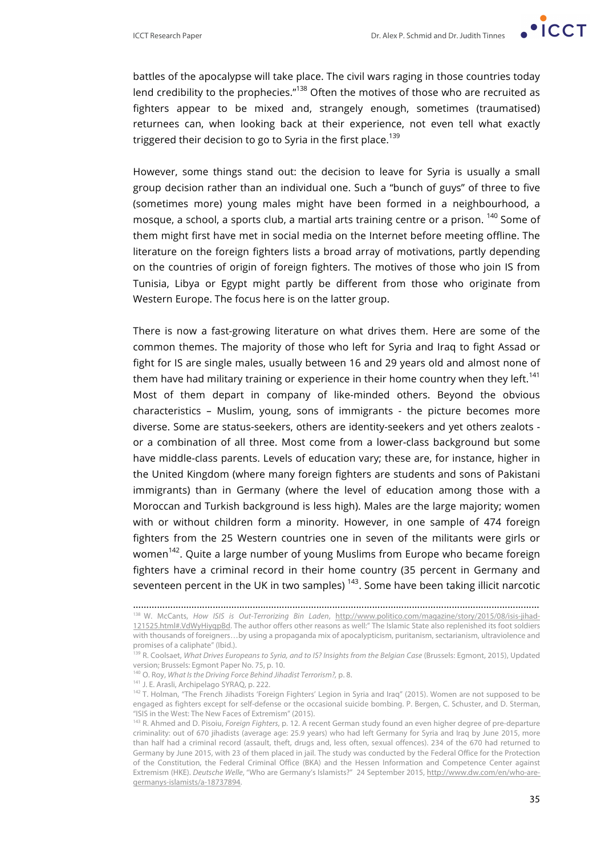

battles of the apocalypse will take place. The civil wars raging in those countries today lend credibility to the prophecies. $n^{138}$  Often the motives of those who are recruited as fighters appear to be mixed and, strangely enough, sometimes (traumatised) returnees can, when looking back at their experience, not even tell what exactly triggered their decision to go to Syria in the first place.<sup>139</sup>

However, some things stand out: the decision to leave for Syria is usually a small group decision rather than an individual one. Such a "bunch of guys" of three to five (sometimes more) young males might have been formed in a neighbourhood, a mosque, a school, a sports club, a martial arts training centre or a prison. <sup>140</sup> Some of them might first have met in social media on the Internet before meeting offline. The literature on the foreign fighters lists a broad array of motivations, partly depending on the countries of origin of foreign fighters. The motives of those who join IS from Tunisia, Libya or Egypt might partly be different from those who originate from Western Europe. The focus here is on the latter group.

There is now a fast-growing literature on what drives them. Here are some of the common themes. The majority of those who left for Syria and Iraq to fight Assad or fight for IS are single males, usually between 16 and 29 years old and almost none of them have had military training or experience in their home country when they left.<sup>141</sup> Most of them depart in company of like-minded others. Beyond the obvious characteristics – Muslim, young, sons of immigrants - the picture becomes more diverse. Some are status-seekers, others are identity-seekers and yet others zealots or a combination of all three. Most come from a lower-class background but some have middle-class parents. Levels of education vary; these are, for instance, higher in the United Kingdom (where many foreign fighters are students and sons of Pakistani immigrants) than in Germany (where the level of education among those with a Moroccan and Turkish background is less high). Males are the large majority; women with or without children form a minority. However, in one sample of 474 foreign fighters from the 25 Western countries one in seven of the militants were girls or women<sup>142</sup>. Quite a large number of young Muslims from Europe who became foreign fighters have a criminal record in their home country (35 percent in Germany and seventeen percent in the UK in two samples)  $143$ . Some have been taking illicit narcotic

<sup>………………………………………………………………………………………………………………………………………</sup> <sup>138</sup> W. McCants, *How ISIS is Out-Terrorizing Bin Laden*, http://www.politico.com/magazine/story/2015/08/isis-jihad-121525.html#.VdWyHiyqpBd. The author offers other reasons as well:" The Islamic State also replenished its foot soldiers with thousands of foreigners…by using a propaganda mix of apocalypticism, puritanism, sectarianism, ultraviolence and promises of a caliphate" (Ibid.).

<sup>139</sup> R. Coolsaet, *What Drives Europeans to Syria, and to IS? Insights from the Belgian Case* (Brussels: Egmont, 2015), Updated version; Brussels: Egmont Paper No. 75, p. 10.

<sup>140</sup> O. Roy, *What Is the Driving Force Behind Jihadist Terrorism?,* p. 8.

<sup>141</sup> J. E. Arasli, Archipelago SYRAQ, p. 222.

<sup>&</sup>lt;sup>142</sup> T. Holman, "The French Jihadists 'Foreign Fighters' Legion in Syria and Iraq" (2015). Women are not supposed to be engaged as fighters except for self-defense or the occasional suicide bombing. P. Bergen, C. Schuster, and D. Sterman, "ISIS in the West: The New Faces of Extremism" (2015).

<sup>143</sup> R. Ahmed and D. Pisoiu, *Foreign Fighters*, p. 12. A recent German study found an even higher degree of pre-departure criminality: out of 670 jihadists (average age: 25.9 years) who had left Germany for Syria and Iraq by June 2015, more than half had a criminal record (assault, theft, drugs and, less often, sexual offences). 234 of the 670 had returned to Germany by June 2015, with 23 of them placed in jail. The study was conducted by the Federal Office for the Protection of the Constitution, the Federal Criminal Office (BKA) and the Hessen Information and Competence Center against Extremism (HKE). *Deutsche Welle*, "Who are Germany's Islamists?" 24 September 2015, http://www.dw.com/en/who-aregermanys-islamists/a-18737894.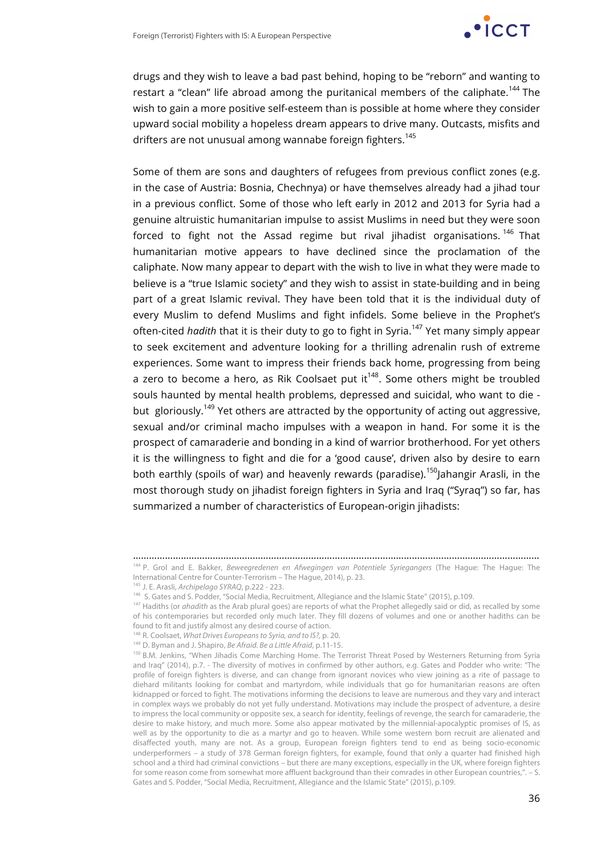

drugs and they wish to leave a bad past behind, hoping to be "reborn" and wanting to restart a "clean" life abroad among the puritanical members of the caliphate.<sup>144</sup> The wish to gain a more positive self-esteem than is possible at home where they consider upward social mobility a hopeless dream appears to drive many. Outcasts, misfits and drifters are not unusual among wannabe foreign fighters.<sup>145</sup>

Some of them are sons and daughters of refugees from previous conflict zones (e.g. in the case of Austria: Bosnia, Chechnya) or have themselves already had a jihad tour in a previous conflict. Some of those who left early in 2012 and 2013 for Syria had a genuine altruistic humanitarian impulse to assist Muslims in need but they were soon forced to fight not the Assad regime but rival jihadist organisations.<sup>146</sup> That humanitarian motive appears to have declined since the proclamation of the caliphate. Now many appear to depart with the wish to live in what they were made to believe is a "true Islamic society" and they wish to assist in state-building and in being part of a great Islamic revival. They have been told that it is the individual duty of every Muslim to defend Muslims and fight infidels. Some believe in the Prophet's often-cited *hadith* that it is their duty to go to fight in Syria.<sup>147</sup> Yet many simply appear to seek excitement and adventure looking for a thrilling adrenalin rush of extreme experiences. Some want to impress their friends back home, progressing from being a zero to become a hero, as Rik Coolsaet put it<sup>148</sup>. Some others might be troubled souls haunted by mental health problems, depressed and suicidal, who want to die but gloriously.<sup>149</sup> Yet others are attracted by the opportunity of acting out aggressive, sexual and/or criminal macho impulses with a weapon in hand. For some it is the prospect of camaraderie and bonding in a kind of warrior brotherhood. For yet others it is the willingness to fight and die for a 'good cause', driven also by desire to earn both earthly (spoils of war) and heavenly rewards (paradise).<sup>150</sup>Jahangir Arasli, in the most thorough study on jihadist foreign fighters in Syria and Iraq ("Syraq") so far, has summarized a number of characteristics of European-origin jihadists:

………………………………………………………………………………………………………………………………………

<sup>144</sup> P. Grol and E. Bakker, *Beweegredenen en Afwegingen van Potentiele Syriegangers* (The Hague: The Hague: The International Centre for Counter-Terrorism – The Hague, 2014), p. 23.

<sup>&</sup>lt;sup>145</sup> J. E. Arasli, *Archipelago SYRAQ*, p.222 - 223.<br><sup>146</sup> S. Gates and S. Podder, "Social Media, Recruitment, Allegiance and the Islamic State" (2015), p.109.

<sup>&</sup>lt;sup>147</sup> Hadiths (or ahadith as the Arab plural goes) are reports of what the Prophet allegedly said or did, as recalled by some of his contemporaries but recorded only much later. They fill dozens of volumes and one or another hadiths can be found to fit and justify almost any desired course of action.

<sup>148</sup> R. Coolsaet, *What Drives Europeans to Syria, and to IS?,* p. 20.

<sup>149</sup> D. Byman and J. Shapiro, *Be Afraid. Be a Little Afraid*, p.11-15.

<sup>150</sup> B.M. Jenkins, "When Jihadis Come Marching Home. The Terrorist Threat Posed by Westerners Returning from Syria and Iraq" (2014), p.7. - The diversity of motives in confirmed by other authors, e.g. Gates and Podder who write: "The profile of foreign fighters is diverse, and can change from ignorant novices who view joining as a rite of passage to diehard militants looking for combat and martyrdom, while individuals that go for humanitarian reasons are often kidnapped or forced to fight. The motivations informing the decisions to leave are numerous and they vary and interact in complex ways we probably do not yet fully understand. Motivations may include the prospect of adventure, a desire to impress the local community or opposite sex, a search for identity, feelings of revenge, the search for camaraderie, the desire to make history, and much more. Some also appear motivated by the millennial-apocalyptic promises of IS, as well as by the opportunity to die as a martyr and go to heaven. While some western born recruit are alienated and disaffected youth, many are not. As a group, European foreign fighters tend to end as being socio-economic underperformers – a study of 378 German foreign fighters, for example, found that only a quarter had finished high school and a third had criminal convictions – but there are many exceptions, especially in the UK, where foreign fighters for some reason come from somewhat more affluent background than their comrades in other European countries,". – S. Gates and S. Podder, "Social Media, Recruitment, Allegiance and the Islamic State" (2015), p.109.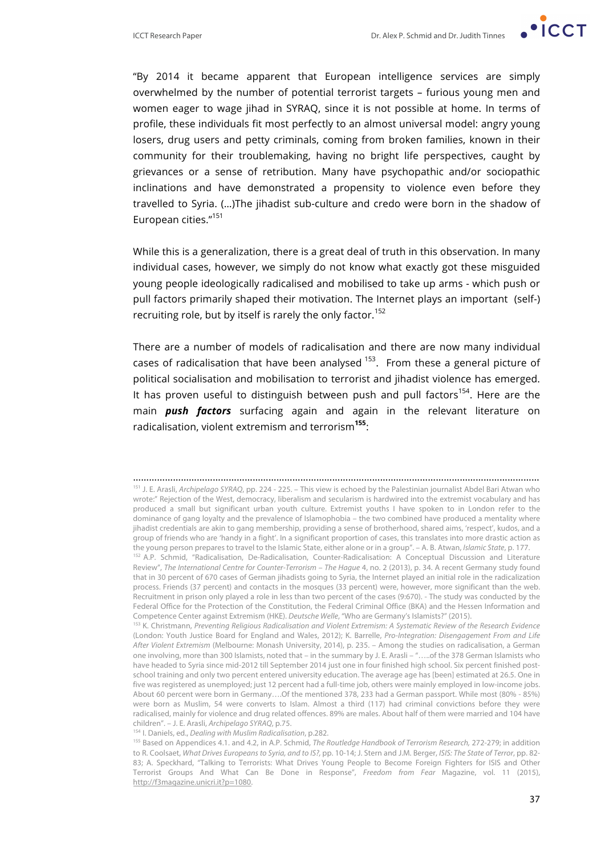

"By 2014 it became apparent that European intelligence services are simply overwhelmed by the number of potential terrorist targets – furious young men and women eager to wage jihad in SYRAQ, since it is not possible at home. In terms of profile, these individuals fit most perfectly to an almost universal model: angry young losers, drug users and petty criminals, coming from broken families, known in their community for their troublemaking, having no bright life perspectives, caught by grievances or a sense of retribution. Many have psychopathic and/or sociopathic inclinations and have demonstrated a propensity to violence even before they travelled to Syria. (…)The jihadist sub-culture and credo were born in the shadow of European cities."<sup>151</sup>

While this is a generalization, there is a great deal of truth in this observation. In many individual cases, however, we simply do not know what exactly got these misguided young people ideologically radicalised and mobilised to take up arms - which push or pull factors primarily shaped their motivation. The Internet plays an important (self-) recruiting role, but by itself is rarely the only factor.<sup>152</sup>

There are a number of models of radicalisation and there are now many individual cases of radicalisation that have been analysed  $153$ . From these a general picture of political socialisation and mobilisation to terrorist and jihadist violence has emerged. It has proven useful to distinguish between push and pull factors<sup>154</sup>. Here are the main *push factors* surfacing again and again in the relevant literature on radicalisation, violent extremism and terrorism**<sup>155</sup>**:

<sup>………………………………………………………………………………………………………………………………………</sup> <sup>151</sup> J. E. Arasli, *Archipelago SYRAQ*, pp. 224 - 225. – This view is echoed by the Palestinian journalist Abdel Bari Atwan who wrote:" Rejection of the West, democracy, liberalism and secularism is hardwired into the extremist vocabulary and has produced a small but significant urban youth culture. Extremist youths I have spoken to in London refer to the dominance of gang loyalty and the prevalence of Islamophobia – the two combined have produced a mentality where jihadist credentials are akin to gang membership, providing a sense of brotherhood, shared aims, 'respect', kudos, and a group of friends who are 'handy in a fight'. In a significant proportion of cases, this translates into more drastic action as the young person prepares to travel to the Islamic State, either alone or in a group". – A. B. Atwan, *Islamic State*, p. 177.

<sup>&</sup>lt;sup>152</sup> A.P. Schmid, "Radicalisation, De-Radicalisation, Counter-Radicalisation: A Conceptual Discussion and Literature Review", *The International Centre for Counter-Terrorism – The Hague* 4, no. 2 (2013), p. 34. A recent Germany study found that in 30 percent of 670 cases of German jihadists going to Syria, the Internet played an initial role in the radicalization process. Friends (37 percent) and contacts in the mosques (33 percent) were, however, more significant than the web. Recruitment in prison only played a role in less than two percent of the cases (9:670). - The study was conducted by the Federal Office for the Protection of the Constitution, the Federal Criminal Office (BKA) and the Hessen Information and Competence Center against Extremism (HKE). *Deutsche Welle*, "Who are Germany's Islamists?" (2015).

<sup>153</sup> K. Christmann, *Preventing Religious Radicalisation and Violent Extremism: A Systematic Review of the Research Evidence* (London: Youth Justice Board for England and Wales, 2012); K. Barrelle, *Pro-Integration: Disengagement From and Life After Violent Extremism* (Melbourne: Monash University, 2014), p. 235. – Among the studies on radicalisation, a German one involving, more than 300 Islamists, noted that – in the summary by J. E. Arasli – "…..of the 378 German Islamists who have headed to Syria since mid-2012 till September 2014 just one in four finished high school. Six percent finished postschool training and only two percent entered university education. The average age has [been] estimated at 26.5. One in five was registered as unemployed; just 12 percent had a full-time job, others were mainly employed in low-income jobs. About 60 percent were born in Germany….Of the mentioned 378, 233 had a German passport. While most (80% - 85%) were born as Muslim, 54 were converts to Islam. Almost a third (117) had criminal convictions before they were radicalised, mainly for violence and drug related offences. 89% are males. About half of them were married and 104 have children". – J. E. Arasli, *Archipelago SYRAQ*, p.75. 154 I. Daniels, ed., *Dealing with Muslim Radicalisation*, p.282.

<sup>155</sup> Based on Appendices 4.1. and 4.2, in A.P. Schmid, *The Routledge Handbook of Terrorism Research,* 272-279; in addition to R. Coolsaet, *What Drives Europeans to Syria, and to IS?,* pp. 10-14; J. Stern and J.M. Berger, *ISIS: The State of Terror*, pp. 82- 83; A. Speckhard, "Talking to Terrorists: What Drives Young People to Become Foreign Fighters for ISIS and Other Terrorist Groups And What Can Be Done in Response", *Freedom from Fear* Magazine, vol. 11 (2015), http://f3magazine.unicri.it?p=1080.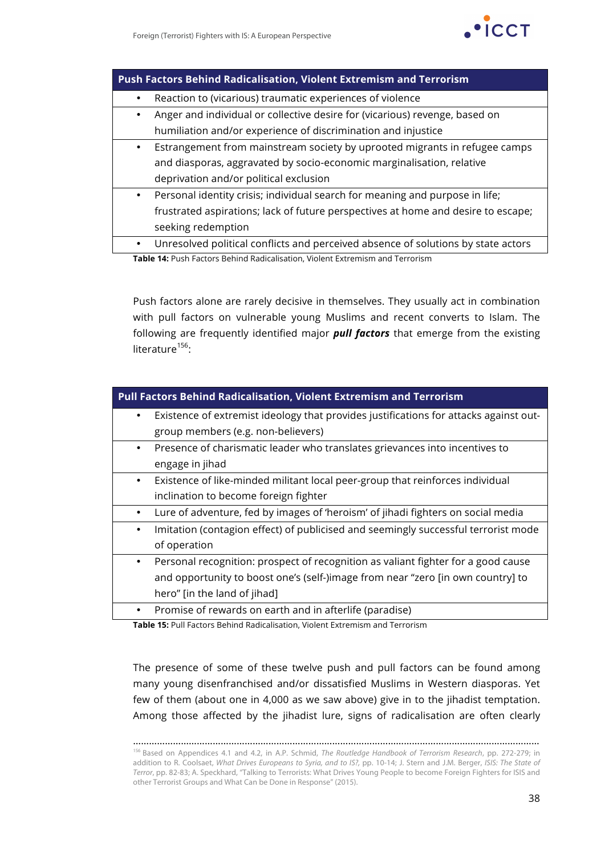

| <b>Push Factors Behind Radicalisation, Violent Extremism and Terrorism</b> |                                                                                   |  |
|----------------------------------------------------------------------------|-----------------------------------------------------------------------------------|--|
| ٠                                                                          | Reaction to (vicarious) traumatic experiences of violence                         |  |
| ٠                                                                          | Anger and individual or collective desire for (vicarious) revenge, based on       |  |
|                                                                            | humiliation and/or experience of discrimination and injustice                     |  |
| $\bullet$                                                                  | Estrangement from mainstream society by uprooted migrants in refugee camps        |  |
|                                                                            | and diasporas, aggravated by socio-economic marginalisation, relative             |  |
|                                                                            | deprivation and/or political exclusion                                            |  |
| $\bullet$                                                                  | Personal identity crisis; individual search for meaning and purpose in life;      |  |
|                                                                            | frustrated aspirations; lack of future perspectives at home and desire to escape; |  |
|                                                                            | seeking redemption                                                                |  |
| $\bullet$                                                                  | Unresolved political conflicts and perceived absence of solutions by state actors |  |

**Table 14:** Push Factors Behind Radicalisation, Violent Extremism and Terrorism

Push factors alone are rarely decisive in themselves. They usually act in combination with pull factors on vulnerable young Muslims and recent converts to Islam. The following are frequently identified major *pull factors* that emerge from the existing literature $156$ :

| <b>Pull Factors Behind Radicalisation, Violent Extremism and Terrorism</b>                     |  |  |
|------------------------------------------------------------------------------------------------|--|--|
| Existence of extremist ideology that provides justifications for attacks against out-          |  |  |
| group members (e.g. non-believers)                                                             |  |  |
| Presence of charismatic leader who translates grievances into incentives to<br>$\bullet$       |  |  |
| engage in jihad                                                                                |  |  |
| Existence of like-minded militant local peer-group that reinforces individual<br>$\bullet$     |  |  |
| inclination to become foreign fighter                                                          |  |  |
| Lure of adventure, fed by images of 'heroism' of jihadi fighters on social media               |  |  |
| Imitation (contagion effect) of publicised and seemingly successful terrorist mode<br>٠        |  |  |
| of operation                                                                                   |  |  |
| Personal recognition: prospect of recognition as valiant fighter for a good cause<br>$\bullet$ |  |  |
| and opportunity to boost one's (self-)image from near "zero [in own country] to                |  |  |
| hero" [in the land of jihad]                                                                   |  |  |
| Promise of rewards on earth and in afterlife (paradise)<br>$\bullet$                           |  |  |

**Table 15:** Pull Factors Behind Radicalisation, Violent Extremism and Terrorism

The presence of some of these twelve push and pull factors can be found among many young disenfranchised and/or dissatisfied Muslims in Western diasporas. Yet few of them (about one in 4,000 as we saw above) give in to the jihadist temptation. Among those affected by the jihadist lure, signs of radicalisation are often clearly

………………………………………………………………………………………………………………………………………

<sup>156</sup> Based on Appendices 4.1 and 4.2, in A.P. Schmid, *The Routledge Handbook of Terrorism Research*, pp. 272-279; in addition to R. Coolsaet, *What Drives Europeans to Syria, and to IS?,* pp. 10-14; J. Stern and J.M. Berger, *ISIS: The State of Terror*, pp. 82-83; A. Speckhard, "Talking to Terrorists: What Drives Young People to become Foreign Fighters for ISIS and other Terrorist Groups and What Can be Done in Response" (2015).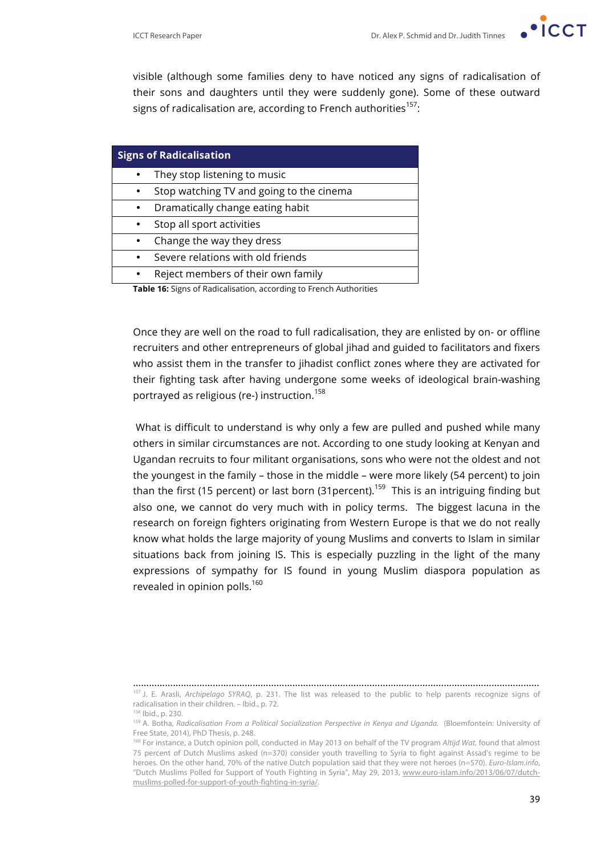

visible (although some families deny to have noticed any signs of radicalisation of their sons and daughters until they were suddenly gone). Some of these outward signs of radicalisation are, according to French authorities<sup>157</sup>:

| <b>Signs of Radicalisation</b>                                            |                                          |  |
|---------------------------------------------------------------------------|------------------------------------------|--|
|                                                                           | They stop listening to music             |  |
| $\bullet$                                                                 | Stop watching TV and going to the cinema |  |
|                                                                           | Dramatically change eating habit         |  |
|                                                                           | Stop all sport activities                |  |
|                                                                           | Change the way they dress                |  |
|                                                                           | Severe relations with old friends        |  |
|                                                                           | Reject members of their own family       |  |
| <b>Table 16:</b> Signs of Radicalisation, according to French Authorities |                                          |  |

Once they are well on the road to full radicalisation, they are enlisted by on- or offline recruiters and other entrepreneurs of global jihad and guided to facilitators and fixers who assist them in the transfer to jihadist conflict zones where they are activated for their fighting task after having undergone some weeks of ideological brain-washing portrayed as religious (re-) instruction. 158

What is difficult to understand is why only a few are pulled and pushed while many others in similar circumstances are not. According to one study looking at Kenyan and Ugandan recruits to four militant organisations, sons who were not the oldest and not the youngest in the family – those in the middle – were more likely (54 percent) to join than the first (15 percent) or last born (31 percent).<sup>159</sup> This is an intriguing finding but also one, we cannot do very much with in policy terms. The biggest lacuna in the research on foreign fighters originating from Western Europe is that we do not really know what holds the large majority of young Muslims and converts to Islam in similar situations back from joining IS. This is especially puzzling in the light of the many expressions of sympathy for IS found in young Muslim diaspora population as revealed in opinion polls.<sup>160</sup>

<sup>………………………………………………………………………………………………………………………………………</sup> <sup>157</sup> J. E. Arasli, *Archipelago SYRAQ*, p. 231. The list was released to the public to help parents recognize signs of radicalisation in their children. – Ibid., p. 72.

<sup>158</sup> Ibid., p. 230.

<sup>159</sup> A. Botha, *Radicalisation From a Political Socialization Perspective in Kenya and Uganda.* (Bloemfontein: University of Free State, 2014), PhD Thesis, p. 248.

<sup>&</sup>lt;sup>160</sup> For instance, a Dutch opinion poll, conducted in May 2013 on behalf of the TV program *Altijd Wat*, found that almost 75 percent of Dutch Muslims asked (n=370) consider youth travelling to Syria to fight against Assad's regime to be heroes. On the other hand, 70% of the native Dutch population said that they were not heroes (n=570). *Euro-Islam.info*, "Dutch Muslims Polled for Support of Youth Fighting in Syria", May 29, 2013, www.euro-islam.info/2013/06/07/dutchmuslims-polled-for-support-of-youth-fighting-in-syria/.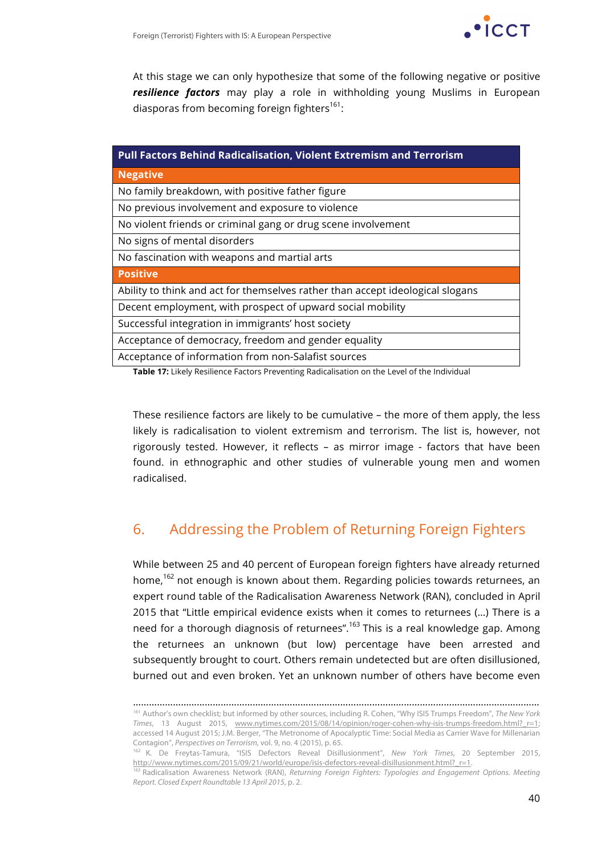

At this stage we can only hypothesize that some of the following negative or positive *resilience factors* may play a role in withholding young Muslims in European diasporas from becoming foreign fighters<sup>161</sup>:

| <b>Pull Factors Behind Radicalisation, Violent Extremism and Terrorism</b>     |  |  |
|--------------------------------------------------------------------------------|--|--|
| <b>Negative</b>                                                                |  |  |
| No family breakdown, with positive father figure                               |  |  |
| No previous involvement and exposure to violence                               |  |  |
| No violent friends or criminal gang or drug scene involvement                  |  |  |
| No signs of mental disorders                                                   |  |  |
| No fascination with weapons and martial arts                                   |  |  |
| <b>Positive</b>                                                                |  |  |
| Ability to think and act for themselves rather than accept ideological slogans |  |  |
| Decent employment, with prospect of upward social mobility                     |  |  |
| Successful integration in immigrants' host society                             |  |  |
| Acceptance of democracy, freedom and gender equality                           |  |  |
| Acceptance of information from non-Salafist sources                            |  |  |

**Table 17:** Likely Resilience Factors Preventing Radicalisation on the Level of the Individual

These resilience factors are likely to be cumulative – the more of them apply, the less likely is radicalisation to violent extremism and terrorism. The list is, however, not rigorously tested. However, it reflects – as mirror image - factors that have been found. in ethnographic and other studies of vulnerable young men and women radicalised.

## 6. Addressing the Problem of Returning Foreign Fighters

While between 25 and 40 percent of European foreign fighters have already returned home,<sup>162</sup> not enough is known about them. Regarding policies towards returnees, an expert round table of the Radicalisation Awareness Network (RAN), concluded in April 2015 that "Little empirical evidence exists when it comes to returnees (…) There is a need for a thorough diagnosis of returnees".<sup>163</sup> This is a real knowledge gap. Among the returnees an unknown (but low) percentage have been arrested and subsequently brought to court. Others remain undetected but are often disillusioned, burned out and even broken. Yet an unknown number of others have become even

<sup>………………………………………………………………………………………………………………………………………</sup> <sup>161</sup> Author's own checklist; but informed by other sources, including R. Cohen, "Why ISIS Trumps Freedom", *The New York Times*, 13 August 2015, www.nytimes.com/2015/08/14/opinion/roger-cohen-why-isis-trumps-freedom.html?\_r=1; accessed 14 August 2015; J.M. Berger, "The Metronome of Apocalyptic Time: Social Media as Carrier Wave for Millenarian Contagion", *Perspectives on Terrorism,* vol. 9, no. 4 (2015), p. 65.

<sup>162</sup> K. De Freytas-Tamura, "ISIS Defectors Reveal Disillusionment", *New York Times*, 20 September 2015, http://www.nytimes.com/2015/09/21/world/europe/isis-defectors-reveal-disillusionment.html?\_r=1.

<sup>163</sup> Radicalisation Awareness Network (RAN), *Returning Foreign Fighters: Typologies and Engagement Options. Meeting Report. Closed Expert Roundtable 13 April 2015*, p. 2.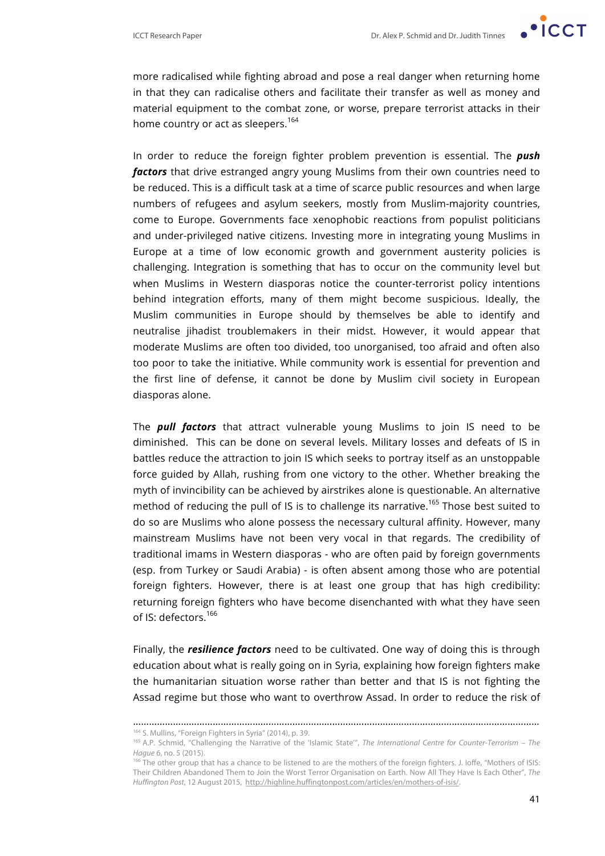more radicalised while fighting abroad and pose a real danger when returning home in that they can radicalise others and facilitate their transfer as well as money and material equipment to the combat zone, or worse, prepare terrorist attacks in their home country or act as sleepers.<sup>164</sup>

In order to reduce the foreign fighter problem prevention is essential. The *push factors* that drive estranged angry young Muslims from their own countries need to be reduced. This is a difficult task at a time of scarce public resources and when large numbers of refugees and asylum seekers, mostly from Muslim-majority countries, come to Europe. Governments face xenophobic reactions from populist politicians and under-privileged native citizens. Investing more in integrating young Muslims in Europe at a time of low economic growth and government austerity policies is challenging. Integration is something that has to occur on the community level but when Muslims in Western diasporas notice the counter-terrorist policy intentions behind integration efforts, many of them might become suspicious. Ideally, the Muslim communities in Europe should by themselves be able to identify and neutralise jihadist troublemakers in their midst. However, it would appear that moderate Muslims are often too divided, too unorganised, too afraid and often also too poor to take the initiative. While community work is essential for prevention and the first line of defense, it cannot be done by Muslim civil society in European diasporas alone.

The *pull factors* that attract vulnerable young Muslims to join IS need to be diminished. This can be done on several levels. Military losses and defeats of IS in battles reduce the attraction to join IS which seeks to portray itself as an unstoppable force guided by Allah, rushing from one victory to the other. Whether breaking the myth of invincibility can be achieved by airstrikes alone is questionable. An alternative method of reducing the pull of IS is to challenge its narrative.<sup>165</sup> Those best suited to do so are Muslims who alone possess the necessary cultural affinity. However, many mainstream Muslims have not been very vocal in that regards. The credibility of traditional imams in Western diasporas - who are often paid by foreign governments (esp. from Turkey or Saudi Arabia) - is often absent among those who are potential foreign fighters. However, there is at least one group that has high credibility: returning foreign fighters who have become disenchanted with what they have seen of IS: defectors.<sup>166</sup>

Finally, the *resilience factors* need to be cultivated. One way of doing this is through education about what is really going on in Syria, explaining how foreign fighters make the humanitarian situation worse rather than better and that IS is not fighting the Assad regime but those who want to overthrow Assad. In order to reduce the risk of

<sup>………………………………………………………………………………………………………………………………………</sup>

<sup>164</sup> S. Mullins, "Foreign Fighters in Syria" (2014), p. 39.

<sup>165</sup> A.P. Schmid, "Challenging the Narrative of the 'Islamic State'", *The International Centre for Counter-Terrorism – The Hague* 6, no. 5 (2015).

<sup>&</sup>lt;sup>166</sup> The other group that has a chance to be listened to are the mothers of the foreign fighters. J. loffe, "Mothers of ISIS: Their Children Abandoned Them to Join the Worst Terror Organisation on Earth. Now All They Have Is Each Other", *The Huffington Post*, 12 August 2015, http://highline.huffingtonpost.com/articles/en/mothers-of-isis/.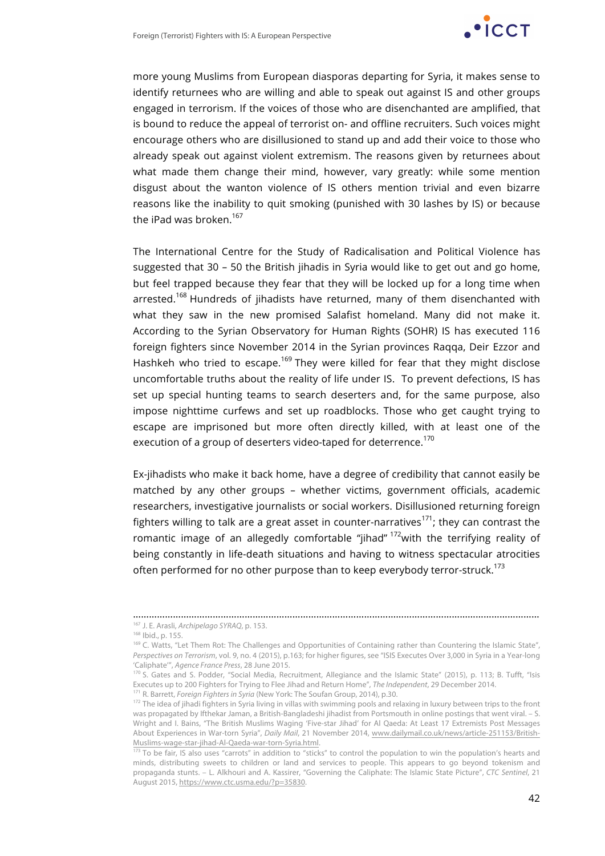

more young Muslims from European diasporas departing for Syria, it makes sense to identify returnees who are willing and able to speak out against IS and other groups engaged in terrorism. If the voices of those who are disenchanted are amplified, that is bound to reduce the appeal of terrorist on- and offline recruiters. Such voices might encourage others who are disillusioned to stand up and add their voice to those who already speak out against violent extremism. The reasons given by returnees about what made them change their mind, however, vary greatly: while some mention disgust about the wanton violence of IS others mention trivial and even bizarre reasons like the inability to quit smoking (punished with 30 lashes by IS) or because the iPad was broken. $167$ 

The International Centre for the Study of Radicalisation and Political Violence has suggested that 30 – 50 the British jihadis in Syria would like to get out and go home, but feel trapped because they fear that they will be locked up for a long time when arrested.<sup>168</sup> Hundreds of jihadists have returned, many of them disenchanted with what they saw in the new promised Salafist homeland. Many did not make it. According to the Syrian Observatory for Human Rights (SOHR) IS has executed 116 foreign fighters since November 2014 in the Syrian provinces Raqqa, Deir Ezzor and Hashkeh who tried to escape.<sup>169</sup> They were killed for fear that they might disclose uncomfortable truths about the reality of life under IS. To prevent defections, IS has set up special hunting teams to search deserters and, for the same purpose, also impose nighttime curfews and set up roadblocks. Those who get caught trying to escape are imprisoned but more often directly killed, with at least one of the execution of a group of deserters video-taped for deterrence.<sup>170</sup>

Ex-jihadists who make it back home, have a degree of credibility that cannot easily be matched by any other groups – whether victims, government officials, academic researchers, investigative journalists or social workers. Disillusioned returning foreign fighters willing to talk are a great asset in counter-narratives<sup>171</sup>; they can contrast the romantic image of an allegedly comfortable "jihad"  $172$  with the terrifying reality of being constantly in life-death situations and having to witness spectacular atrocities often performed for no other purpose than to keep everybody terror-struck.<sup>173</sup>

………………………………………………………………………………………………………………………………………

<sup>167</sup> J. E. Arasli, *Archipelago SYRAQ*, p. 153.

<sup>&</sup>lt;sup>169</sup> C. Watts, "Let Them Rot: The Challenges and Opportunities of Containing rather than Countering the Islamic State", *Perspectives on Terrorism*, vol. 9, no. 4 (2015), p.163; for higher figures, see "ISIS Executes Over 3,000 in Syria in a Year-long 'Caliphate'", *Agence France Press*, 28 June 2015.

<sup>170</sup> S. Gates and S. Podder, "Social Media, Recruitment, Allegiance and the Islamic State" (2015), p. 113; B. Tufft, "Isis Executes up to 200 Fighters for Trying to Flee Jihad and Return Home", *The Independent*, 29 December 2014. <sup>171</sup> R. Barrett, *Foreign Fighters in Syria* (New York: The Soufan Group, 2014), p.30.

<sup>&</sup>lt;sup>172</sup> The idea of jihadi fighters in Syria living in villas with swimming pools and relaxing in luxury between trips to the front was propagated by Ifthekar Jaman, a British-Bangladeshi jihadist from Portsmouth in online postings that went viral. – S. Wright and I. Bains, "The British Muslims Waging 'Five-star Jihad' for Al Qaeda: At Least 17 Extremists Post Messages About Experiences in War-torn Syria", *Daily Mail*, 21 November 2014, www.dailymail.co.uk/news/article-251153/British-Muslims-wage-star-jihad-Al-Qaeda-war-torn-Syria.html.

<sup>&</sup>lt;sup>173</sup> To be fair, IS also uses "carrots" in addition to "sticks" to control the population to win the population's hearts and minds, distributing sweets to children or land and services to people. This appears to go beyond tokenism and propaganda stunts. – L. Alkhouri and A. Kassirer, "Governing the Caliphate: The Islamic State Picture", *CTC Sentinel*, 21 August 2015, https://www.ctc.usma.edu/?p=35830.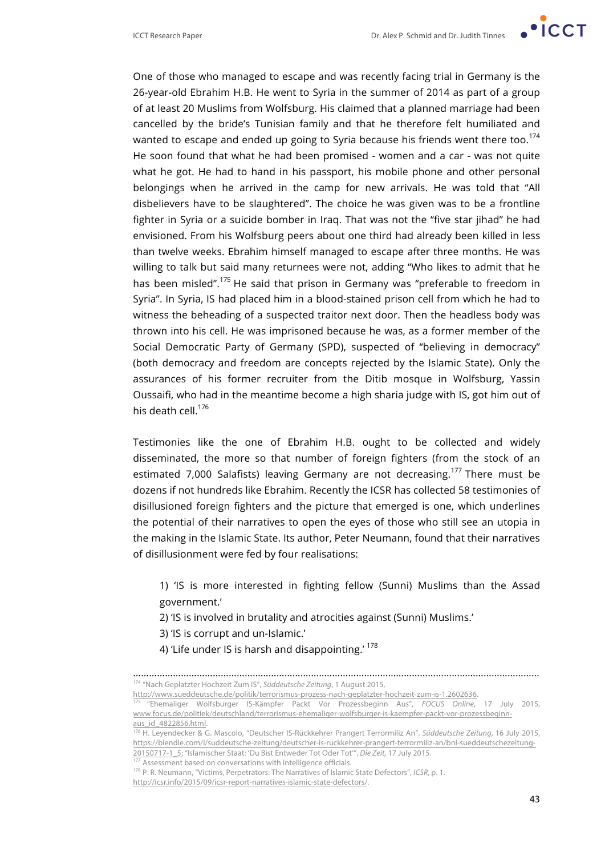ICCT Research Paper **Dr. Alex P. Schmid and Dr. Judith Tinnes** 

One of those who managed to escape and was recently facing trial in Germany is the 26-year-old Ebrahim H.B. He went to Syria in the summer of 2014 as part of a group of at least 20 Muslims from Wolfsburg. His claimed that a planned marriage had been cancelled by the bride's Tunisian family and that he therefore felt humiliated and wanted to escape and ended up going to Syria because his friends went there too.<sup>174</sup> He soon found that what he had been promised - women and a car - was not quite what he got. He had to hand in his passport, his mobile phone and other personal belongings when he arrived in the camp for new arrivals. He was told that "All disbelievers have to be slaughtered". The choice he was given was to be a frontline fighter in Syria or a suicide bomber in Iraq. That was not the "five star jihad" he had envisioned. From his Wolfsburg peers about one third had already been killed in less than twelve weeks. Ebrahim himself managed to escape after three months. He was willing to talk but said many returnees were not, adding "Who likes to admit that he has been misled".<sup>175</sup> He said that prison in Germany was "preferable to freedom in Syria". In Syria, IS had placed him in a blood-stained prison cell from which he had to witness the beheading of a suspected traitor next door. Then the headless body was thrown into his cell. He was imprisoned because he was, as a former member of the Social Democratic Party of Germany (SPD), suspected of "believing in democracy" (both democracy and freedom are concepts rejected by the Islamic State). Only the assurances of his former recruiter from the Ditib mosque in Wolfsburg, Yassin Oussaifi, who had in the meantime become a high sharia judge with IS, got him out of his death cell. $^{176}$ 

Testimonies like the one of Ebrahim H.B. ought to be collected and widely disseminated, the more so that number of foreign fighters (from the stock of an estimated 7,000 Salafists) leaving Germany are not decreasing.<sup>177</sup> There must be dozens if not hundreds like Ebrahim. Recently the ICSR has collected 58 testimonies of disillusioned foreign fighters and the picture that emerged is one, which underlines the potential of their narratives to open the eyes of those who still see an utopia in the making in the Islamic State. Its author, Peter Neumann, found that their narratives of disillusionment were fed by four realisations:

1) 'IS is more interested in fighting fellow (Sunni) Muslims than the Assad government.'

2) 'IS is involved in brutality and atrocities against (Sunni) Muslims.'

3) 'IS is corrupt and un-Islamic.'

4) 'Life under IS is harsh and disappointing.'<sup>178</sup>

……………………………………………………………………………………………………………………………………… <sup>174</sup> "Nach Geplatzter Hochzeit Zum IS", *Süddeutsche Zeitung*, 1 August 2015,

http://www.sueddeutsche.de/politik/terrorismus-prozess-nach-geplatzter-hochzeit-zum-is-1.2602636.

<sup>175</sup> "Ehemaliger Wolfsburger IS-Kämpfer Packt Vor Prozessbeginn Aus", *FOCUS Online*, 17 July 2015, www.focus.de/politiek/deutschland/terrorismus-ehemaliger-wolfsburger-is-kaempfer-packt-vor-prozessbeginnaus\_id\_4822856.html.

<sup>176</sup> H. Leyendecker & G. Mascolo, "Deutscher IS-Rückkehrer Prangert Terrormiliz An", *Süddeutsche Zeitung*, 16 July 2015, https://blendle.com/i/suddeutsche-zeitung/deutscher-is-ruckkehrer-prangert-terrormiliz-an/bnl-sueddeutschezeitung-20150717-1\_5; "Islamischer Staat: 'Du Bist Entweder Tot Oder Tot'", *Die Zeit,* 17 July 2015.

<sup>177</sup> Assessment based on conversations with intelligence officials.

<sup>178</sup> P. R. Neumann, "Victims, Perpetrators: The Narratives of Islamic State Defectors", *ICSR*, p. 1.

http://icsr.info/2015/09/icsr-report-narratives-islamic-state-defectors/.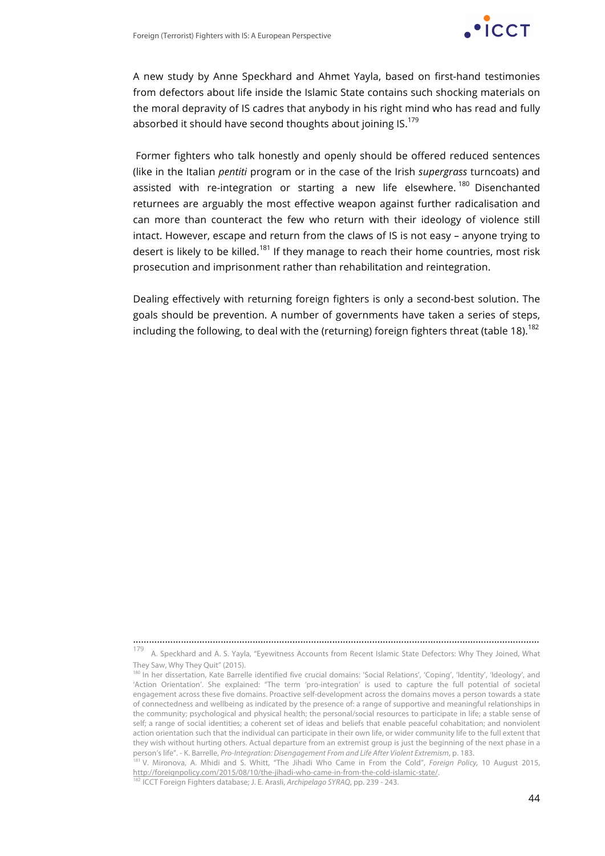

A new study by Anne Speckhard and Ahmet Yayla, based on first-hand testimonies from defectors about life inside the Islamic State contains such shocking materials on the moral depravity of IS cadres that anybody in his right mind who has read and fully absorbed it should have second thoughts about joining IS.<sup>179</sup>

Former fighters who talk honestly and openly should be offered reduced sentences (like in the Italian *pentiti* program or in the case of the Irish *supergrass* turncoats) and assisted with re-integration or starting a new life elsewhere.<sup>180</sup> Disenchanted returnees are arguably the most effective weapon against further radicalisation and can more than counteract the few who return with their ideology of violence still intact. However, escape and return from the claws of IS is not easy – anyone trying to desert is likely to be killed.<sup>181</sup> If they manage to reach their home countries, most risk prosecution and imprisonment rather than rehabilitation and reintegration.

Dealing effectively with returning foreign fighters is only a second-best solution. The goals should be prevention. A number of governments have taken a series of steps, including the following, to deal with the (returning) foreign fighters threat (table 18).<sup>182</sup>

………………………………………………………………………………………………………………………………………

179 A. Speckhard and A. S. Yayla, "Eyewitness Accounts from Recent Islamic State Defectors: Why They Joined, What They Saw, Why They Quit" (2015).

<sup>180</sup> In her dissertation, Kate Barrelle identified five crucial domains: 'Social Relations', 'Coping', 'Identity', 'Ideology', and 'Action Orientation'. She explained: "The term 'pro-integration' is used to capture the full potential of societal engagement across these five domains. Proactive self-development across the domains moves a person towards a state of connectedness and wellbeing as indicated by the presence of: a range of supportive and meaningful relationships in the community; psychological and physical health; the personal/social resources to participate in life; a stable sense of self; a range of social identities; a coherent set of ideas and beliefs that enable peaceful cohabitation; and nonviolent action orientation such that the individual can participate in their own life, or wider community life to the full extent that they wish without hurting others. Actual departure from an extremist group is just the beginning of the next phase in a person's life". - K. Barrelle, *Pro-Integration: Disengagement From and Life After Violent Extremism*, p. 183.

<sup>181</sup> V. Mironova, A. Mhidi and S. Whitt, "The Jihadi Who Came in From the Cold", *Foreign Policy,* 10 August 2015, http://foreignpolicy.com/2015/08/10/the-jihadi-who-came-in-from-the-cold-islamic-state/.

<sup>182</sup> ICCT Foreign Fighters database; J. E. Arasli, *Archipelago SYRAQ*, pp. 239 - 243.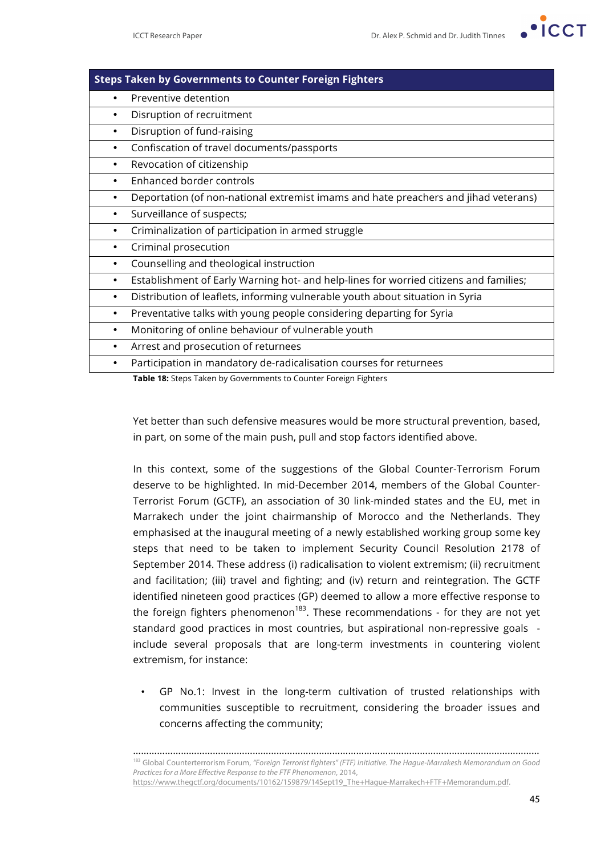

| <b>Steps Taken by Governments to Counter Foreign Fighters</b>                            |  |  |
|------------------------------------------------------------------------------------------|--|--|
| Preventive detention                                                                     |  |  |
| Disruption of recruitment<br>٠                                                           |  |  |
| Disruption of fund-raising<br>٠                                                          |  |  |
| Confiscation of travel documents/passports<br>٠                                          |  |  |
| Revocation of citizenship<br>٠                                                           |  |  |
| Enhanced border controls<br>٠                                                            |  |  |
| Deportation (of non-national extremist imams and hate preachers and jihad veterans)<br>٠ |  |  |
| Surveillance of suspects;<br>٠                                                           |  |  |
| Criminalization of participation in armed struggle<br>٠                                  |  |  |
| Criminal prosecution<br>٠                                                                |  |  |
| Counselling and theological instruction<br>٠                                             |  |  |
| Establishment of Early Warning hot- and help-lines for worried citizens and families;    |  |  |
| Distribution of leaflets, informing vulnerable youth about situation in Syria<br>٠       |  |  |
| Preventative talks with young people considering departing for Syria<br>٠                |  |  |
| Monitoring of online behaviour of vulnerable youth<br>٠                                  |  |  |
| Arrest and prosecution of returnees<br>٠                                                 |  |  |
| Participation in mandatory de-radicalisation courses for returnees                       |  |  |
| Table 18: Steps Taken by Governments to Counter Foreign Fighters                         |  |  |

Yet better than such defensive measures would be more structural prevention, based, in part, on some of the main push, pull and stop factors identified above.

In this context, some of the suggestions of the Global Counter-Terrorism Forum deserve to be highlighted. In mid-December 2014, members of the Global Counter-Terrorist Forum (GCTF), an association of 30 link-minded states and the EU, met in Marrakech under the joint chairmanship of Morocco and the Netherlands. They emphasised at the inaugural meeting of a newly established working group some key steps that need to be taken to implement Security Council Resolution 2178 of September 2014. These address (i) radicalisation to violent extremism; (ii) recruitment and facilitation; (iii) travel and fighting; and (iv) return and reintegration. The GCTF identified nineteen good practices (GP) deemed to allow a more effective response to the foreign fighters phenomenon<sup>183</sup>. These recommendations - for they are not yet standard good practices in most countries, but aspirational non-repressive goals include several proposals that are long-term investments in countering violent extremism, for instance:

• GP No.1: Invest in the long-term cultivation of trusted relationships with communities susceptible to recruitment, considering the broader issues and concerns affecting the community;

……………………………………………………………………………………………………………………………………… <sup>183</sup> Global Counterterrorism Forum, *"Foreign Terrorist fighters" (FTF) Initiative. The Hague-Marrakesh Memorandum on Good Practices for a More Effective Response to the FTF Phenomenon*, 2014, https://www.thegctf.org/documents/10162/159879/14Sept19\_The+Hague-Marrakech+FTF+Memorandum.pdf.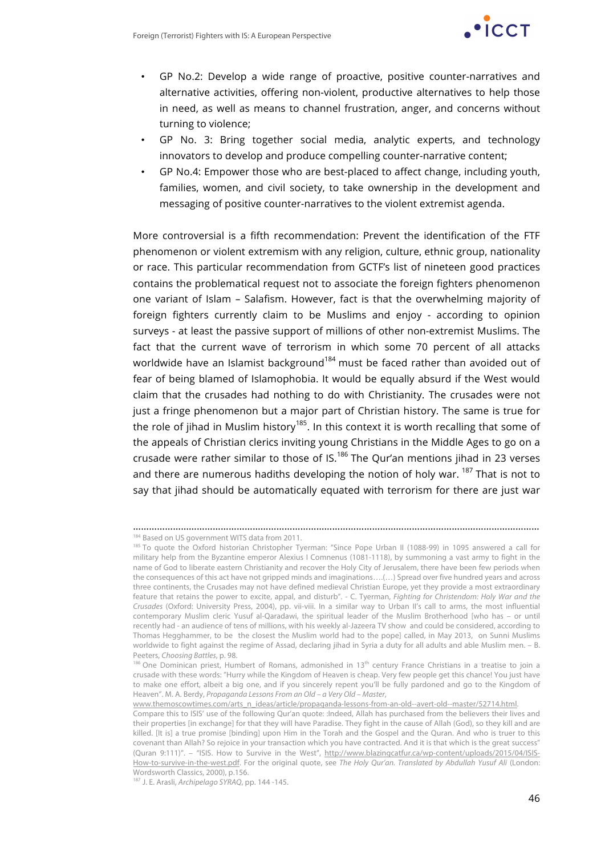

- GP No.2: Develop a wide range of proactive, positive counter-narratives and alternative activities, offering non-violent, productive alternatives to help those in need, as well as means to channel frustration, anger, and concerns without turning to violence;
- GP No. 3: Bring together social media, analytic experts, and technology innovators to develop and produce compelling counter-narrative content;
- GP No.4: Empower those who are best-placed to affect change, including youth, families, women, and civil society, to take ownership in the development and messaging of positive counter-narratives to the violent extremist agenda.

More controversial is a fifth recommendation: Prevent the identification of the FTF phenomenon or violent extremism with any religion, culture, ethnic group, nationality or race. This particular recommendation from GCTF's list of nineteen good practices contains the problematical request not to associate the foreign fighters phenomenon one variant of Islam – Salafism. However, fact is that the overwhelming majority of foreign fighters currently claim to be Muslims and enjoy - according to opinion surveys - at least the passive support of millions of other non-extremist Muslims. The fact that the current wave of terrorism in which some 70 percent of all attacks worldwide have an Islamist background<sup>184</sup> must be faced rather than avoided out of fear of being blamed of Islamophobia. It would be equally absurd if the West would claim that the crusades had nothing to do with Christianity. The crusades were not just a fringe phenomenon but a major part of Christian history. The same is true for the role of jihad in Muslim history<sup>185</sup>. In this context it is worth recalling that some of the appeals of Christian clerics inviting young Christians in the Middle Ages to go on a crusade were rather similar to those of IS. $^{186}$  The Qur'an mentions jihad in 23 verses and there are numerous hadiths developing the notion of holy war.  $^{187}$  That is not to say that jihad should be automatically equated with terrorism for there are just war

………………………………………………………………………………………………………………………………………

www.themoscowtimes.com/arts\_n\_ideas/article/propaganda-lessons-from-an-old--avert-old--master/52714.html.

<sup>184</sup> Based on US government WITS data from 2011.

<sup>185</sup> To quote the Oxford historian Christopher Tyerman: "Since Pope Urban II (1088-99) in 1095 answered a call for military help from the Byzantine emperor Alexius I Comnenus (1081-1118), by summoning a vast army to fight in the name of God to liberate eastern Christianity and recover the Holy City of Jerusalem, there have been few periods when the consequences of this act have not gripped minds and imaginations….(…) Spread over five hundred years and across three continents, the Crusades may not have defined medieval Christian Europe, yet they provide a most extraordinary feature that retains the power to excite, appal, and disturb". - C. Tyerman, *Fighting for Christendom: Holy War and the Crusades* (Oxford: University Press, 2004), pp. vii-viii. In a similar way to Urban II's call to arms, the most influential contemporary Muslim cleric Yusuf al-Qaradawi, the spiritual leader of the Muslim Brotherhood [who has – or until recently had - an audience of tens of millions, with his weekly al-Jazeera TV show and could be considered, according to Thomas Hegghammer, to be the closest the Muslim world had to the pope] called, in May 2013, on Sunni Muslims worldwide to fight against the regime of Assad, declaring jihad in Syria a duty for all adults and able Muslim men. – B. Peeters, *Choosing Battles*, p. 98.<br><sup>186</sup> One Dominican priest, Humbert of Romans, admonished in 13<sup>th</sup> century France Christians in a treatise to join a

crusade with these words: "Hurry while the Kingdom of Heaven is cheap. Very few people get this chance! You just have to make one effort, albeit a big one, and if you sincerely repent you'll be fully pardoned and go to the Kingdom of Heaven". M. A. Berdy, *Propaganda Lessons From an Old – a Very Old – Master*,

Compare this to ISIS' use of the following Qur'an quote: :Indeed, Allah has purchased from the believers their lives and their properties [in exchange] for that they will have Paradise. They fight in the cause of Allah (God), so they kill and are killed. [It is] a true promise [binding] upon Him in the Torah and the Gospel and the Quran. And who is truer to this covenant than Allah? So rejoice in your transaction which you have contracted. And it is that which is the great success" (Quran 9:111)". - "ISIS. How to Survive in the West", http://www.blazingcatfur.ca/wp-content/uploads/2015/04/ISIS-How-to-survive-in-the-west.pdf. For the original quote, see *The Holy Qur'an. Translated by Abdullah Yusuf Ali* (London: Wordsworth Classics, 2000), p.156.

<sup>187</sup> J. E. Arasli, *Archipelago SYRAQ*, pp. 144 -145.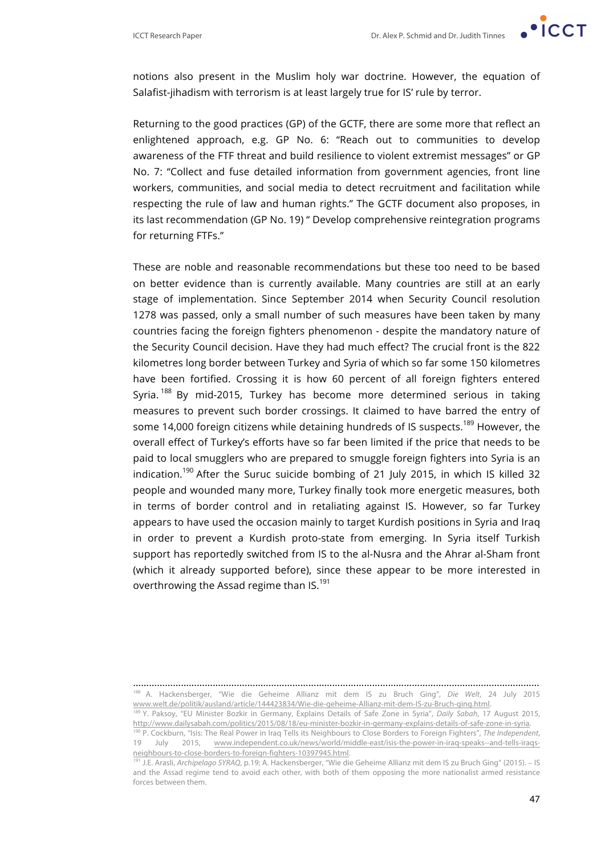

notions also present in the Muslim holy war doctrine. However, the equation of Salafist-jihadism with terrorism is at least largely true for IS' rule by terror.

Returning to the good practices (GP) of the GCTF, there are some more that reflect an enlightened approach, e.g. GP No. 6: "Reach out to communities to develop awareness of the FTF threat and build resilience to violent extremist messages" or GP No. 7: "Collect and fuse detailed information from government agencies, front line workers, communities, and social media to detect recruitment and facilitation while respecting the rule of law and human rights." The GCTF document also proposes, in its last recommendation (GP No. 19) " Develop comprehensive reintegration programs for returning FTFs."

These are noble and reasonable recommendations but these too need to be based on better evidence than is currently available. Many countries are still at an early stage of implementation. Since September 2014 when Security Council resolution 1278 was passed, only a small number of such measures have been taken by many countries facing the foreign fighters phenomenon - despite the mandatory nature of the Security Council decision. Have they had much effect? The crucial front is the 822 kilometres long border between Turkey and Syria of which so far some 150 kilometres have been fortified. Crossing it is how 60 percent of all foreign fighters entered Syria.<sup>188</sup> By mid-2015, Turkey has become more determined serious in taking measures to prevent such border crossings. It claimed to have barred the entry of some 14,000 foreign citizens while detaining hundreds of IS suspects.<sup>189</sup> However, the overall effect of Turkey's efforts have so far been limited if the price that needs to be paid to local smugglers who are prepared to smuggle foreign fighters into Syria is an indication.<sup>190</sup> After the Suruc suicide bombing of 21 July 2015, in which IS killed 32 people and wounded many more, Turkey finally took more energetic measures, both in terms of border control and in retaliating against IS. However, so far Turkey appears to have used the occasion mainly to target Kurdish positions in Syria and Iraq in order to prevent a Kurdish proto-state from emerging. In Syria itself Turkish support has reportedly switched from IS to the al-Nusra and the Ahrar al-Sham front (which it already supported before), since these appear to be more interested in overthrowing the Assad regime than IS.<sup>191</sup>

<sup>………………………………………………………………………………………………………………………………………</sup> <sup>188</sup> A. Hackensberger, "Wie die Geheime Allianz mit dem IS zu Bruch Ging", *Die Welt*, 24 July 2015 www.welt.de/politik/ausland/article/144423834/Wie-die-geheime-Allianz-mit-dem-IS-zu-Bruch-ging.html.

<sup>189</sup> Y. Paksoy, "EU Minister Bozkir in Germany, Explains Details of Safe Zone in Syria", *Daily Sabah*, 17 August 2015, http://www.dailysabah.com/politics/2015/08/18/eu-minister-bozkir-in-germany-explains-details-of-safe-zone-in-syria.

<sup>&</sup>lt;sup>190</sup> P. Cockburn, "Isis: The Real Power in Iraq Tells its Neighbours to Close Borders to Foreign Fighters", *The Independent*,<br>19 July 2015. www.independent.co.uk/news/world/middle-east/isis-the-nower-in-irag-speaks--andwww.independent.co.uk/news/world/middle-east/isis-the-power-in-iraq-speaks--and-tells-iraqsneighbours-to-close-borders-to-foreign-fighters-10397945.html.

<sup>191</sup> J.E. Arasli, *Archipelago SYRAQ*, p.19; A. Hackensberger, "Wie die Geheime Allianz mit dem IS zu Bruch Ging" (2015). – IS and the Assad regime tend to avoid each other, with both of them opposing the more nationalist armed resistance forces between them.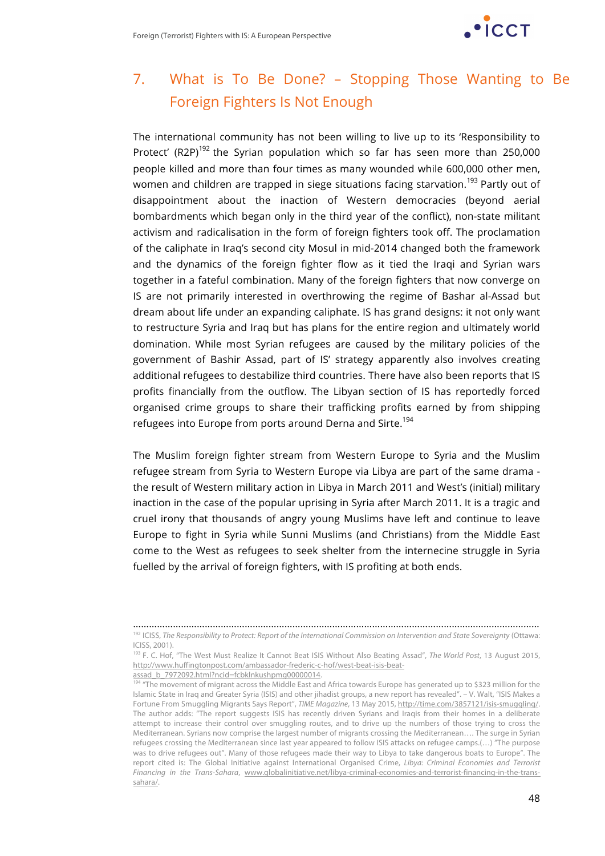

## 7. What is To Be Done? – Stopping Those Wanting to Be Foreign Fighters Is Not Enough

The international community has not been willing to live up to its 'Responsibility to Protect' (R2P)<sup>192</sup> the Syrian population which so far has seen more than 250,000 people killed and more than four times as many wounded while 600,000 other men, women and children are trapped in siege situations facing starvation.<sup>193</sup> Partly out of disappointment about the inaction of Western democracies (beyond aerial bombardments which began only in the third year of the conflict), non-state militant activism and radicalisation in the form of foreign fighters took off. The proclamation of the caliphate in Iraq's second city Mosul in mid-2014 changed both the framework and the dynamics of the foreign fighter flow as it tied the Iraqi and Syrian wars together in a fateful combination. Many of the foreign fighters that now converge on IS are not primarily interested in overthrowing the regime of Bashar al-Assad but dream about life under an expanding caliphate. IS has grand designs: it not only want to restructure Syria and Iraq but has plans for the entire region and ultimately world domination. While most Syrian refugees are caused by the military policies of the government of Bashir Assad, part of IS' strategy apparently also involves creating additional refugees to destabilize third countries. There have also been reports that IS profits financially from the outflow. The Libyan section of IS has reportedly forced organised crime groups to share their trafficking profits earned by from shipping refugees into Europe from ports around Derna and Sirte.<sup>194</sup>

The Muslim foreign fighter stream from Western Europe to Syria and the Muslim refugee stream from Syria to Western Europe via Libya are part of the same drama the result of Western military action in Libya in March 2011 and West's (initial) military inaction in the case of the popular uprising in Syria after March 2011. It is a tragic and cruel irony that thousands of angry young Muslims have left and continue to leave Europe to fight in Syria while Sunni Muslims (and Christians) from the Middle East come to the West as refugees to seek shelter from the internecine struggle in Syria fuelled by the arrival of foreign fighters, with IS profiting at both ends.

<sup>………………………………………………………………………………………………………………………………………</sup> <sup>192</sup> ICISS, *The Responsibility to Protect: Report of the International Commission on Intervention and State Sovereignty* (Ottawa: ICISS, 2001).

<sup>193</sup> F. C. Hof, "The West Must Realize It Cannot Beat ISIS Without Also Beating Assad", *The World Post*, 13 August 2015, http://www.huffingtonpost.com/ambassador-frederic-c-hof/west-beat-isis-beat-

assad\_b\_7972092.html?ncid=fcbklnkushpmg00000014.

 $^{94}$  "The movement of migrant across the Middle East and Africa towards Europe has generated up to \$323 million for the Islamic State in Iraq and Greater Syria (ISIS) and other jihadist groups, a new report has revealed". – V. Walt, "ISIS Makes a Fortune From Smuggling Migrants Says Report", *TIME Magazine*, 13 May 2015, http://time.com/3857121/isis-smuggling/. The author adds: "The report suggests ISIS has recently driven Syrians and Iraqis from their homes in a deliberate attempt to increase their control over smuggling routes, and to drive up the numbers of those trying to cross the Mediterranean. Syrians now comprise the largest number of migrants crossing the Mediterranean…. The surge in Syrian refugees crossing the Mediterranean since last year appeared to follow ISIS attacks on refugee camps.(…) "The purpose was to drive refugees out". Many of those refugees made their way to Libya to take dangerous boats to Europe". The report cited is: The Global Initiative against International Organised Crime, *Libya: Criminal Economies and Terrorist Financing in the Trans-Sahara*, www.globalinitiative.net/libya-criminal-economies-and-terrorist-financing-in-the-transsahara/.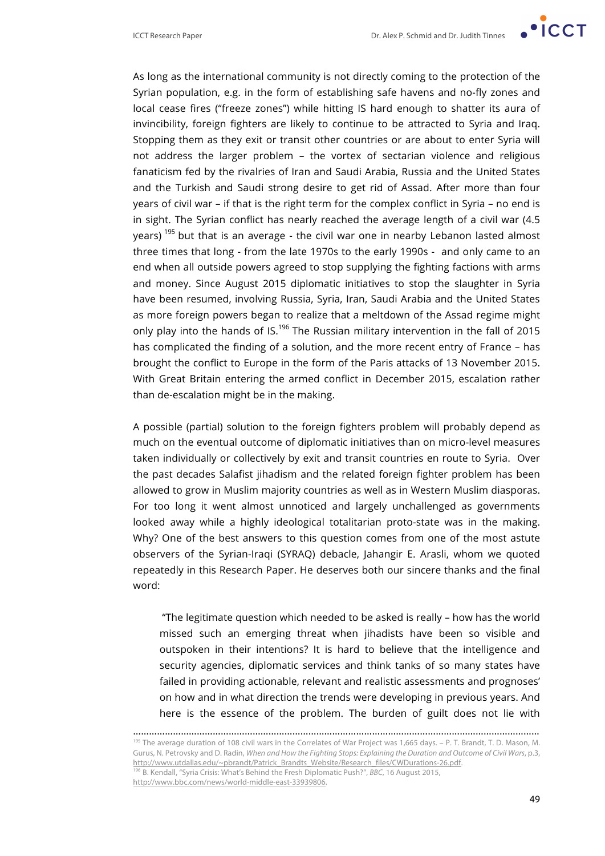

As long as the international community is not directly coming to the protection of the Syrian population, e.g. in the form of establishing safe havens and no-fly zones and local cease fires ("freeze zones") while hitting IS hard enough to shatter its aura of invincibility, foreign fighters are likely to continue to be attracted to Syria and Iraq. Stopping them as they exit or transit other countries or are about to enter Syria will not address the larger problem – the vortex of sectarian violence and religious fanaticism fed by the rivalries of Iran and Saudi Arabia, Russia and the United States and the Turkish and Saudi strong desire to get rid of Assad. After more than four years of civil war – if that is the right term for the complex conflict in Syria – no end is in sight. The Syrian conflict has nearly reached the average length of a civil war (4.5 years)<sup>195</sup> but that is an average - the civil war one in nearby Lebanon lasted almost three times that long - from the late 1970s to the early 1990s - and only came to an end when all outside powers agreed to stop supplying the fighting factions with arms and money. Since August 2015 diplomatic initiatives to stop the slaughter in Syria have been resumed, involving Russia, Syria, Iran, Saudi Arabia and the United States as more foreign powers began to realize that a meltdown of the Assad regime might only play into the hands of IS.<sup>196</sup> The Russian military intervention in the fall of 2015 has complicated the finding of a solution, and the more recent entry of France – has brought the conflict to Europe in the form of the Paris attacks of 13 November 2015. With Great Britain entering the armed conflict in December 2015, escalation rather than de-escalation might be in the making.

A possible (partial) solution to the foreign fighters problem will probably depend as much on the eventual outcome of diplomatic initiatives than on micro-level measures taken individually or collectively by exit and transit countries en route to Syria. Over the past decades Salafist jihadism and the related foreign fighter problem has been allowed to grow in Muslim majority countries as well as in Western Muslim diasporas. For too long it went almost unnoticed and largely unchallenged as governments looked away while a highly ideological totalitarian proto-state was in the making. Why? One of the best answers to this question comes from one of the most astute observers of the Syrian-Iraqi (SYRAQ) debacle, Jahangir E. Arasli, whom we quoted repeatedly in this Research Paper. He deserves both our sincere thanks and the final word:

"The legitimate question which needed to be asked is really – how has the world missed such an emerging threat when jihadists have been so visible and outspoken in their intentions? It is hard to believe that the intelligence and security agencies, diplomatic services and think tanks of so many states have failed in providing actionable, relevant and realistic assessments and prognoses' on how and in what direction the trends were developing in previous years. And here is the essence of the problem. The burden of guilt does not lie with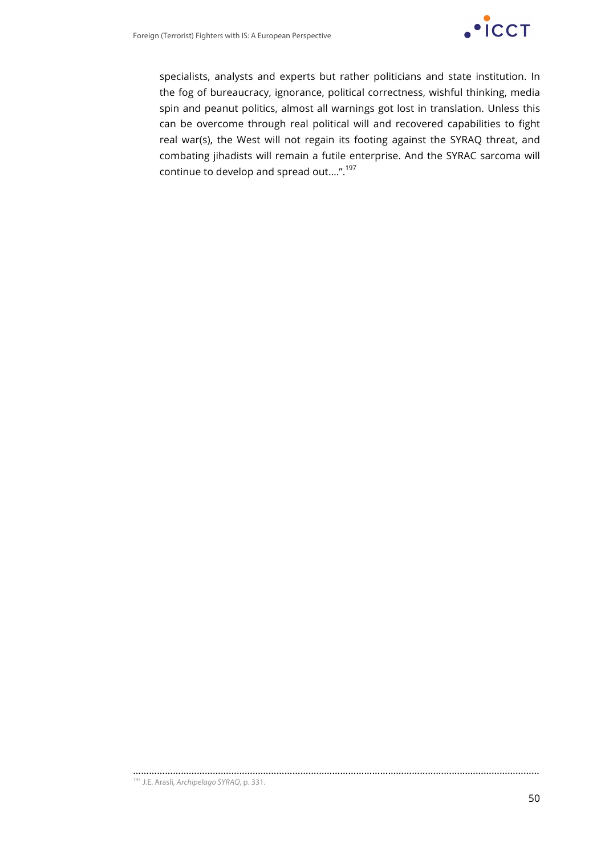

specialists, analysts and experts but rather politicians and state institution. In the fog of bureaucracy, ignorance, political correctness, wishful thinking, media spin and peanut politics, almost all warnings got lost in translation. Unless this can be overcome through real political will and recovered capabilities to fight real war(s), the West will not regain its footing against the SYRAQ threat, and combating jihadists will remain a futile enterprise. And the SYRAC sarcoma will continue to develop and spread out….".197

<sup>………………………………………………………………………………………………………………………………………</sup> <sup>197</sup> J.E. Arasli, *Archipelago SYRAQ*, p. 331.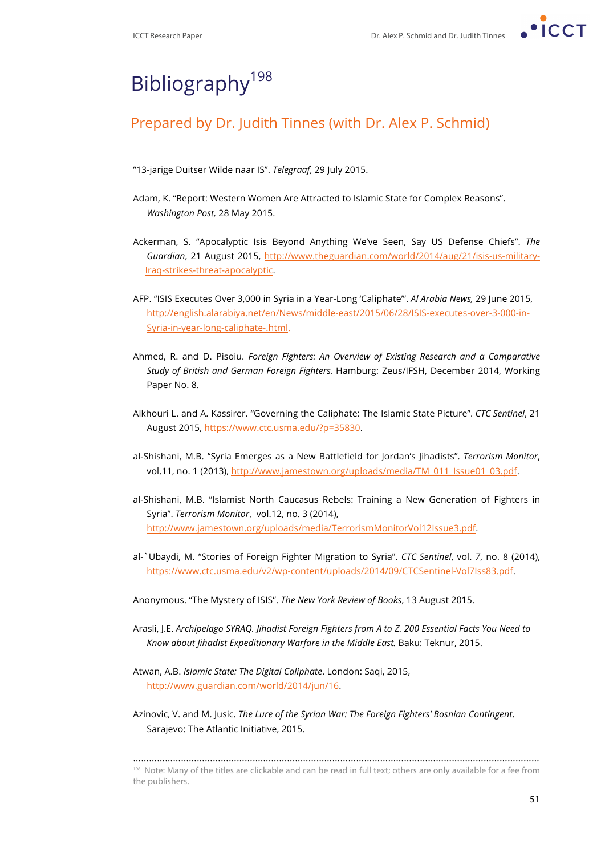

# Bibliography<sup>198</sup>

## Prepared by Dr. Judith Tinnes (with Dr. Alex P. Schmid)

- "13-jarige Duitser Wilde naar IS". *Telegraaf*, 29 July 2015.
- Adam, K. "Report: Western Women Are Attracted to Islamic State for Complex Reasons". *Washington Post,* 28 May 2015.
- Ackerman, S. "Apocalyptic Isis Beyond Anything We've Seen, Say US Defense Chiefs". *The Guardian*, 21 August 2015, http://www.theguardian.com/world/2014/aug/21/isis-us-military-Iraq-strikes-threat-apocalyptic.
- AFP. "ISIS Executes Over 3,000 in Syria in a Year-Long 'Caliphate'". *Al Arabia News,* 29 June 2015, http://english.alarabiya.net/en/News/middle-east/2015/06/28/ISIS-executes-over-3-000-in-Syria-in-year-long-caliphate-.html.
- Ahmed, R. and D. Pisoiu. *Foreign Fighters: An Overview of Existing Research and a Comparative Study of British and German Foreign Fighters.* Hamburg: Zeus/IFSH, December 2014, Working Paper No. 8.
- Alkhouri L. and A. Kassirer. "Governing the Caliphate: The Islamic State Picture". *CTC Sentinel*, 21 August 2015, https://www.ctc.usma.edu/?p=35830.
- al-Shishani, M.B. "Syria Emerges as a New Battlefield for Jordan's Jihadists". *Terrorism Monitor*, vol.11, no. 1 (2013), http://www.jamestown.org/uploads/media/TM\_011\_Issue01\_03.pdf.
- al-Shishani, M.B. "Islamist North Caucasus Rebels: Training a New Generation of Fighters in Syria". *Terrorism Monitor*, vol.12, no. 3 (2014), http://www.jamestown.org/uploads/media/TerrorismMonitorVol12Issue3.pdf.
- al-`Ubaydi, M. "Stories of Foreign Fighter Migration to Syria". *CTC Sentinel*, vol. *7*, no. 8 (2014), https://www.ctc.usma.edu/v2/wp-content/uploads/2014/09/CTCSentinel-Vol7Iss83.pdf.
- Anonymous. "The Mystery of ISIS". *The New York Review of Books*, 13 August 2015.
- Arasli, J.E. *Archipelago SYRAQ. Jihadist Foreign Fighters from A to Z. 200 Essential Facts You Need to Know about Jihadist Expeditionary Warfare in the Middle East.* Baku: Teknur, 2015.
- Atwan, A.B. *Islamic State: The Digital Caliphate*. London: Saqi, 2015, http://www.guardian.com/world/2014/jun/16.
- Azinovic, V. and M. Jusic. *The Lure of the Syrian War: The Foreign Fighters' Bosnian Contingent*. Sarajevo: The Atlantic Initiative, 2015.

……………………………………………………………………………………………………………………………………… <sup>198</sup> Note: Many of the titles are clickable and can be read in full text; others are only available for a fee from the publishers.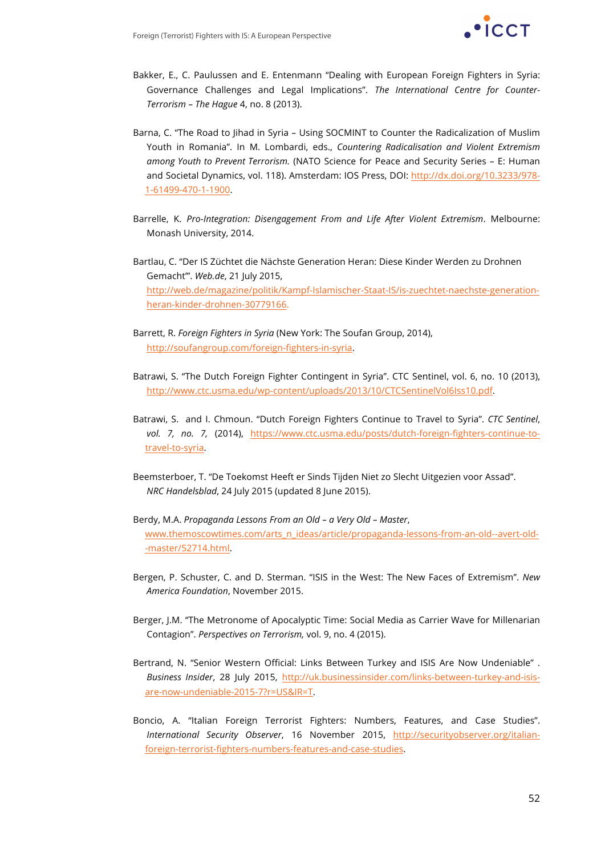

- Bakker, E., C. Paulussen and E. Entenmann "Dealing with European Foreign Fighters in Syria: Governance Challenges and Legal Implications". *The International Centre for Counter-Terrorism – The Hague* 4, no. 8 (2013).
- Barna, C. "The Road to Jihad in Syria Using SOCMINT to Counter the Radicalization of Muslim Youth in Romania". In M. Lombardi, eds., *Countering Radicalisation and Violent Extremism among Youth to Prevent Terrorism.* (NATO Science for Peace and Security Series – E: Human and Societal Dynamics, vol. 118). Amsterdam: IOS Press, DOI: http://dx.doi.org/10.3233/978- 1-61499-470-1-1900.
- Barrelle, K. *Pro-Integration: Disengagement From and Life After Violent Extremism*. Melbourne: Monash University, 2014.
- Bartlau, C. "Der IS Züchtet die Nächste Generation Heran: Diese Kinder Werden zu Drohnen Gemacht'". *Web.de*, 21 July 2015, http://web.de/magazine/politik/Kampf-Islamischer-Staat-IS/is-zuechtet-naechste-generationheran-kinder-drohnen-30779166.
- Barrett, R. *Foreign Fighters in Syria* (New York: The Soufan Group, 2014), http://soufangroup.com/foreign-fighters-in-syria.
- Batrawi, S. "The Dutch Foreign Fighter Contingent in Syria". CTC Sentinel, vol. 6, no. 10 (2013), http://www.ctc.usma.edu/wp-content/uploads/2013/10/CTCSentinelVol6Iss10.pdf.
- Batrawi, S. and I. Chmoun. "Dutch Foreign Fighters Continue to Travel to Syria". *CTC Sentinel*, vol. 7, no. 7, (2014), https://www.ctc.usma.edu/posts/dutch-foreign-fighters-continue-totravel-to-syria.
- Beemsterboer, T. "De Toekomst Heeft er Sinds Tijden Niet zo Slecht Uitgezien voor Assad". *NRC Handelsblad*, 24 July 2015 (updated 8 June 2015).
- Berdy, M.A. *Propaganda Lessons From an Old – a Very Old – Master*, www.themoscowtimes.com/arts\_n\_ideas/article/propaganda-lessons-from-an-old--avert-old- -master/52714.html.
- Bergen, P. Schuster, C. and D. Sterman. "ISIS in the West: The New Faces of Extremism". *New America Foundation*, November 2015.
- Berger, J.M. "The Metronome of Apocalyptic Time: Social Media as Carrier Wave for Millenarian Contagion". *Perspectives on Terrorism,* vol. 9, no. 4 (2015).
- Bertrand, N. "Senior Western Official: Links Between Turkey and ISIS Are Now Undeniable" . *Business Insider*, 28 July 2015, http://uk.businessinsider.com/links-between-turkey-and-isisare-now-undeniable-2015-7?r=US&IR=T.
- Boncio, A. "Italian Foreign Terrorist Fighters: Numbers, Features, and Case Studies". *International Security Observer*, 16 November 2015, http://securityobserver.org/italianforeign-terrorist-fighters-numbers-features-and-case-studies.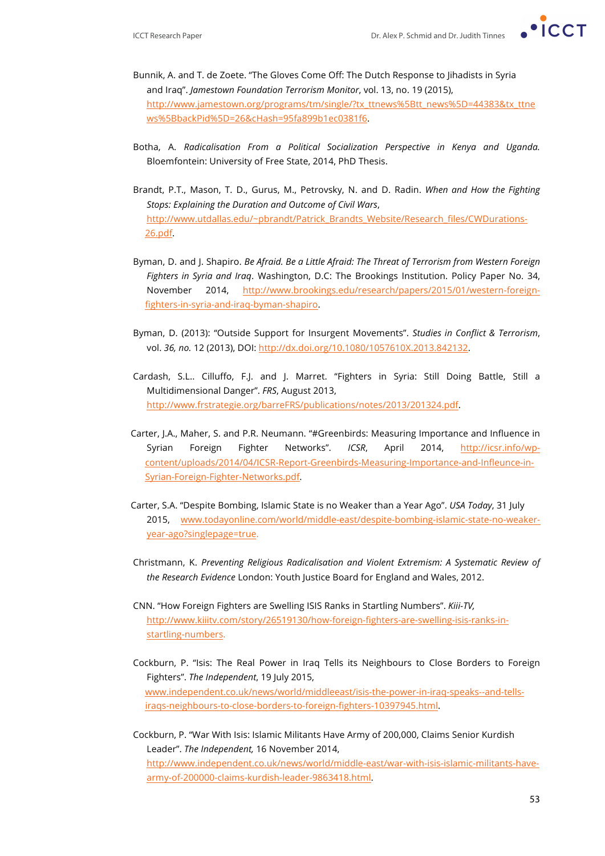

- Bunnik, A. and T. de Zoete. "The Gloves Come Off: The Dutch Response to Jihadists in Syria and Iraq". *Jamestown Foundation Terrorism Monitor*, vol. 13, no. 19 (2015), http://www.jamestown.org/programs/tm/single/?tx\_ttnews%5Btt\_news%5D=44383&tx\_ttne ws%5BbackPid%5D=26&cHash=95fa899b1ec0381f6.
- Botha, A. *Radicalisation From a Political Socialization Perspective in Kenya and Uganda.*  Bloemfontein: University of Free State, 2014, PhD Thesis.
- Brandt, P.T., Mason, T. D., Gurus, M., Petrovsky, N. and D. Radin. *When and How the Fighting Stops: Explaining the Duration and Outcome of Civil Wars*, http://www.utdallas.edu/~pbrandt/Patrick\_Brandts\_Website/Research\_files/CWDurations-26.pdf.
- Byman, D. and J. Shapiro. *Be Afraid. Be a Little Afraid: The Threat of Terrorism from Western Foreign Fighters in Syria and Iraq*. Washington, D.C: The Brookings Institution. Policy Paper No. 34, November 2014, http://www.brookings.edu/research/papers/2015/01/western-foreignfighters-in-syria-and-iraq-byman-shapiro.
- Byman, D. (2013): "Outside Support for Insurgent Movements". *Studies in Conflict & Terrorism*, vol. *36, no.* 12 (2013), DOI: http://dx.doi.org/10.1080/1057610X.2013.842132.
- Cardash, S.L.. Cilluffo, F.J. and J. Marret. "Fighters in Syria: Still Doing Battle, Still a Multidimensional Danger". *FRS*, August 2013, http://www.frstrategie.org/barreFRS/publications/notes/2013/201324.pdf.
- Carter, J.A., Maher, S. and P.R. Neumann. "#Greenbirds: Measuring Importance and Influence in Syrian Foreign Fighter Networks". *ICSR*, April 2014, http://icsr.info/wpcontent/uploads/2014/04/ICSR-Report-Greenbirds-Measuring-Importance-and-Infleunce-in-Syrian-Foreign-Fighter-Networks.pdf.
- Carter, S.A. "Despite Bombing, Islamic State is no Weaker than a Year Ago". *USA Today*, 31 July 2015, www.todayonline.com/world/middle-east/despite-bombing-islamic-state-no-weakeryear-ago?singlepage=true.
- Christmann, K. *Preventing Religious Radicalisation and Violent Extremism: A Systematic Review of the Research Evidence* London: Youth Justice Board for England and Wales, 2012.
- CNN. "How Foreign Fighters are Swelling ISIS Ranks in Startling Numbers". *Kiii-TV,* http://www.kiiitv.com/story/26519130/how-foreign-fighters-are-swelling-isis-ranks-instartling-numbers.
- Cockburn, P. "Isis: The Real Power in Iraq Tells its Neighbours to Close Borders to Foreign Fighters". *The Independent*, 19 July 2015, www.independent.co.uk/news/world/middleeast/isis-the-power-in-iraq-speaks--and-tellsiraqs-neighbours-to-close-borders-to-foreign-fighters-10397945.html.
- Cockburn, P. "War With Isis: Islamic Militants Have Army of 200,000, Claims Senior Kurdish Leader". *The Independent,* 16 November 2014, http://www.independent.co.uk/news/world/middle-east/war-with-isis-islamic-militants-havearmy-of-200000-claims-kurdish-leader-9863418.html.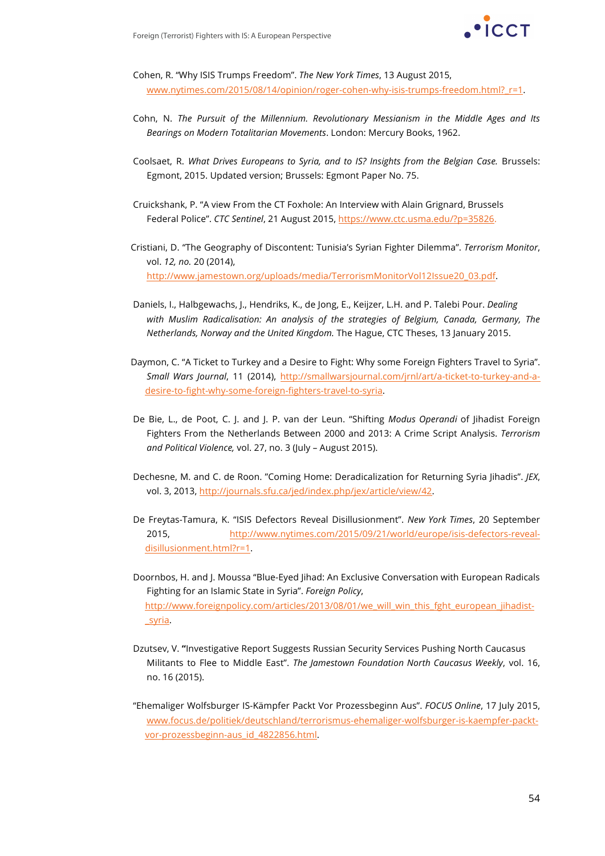

Cohen, R. "Why ISIS Trumps Freedom". *The New York Times*, 13 August 2015, www.nytimes.com/2015/08/14/opinion/roger-cohen-why-isis-trumps-freedom.html?\_r=1.

- Cohn, N. *The Pursuit of the Millennium. Revolutionary Messianism in the Middle Ages and Its Bearings on Modern Totalitarian Movements*. London: Mercury Books, 1962.
- Coolsaet, R. *What Drives Europeans to Syria, and to IS? Insights from the Belgian Case.* Brussels: Egmont, 2015. Updated version; Brussels: Egmont Paper No. 75.
- Cruickshank, P. "A view From the CT Foxhole: An Interview with Alain Grignard, Brussels Federal Police". *CTC Sentinel*, 21 August 2015, https://www.ctc.usma.edu/?p=35826.
- Cristiani, D. "The Geography of Discontent: Tunisia's Syrian Fighter Dilemma". *Terrorism Monitor*, vol. *12, no.* 20 (2014), http://www.jamestown.org/uploads/media/TerrorismMonitorVol12Issue20\_03.pdf.
- Daniels, I., Halbgewachs, J., Hendriks, K., de Jong, E., Keijzer, L.H. and P. Talebi Pour. *Dealing with Muslim Radicalisation: An analysis of the strategies of Belgium, Canada, Germany, The Netherlands, Norway and the United Kingdom.* The Hague, CTC Theses, 13 January 2015.
- Daymon, C. "A Ticket to Turkey and a Desire to Fight: Why some Foreign Fighters Travel to Syria". *Small Wars Journal*, 11 (2014), http://smallwarsjournal.com/jrnl/art/a-ticket-to-turkey-and-adesire-to-fight-why-some-foreign-fighters-travel-to-syria.
- De Bie, L., de Poot, C. J. and J. P. van der Leun. "Shifting *Modus Operandi* of Jihadist Foreign Fighters From the Netherlands Between 2000 and 2013: A Crime Script Analysis. *Terrorism and Political Violence,* vol. 27, no. 3 (July – August 2015).
- Dechesne, M. and C. de Roon. "Coming Home: Deradicalization for Returning Syria Jihadis". *JEX*, vol. 3, 2013, http://journals.sfu.ca/jed/index.php/jex/article/view/42.
- De Freytas-Tamura, K. "ISIS Defectors Reveal Disillusionment". *New York Times*, 20 September 2015, http://www.nytimes.com/2015/09/21/world/europe/isis-defectors-revealdisillusionment.html?r=1.
- Doornbos, H. and J. Moussa "Blue-Eyed Jihad: An Exclusive Conversation with European Radicals Fighting for an Islamic State in Syria". *Foreign Policy*, http://www.foreignpolicy.com/articles/2013/08/01/we\_will\_win\_this\_fght\_european\_jihadist- \_syria.
- Dzutsev, V. **"**Investigative Report Suggests Russian Security Services Pushing North Caucasus Militants to Flee to Middle East". *The Jamestown Foundation North Caucasus Weekly*, vol. 16, no. 16 (2015).
- "Ehemaliger Wolfsburger IS-Kämpfer Packt Vor Prozessbeginn Aus". *FOCUS Online*, 17 July 2015, www.focus.de/politiek/deutschland/terrorismus-ehemaliger-wolfsburger-is-kaempfer-packtvor-prozessbeginn-aus\_id\_4822856.html.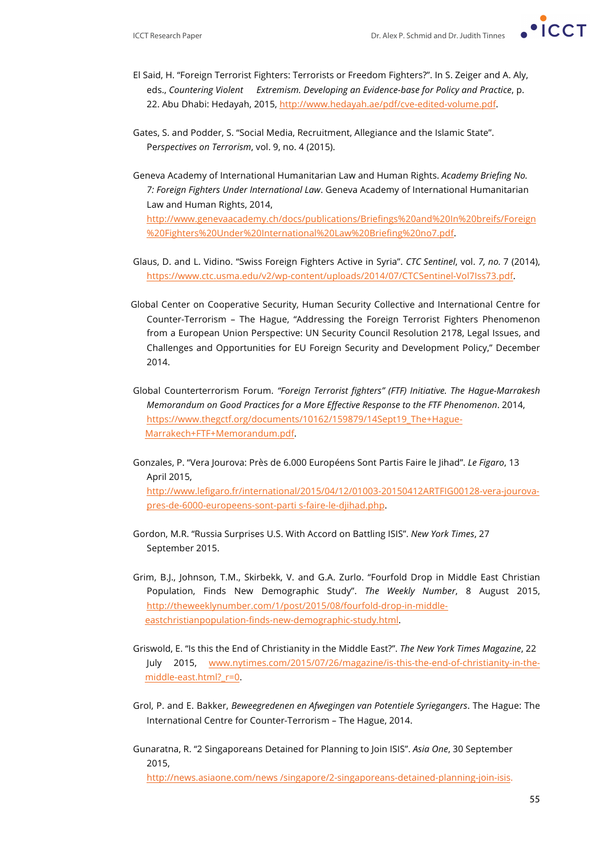

- El Said, H. "Foreign Terrorist Fighters: Terrorists or Freedom Fighters?". In S. Zeiger and A. Aly, eds., *Countering Violent Extremism. Developing an Evidence-base for Policy and Practice*, p. 22. Abu Dhabi: Hedayah, 2015, http://www.hedayah.ae/pdf/cve-edited-volume.pdf.
- Gates, S. and Podder, S. "Social Media, Recruitment, Allegiance and the Islamic State". Pe*rspectives on Terrorism*, vol. 9, no. 4 (2015).
- Geneva Academy of International Humanitarian Law and Human Rights. *Academy Briefing No. 7: Foreign Fighters Under International Law*. Geneva Academy of International Humanitarian Law and Human Rights, 2014, http://www.genevaacademy.ch/docs/publications/Briefings%20and%20In%20breifs/Foreign %20Fighters%20Under%20International%20Law%20Briefing%20no7.pdf.
- Glaus, D. and L. Vidino. "Swiss Foreign Fighters Active in Syria". *CTC Sentinel*, vol. *7, no.* 7 (2014), https://www.ctc.usma.edu/v2/wp-content/uploads/2014/07/CTCSentinel-Vol7Iss73.pdf.
- Global Center on Cooperative Security, Human Security Collective and International Centre for Counter-Terrorism – The Hague, "Addressing the Foreign Terrorist Fighters Phenomenon from a European Union Perspective: UN Security Council Resolution 2178, Legal Issues, and Challenges and Opportunities for EU Foreign Security and Development Policy," December 2014.
- Global Counterterrorism Forum. *"Foreign Terrorist fighters" (FTF) Initiative. The Hague-Marrakesh Memorandum on Good Practices for a More Effective Response to the FTF Phenomenon*. 2014, https://www.thegctf.org/documents/10162/159879/14Sept19\_The+Hague-Marrakech+FTF+Memorandum.pdf.
- Gonzales, P. "Vera Jourova: Près de 6.000 Européens Sont Partis Faire le Jihad". *Le Figaro*, 13 April 2015, http://www.lefigaro.fr/international/2015/04/12/01003-20150412ARTFIG00128-vera-jourovapres-de-6000-europeens-sont-parti s-faire-le-djihad.php.
- Gordon, M.R. "Russia Surprises U.S. With Accord on Battling ISIS". *New York Times*, 27 September 2015.
- Grim, B.J., Johnson, T.M., Skirbekk, V. and G.A. Zurlo. "Fourfold Drop in Middle East Christian Population, Finds New Demographic Study". *The Weekly Number*, 8 August 2015, http://theweeklynumber.com/1/post/2015/08/fourfold-drop-in-middleeastchristianpopulation-finds-new-demographic-study.html.
- Griswold, E. "Is this the End of Christianity in the Middle East?". *The New York Times Magazine*, 22 July 2015, www.nytimes.com/2015/07/26/magazine/is-this-the-end-of-christianity-in-themiddle-east.html?\_r=0.
- Grol, P. and E. Bakker, *Beweegredenen en Afwegingen van Potentiele Syriegangers*. The Hague: The International Centre for Counter-Terrorism – The Hague, 2014.
- Gunaratna, R. "2 Singaporeans Detained for Planning to Join ISIS". *Asia One*, 30 September 2015,

http://news.asiaone.com/news /singapore/2-singaporeans-detained-planning-join-isis.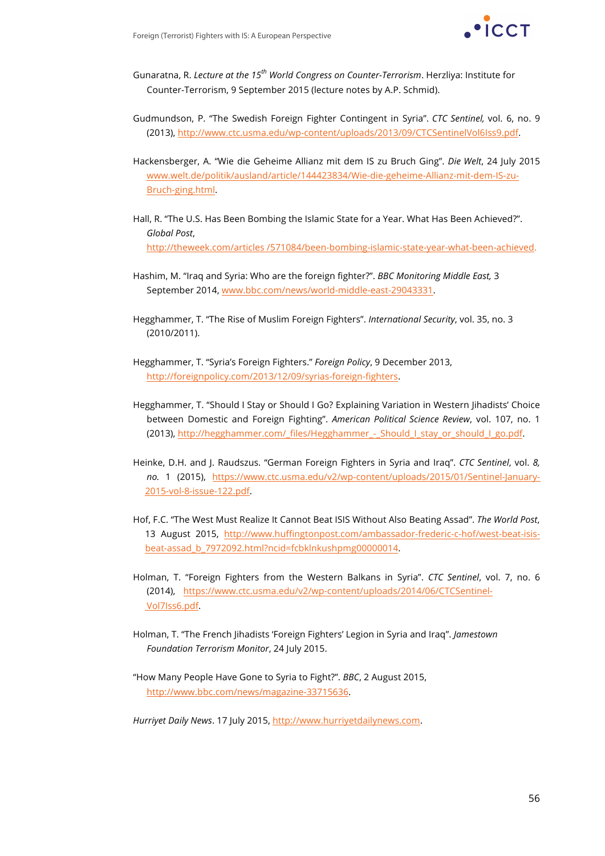

- Gunaratna, R. *Lecture at the 15th World Congress on Counter-Terrorism*. Herzliya: Institute for Counter-Terrorism, 9 September 2015 (lecture notes by A.P. Schmid).
- Gudmundson, P. "The Swedish Foreign Fighter Contingent in Syria". *CTC Sentinel,* vol. 6, no. 9 (2013), http://www.ctc.usma.edu/wp-content/uploads/2013/09/CTCSentinelVol6Iss9.pdf.
- Hackensberger, A. "Wie die Geheime Allianz mit dem IS zu Bruch Ging". *Die Welt*, 24 July 2015 www.welt.de/politik/ausland/article/144423834/Wie-die-geheime-Allianz-mit-dem-IS-zu-Bruch-ging.html.
- Hall, R. "The U.S. Has Been Bombing the Islamic State for a Year. What Has Been Achieved?". *Global Post*, http://theweek.com/articles /571084/been-bombing-islamic-state-year-what-been-achieved.
- Hashim, M. "Iraq and Syria: Who are the foreign fighter?". *BBC Monitoring Middle East,* 3 September 2014, www.bbc.com/news/world-middle-east-29043331.
- Hegghammer, T. "The Rise of Muslim Foreign Fighters". *International Security*, vol. 35, no. 3 (2010/2011).
- Hegghammer, T. "Syria's Foreign Fighters." *Foreign Policy*, 9 December 2013, http://foreignpolicy.com/2013/12/09/syrias-foreign-fighters.
- Hegghammer, T. "Should I Stay or Should I Go? Explaining Variation in Western Jihadists' Choice between Domestic and Foreign Fighting". *American Political Science Review*, vol. 107, no. 1 (2013), http://hegghammer.com/\_files/Hegghammer\_-\_Should\_I\_stay\_or\_should\_I\_go.pdf.
- Heinke, D.H. and J. Raudszus. "German Foreign Fighters in Syria and Iraq". *CTC Sentinel*, vol. *8, no.* 1 (2015), https://www.ctc.usma.edu/v2/wp-content/uploads/2015/01/Sentinel-January-2015-vol-8-issue-122.pdf.
- Hof, F.C. "The West Must Realize It Cannot Beat ISIS Without Also Beating Assad". *The World Post*, 13 August 2015, http://www.huffingtonpost.com/ambassador-frederic-c-hof/west-beat-isisbeat-assad\_b\_7972092.html?ncid=fcbklnkushpmg00000014.
- Holman, T. "Foreign Fighters from the Western Balkans in Syria". *CTC Sentinel*, vol. 7, no. 6 (2014), https://www.ctc.usma.edu/v2/wp-content/uploads/2014/06/CTCSentinel-Vol7Iss6.pdf.
- Holman, T. "The French Jihadists 'Foreign Fighters' Legion in Syria and Iraq". *Jamestown Foundation Terrorism Monitor*, 24 July 2015.
- "How Many People Have Gone to Syria to Fight?". *BBC*, 2 August 2015, http://www.bbc.com/news/magazine-33715636.

*Hurriyet Daily News*. 17 July 2015, http://www.hurriyetdailynews.com.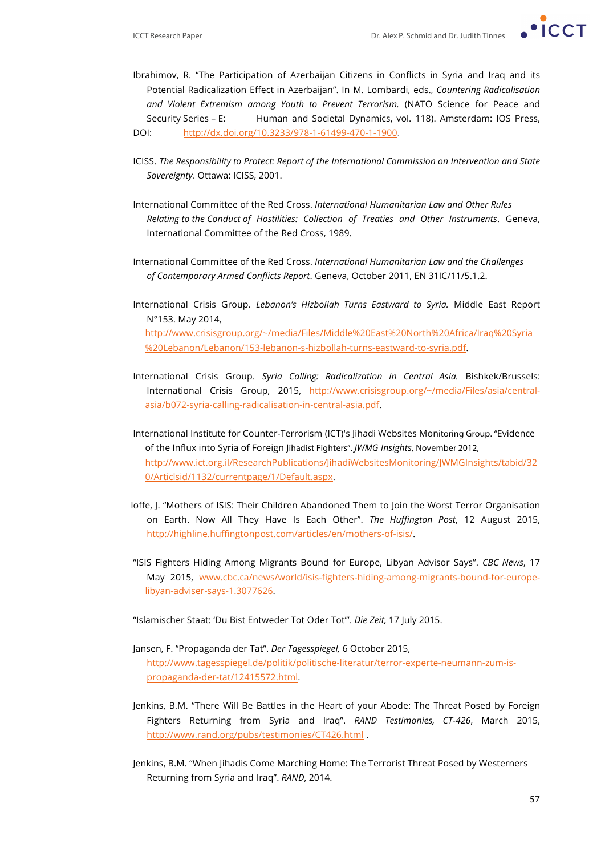- 
- Ibrahimov, R. "The Participation of Azerbaijan Citizens in Conflicts in Syria and Iraq and its Potential Radicalization Effect in Azerbaijan". In M. Lombardi, eds., *Countering Radicalisation and Violent Extremism among Youth to Prevent Terrorism.* (NATO Science for Peace and Security Series – E: Human and Societal Dynamics, vol. 118). Amsterdam: IOS Press, DOI: http://dx.doi.org/10.3233/978-1-61499-470-1-1900.
- ICISS. *The Responsibility to Protect: Report of the International Commission on Intervention and State Sovereignty*. Ottawa: ICISS, 2001.
- International Committee of the Red Cross. *International Humanitarian Law and Other Rules Relating to the Conduct of Hostilities: Collection of Treaties and Other Instruments*. Geneva, International Committee of the Red Cross, 1989.
- International Committee of the Red Cross. *International Humanitarian Law and the Challenges of Contemporary Armed Conflicts Report*. Geneva, October 2011, EN 31IC/11/5.1.2.
- International Crisis Group. *Lebanon's Hizbollah Turns Eastward to Syria.* Middle East Report N°153. May 2014, http://www.crisisgroup.org/~/media/Files/Middle%20East%20North%20Africa/Iraq%20Syria %20Lebanon/Lebanon/153-lebanon-s-hizbollah-turns-eastward-to-syria.pdf.
- International Crisis Group. *Syria Calling: Radicalization in Central Asia.* Bishkek/Brussels: International Crisis Group, 2015, http://www.crisisgroup.org/~/media/Files/asia/centralasia/b072-syria-calling-radicalisation-in-central-asia.pdf.
- International Institute for Counter-Terrorism (ICT)'s Jihadi Websites Monitoring Group. "Evidence of the Influx into Syria of Foreign Jihadist Fighters". *JWMG Insights*, November 2012, http://www.ict.org.il/ResearchPublications/JihadiWebsitesMonitoring/JWMGInsights/tabid/32 0/Articlsid/1132/currentpage/1/Default.aspx.
- Ioffe, J. "Mothers of ISIS: Their Children Abandoned Them to Join the Worst Terror Organisation on Earth. Now All They Have Is Each Other". *The Huffington Post*, 12 August 2015, http://highline.huffingtonpost.com/articles/en/mothers-of-isis/.
- "ISIS Fighters Hiding Among Migrants Bound for Europe, Libyan Advisor Says". *CBC News*, 17 May 2015, www.cbc.ca/news/world/isis-fighters-hiding-among-migrants-bound-for-europelibyan-adviser-says-1.3077626.

"Islamischer Staat: 'Du Bist Entweder Tot Oder Tot'". *Die Zeit,* 17 July 2015.

- Jansen, F. "Propaganda der Tat". *Der Tagesspiegel,* 6 October 2015, http://www.tagesspiegel.de/politik/politische-literatur/terror-experte-neumann-zum-ispropaganda-der-tat/12415572.html.
- Jenkins, B.M. "There Will Be Battles in the Heart of your Abode: The Threat Posed by Foreign Fighters Returning from Syria and Iraq". *RAND Testimonies, CT-426*, March 2015, http://www.rand.org/pubs/testimonies/CT426.html .
- Jenkins, B.M. "When Jihadis Come Marching Home: The Terrorist Threat Posed by Westerners Returning from Syria and Iraq". *RAND*, 2014.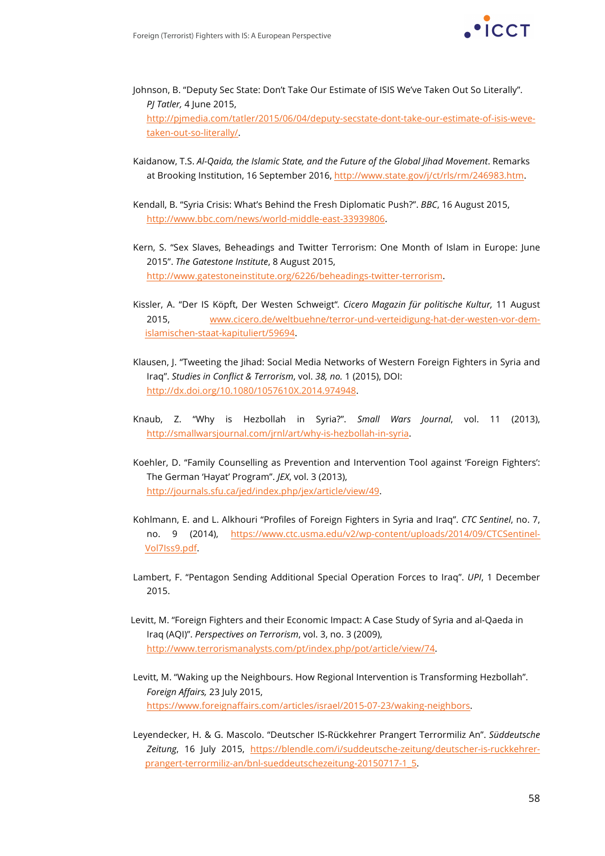

- Johnson, B. "Deputy Sec State: Don't Take Our Estimate of ISIS We've Taken Out So Literally". *PJ Tatler,* 4 June 2015, http://pjmedia.com/tatler/2015/06/04/deputy-secstate-dont-take-our-estimate-of-isis-wevetaken-out-so-literally/.
- Kaidanow, T.S. *Al-Qaida, the Islamic State, and the Future of the Global Jihad Movement*. Remarks at Brooking Institution, 16 September 2016, http://www.state.gov/j/ct/rls/rm/246983.htm.
- Kendall, B. "Syria Crisis: What's Behind the Fresh Diplomatic Push?". *BBC*, 16 August 2015, http://www.bbc.com/news/world-middle-east-33939806.
- Kern, S. "Sex Slaves, Beheadings and Twitter Terrorism: One Month of Islam in Europe: June 2015". *The Gatestone Institute*, 8 August 2015, http://www.gatestoneinstitute.org/6226/beheadings-twitter-terrorism.
- Kissler, A. "Der IS Köpft, Der Westen Schweigt"*. Cicero Magazin für politische Kultur,* 11 August 2015, www.cicero.de/weltbuehne/terror-und-verteidigung-hat-der-westen-vor-demislamischen-staat-kapituliert/59694.
- Klausen, J. "Tweeting the Jihad: Social Media Networks of Western Foreign Fighters in Syria and Iraq". *Studies in Conflict & Terrorism*, vol. *38, no.* 1 (2015), DOI: http://dx.doi.org/10.1080/1057610X.2014.974948.
- Knaub, Z. "Why is Hezbollah in Syria?". *Small Wars Journal*, vol. 11 (2013), http://smallwarsjournal.com/jrnl/art/why-is-hezbollah-in-syria.
- Koehler, D. "Family Counselling as Prevention and Intervention Tool against 'Foreign Fighters': The German 'Hayat' Program". *JEX*, vol. 3 (2013), http://journals.sfu.ca/jed/index.php/jex/article/view/49.
- Kohlmann, E. and L. Alkhouri "Profiles of Foreign Fighters in Syria and Iraq". *CTC Sentinel*, no. 7, no. 9 (2014), https://www.ctc.usma.edu/v2/wp-content/uploads/2014/09/CTCSentinel-Vol7Iss9.pdf.
- Lambert, F. "Pentagon Sending Additional Special Operation Forces to Iraq". *UPI*, 1 December 2015.
- Levitt, M. "Foreign Fighters and their Economic Impact: A Case Study of Syria and al-Qaeda in Iraq (AQI)". *Perspectives on Terrorism*, vol. 3, no. 3 (2009), http://www.terrorismanalysts.com/pt/index.php/pot/article/view/74.
- Levitt, M. "Waking up the Neighbours. How Regional Intervention is Transforming Hezbollah". *Foreign Affairs,* 23 July 2015, https://www.foreignaffairs.com/articles/israel/2015-07-23/waking-neighbors.
- Leyendecker, H. & G. Mascolo. "Deutscher IS-Rückkehrer Prangert Terrormiliz An". *Süddeutsche Zeitung*, 16 July 2015, https://blendle.com/i/suddeutsche-zeitung/deutscher-is-ruckkehrerprangert-terrormiliz-an/bnl-sueddeutschezeitung-20150717-1\_5.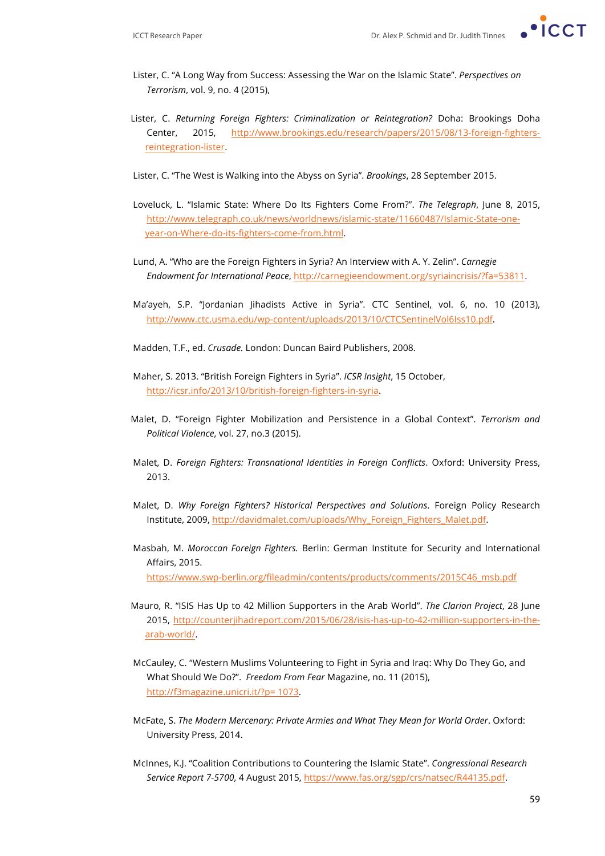

- Lister, C. "A Long Way from Success: Assessing the War on the Islamic State". *Perspectives on Terrorism*, vol. 9, no. 4 (2015),
- Lister, C. *Returning Foreign Fighters: Criminalization or Reintegration?* Doha: Brookings Doha Center, 2015, http://www.brookings.edu/research/papers/2015/08/13-foreign-fightersreintegration-lister.
- Lister, C. "The West is Walking into the Abyss on Syria". *Brookings*, 28 September 2015.
- Loveluck, L. "Islamic State: Where Do Its Fighters Come From?". *The Telegraph*, June 8, 2015, http://www.telegraph.co.uk/news/worldnews/islamic-state/11660487/Islamic-State-oneyear-on-Where-do-its-fighters-come-from.html.
- Lund, A. "Who are the Foreign Fighters in Syria? An Interview with A. Y. Zelin". *Carnegie Endowment for International Peace*, http://carnegieendowment.org/syriaincrisis/?fa=53811.
- Ma'ayeh, S.P. "Jordanian Jihadists Active in Syria". CTC Sentinel, vol. 6, no. 10 (2013), http://www.ctc.usma.edu/wp-content/uploads/2013/10/CTCSentinelVol6Iss10.pdf.
- Madden, T.F., ed. *Crusade.* London: Duncan Baird Publishers, 2008.
- Maher, S. 2013. "British Foreign Fighters in Syria". *ICSR Insight*, 15 October, http://icsr.info/2013/10/british-foreign-fighters-in-syria.
- Malet, D. "Foreign Fighter Mobilization and Persistence in a Global Context". *Terrorism and Political Violence*, vol. 27, no.3 (2015).
- Malet, D. *Foreign Fighters: Transnational Identities in Foreign Conflicts*. Oxford: University Press, 2013.
- Malet, D. *Why Foreign Fighters? Historical Perspectives and Solutions*. Foreign Policy Research Institute, 2009, http://davidmalet.com/uploads/Why\_Foreign\_Fighters\_Malet.pdf.
- Masbah, M. *Moroccan Foreign Fighters.* Berlin: German Institute for Security and International Affairs, 2015. https://www.swp-berlin.org/fileadmin/contents/products/comments/2015C46\_msb.pdf
- Mauro, R. "ISIS Has Up to 42 Million Supporters in the Arab World". *The Clarion Project*, 28 June
- 2015, http://counterjihadreport.com/2015/06/28/isis-has-up-to-42-million-supporters-in-thearab-world/.
- McCauley, C. "Western Muslims Volunteering to Fight in Syria and Iraq: Why Do They Go, and What Should We Do?". *Freedom From Fear* Magazine, no. 11 (2015), http://f3magazine.unicri.it/?p= 1073.
- McFate, S. *The Modern Mercenary: Private Armies and What They Mean for World Order*. Oxford: University Press, 2014.
- McInnes, K.J. "Coalition Contributions to Countering the Islamic State". *Congressional Research Service Report 7-5700*, 4 August 2015, https://www.fas.org/sgp/crs/natsec/R44135.pdf.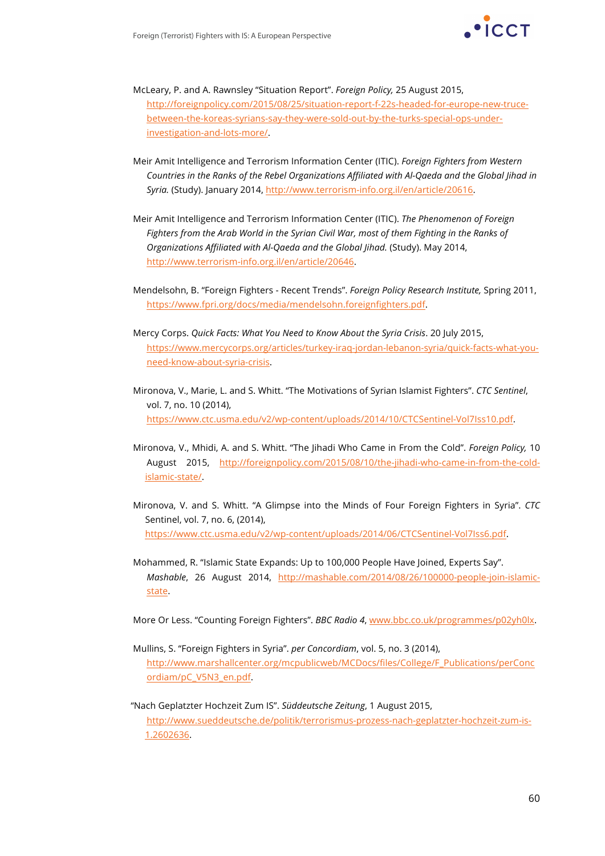

- McLeary, P. and A. Rawnsley "Situation Report". *Foreign Policy,* 25 August 2015, http://foreignpolicy.com/2015/08/25/situation-report-f-22s-headed-for-europe-new-trucebetween-the-koreas-syrians-say-they-were-sold-out-by-the-turks-special-ops-underinvestigation-and-lots-more/.
- Meir Amit Intelligence and Terrorism Information Center (ITIC). *Foreign Fighters from Western Countries in the Ranks of the Rebel Organizations Affiliated with Al-Qaeda and the Global Jihad in Syria.* (Study). January 2014, http://www.terrorism-info.org.il/en/article/20616.
- Meir Amit Intelligence and Terrorism Information Center (ITIC). *The Phenomenon of Foreign Fighters from the Arab World in the Syrian Civil War, most of them Fighting in the Ranks of Organizations Affiliated with Al-Qaeda and the Global Jihad.* (Study). May 2014, http://www.terrorism-info.org.il/en/article/20646.
- Mendelsohn, B. "Foreign Fighters Recent Trends". *Foreign Policy Research Institute,* Spring 2011, https://www.fpri.org/docs/media/mendelsohn.foreignfighters.pdf.
- Mercy Corps. *Quick Facts: What You Need to Know About the Syria Crisis*. 20 July 2015, https://www.mercycorps.org/articles/turkey-iraq-jordan-lebanon-syria/quick-facts-what-youneed-know-about-syria-crisis.
- Mironova, V., Marie, L. and S. Whitt. "The Motivations of Syrian Islamist Fighters". *CTC Sentinel*, vol. 7, no. 10 (2014), https://www.ctc.usma.edu/v2/wp-content/uploads/2014/10/CTCSentinel-Vol7Iss10.pdf.
- Mironova, V., Mhidi, A. and S. Whitt. "The Jihadi Who Came in From the Cold". *Foreign Policy,* 10 August 2015, http://foreignpolicy.com/2015/08/10/the-jihadi-who-came-in-from-the-coldislamic-state/.
- Mironova, V. and S. Whitt. "A Glimpse into the Minds of Four Foreign Fighters in Syria". *CTC*  Sentinel, vol. 7, no. 6, (2014), https://www.ctc.usma.edu/v2/wp-content/uploads/2014/06/CTCSentinel-Vol7Iss6.pdf.
- Mohammed, R. "Islamic State Expands: Up to 100,000 People Have Joined, Experts Say". *Mashable*, 26 August 2014, http://mashable.com/2014/08/26/100000-people-join-islamicstate.

More Or Less. "Counting Foreign Fighters". *BBC Radio 4*, www.bbc.co.uk/programmes/p02yh0lx.

- Mullins, S. "Foreign Fighters in Syria". *per Concordiam*, vol. 5, no. 3 (2014), http://www.marshallcenter.org/mcpublicweb/MCDocs/files/College/F\_Publications/perConc ordiam/pC\_V5N3\_en.pdf.
- "Nach Geplatzter Hochzeit Zum IS". *Süddeutsche Zeitung*, 1 August 2015, http://www.sueddeutsche.de/politik/terrorismus-prozess-nach-geplatzter-hochzeit-zum-is-1.2602636.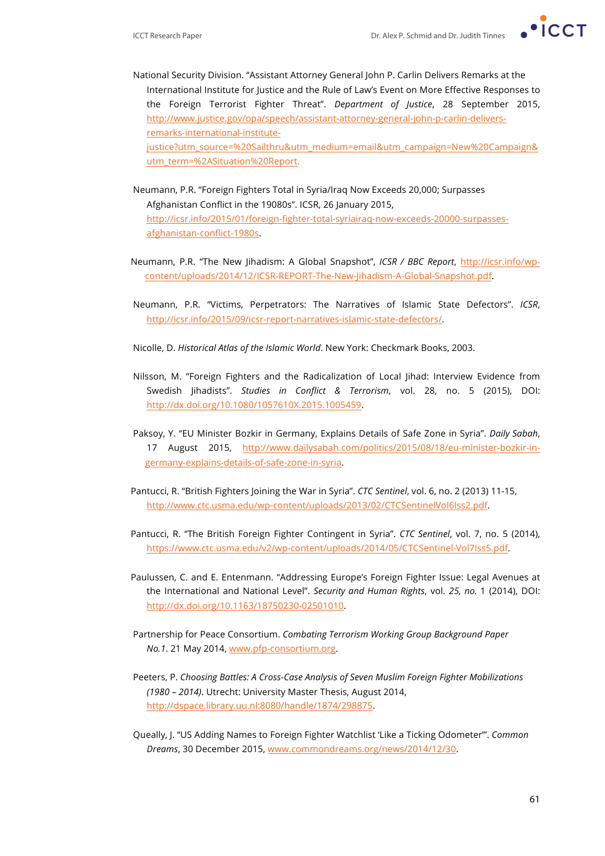- 
- National Security Division. "Assistant Attorney General John P. Carlin Delivers Remarks at the International Institute for Justice and the Rule of Law's Event on More Effective Responses to the Foreign Terrorist Fighter Threat". *Department of Justice*, 28 September 2015, http://www.justice.gov/opa/speech/assistant-attorney-general-john-p-carlin-deliversremarks-international-institutejustice?utm\_source=%20Sailthru&utm\_medium=email&utm\_campaign=New%20Campaign& utm\_term=%2ASituation%20Report.
- Neumann, P.R. "Foreign Fighters Total in Syria/Iraq Now Exceeds 20,000; Surpasses Afghanistan Conflict in the 19080s". ICSR, 26 January 2015, http://icsr.info/2015/01/foreign-fighter-total-syriairaq-now-exceeds-20000-surpassesafghanistan-conflict-1980s.
- Neumann, P.R. "The New Jihadism: A Global Snapshot", *ICSR / BBC Report*, http://icsr.info/wpcontent/uploads/2014/12/ICSR-REPORT-The-New-Jihadism-A-Global-Snapshot.pdf.
- Neumann, P.R. "Victims, Perpetrators: The Narratives of Islamic State Defectors". *ICSR*, http://icsr.info/2015/09/icsr-report-narratives-islamic-state-defectors/.
- Nicolle, D. *Historical Atlas of the Islamic World*. New York: Checkmark Books, 2003.
- Nilsson, M. "Foreign Fighters and the Radicalization of Local Jihad: Interview Evidence from Swedish Jihadists". *Studies in Conflict & Terrorism*, vol. 28, no. 5 (2015), DOI: http://dx.doi.org/10.1080/1057610X.2015.1005459.
- Paksoy, Y. "EU Minister Bozkir in Germany, Explains Details of Safe Zone in Syria". *Daily Sabah*, 17 August 2015, http://www.dailysabah.com/politics/2015/08/18/eu-minister-bozkir-ingermany-explains-details-of-safe-zone-in-syria.
- Pantucci, R. "British Fighters Joining the War in Syria". *CTC Sentinel*, vol. 6, no. 2 (2013) 11-15, http://www.ctc.usma.edu/wp-content/uploads/2013/02/CTCSentinelVol6Iss2.pdf.
- Pantucci, R. "The British Foreign Fighter Contingent in Syria". *CTC Sentinel*, vol. 7, no. 5 (2014), https://www.ctc.usma.edu/v2/wp-content/uploads/2014/05/CTCSentinel-Vol7Iss5.pdf.
- Paulussen, C. and E. Entenmann. "Addressing Europe's Foreign Fighter Issue: Legal Avenues at the International and National Level". *Security and Human Rights*, vol. *25, no.* 1 (2014), DOI: http://dx.doi.org/10.1163/18750230-02501010.
- Partnership for Peace Consortium. *Combating Terrorism Working Group Background Paper No.1*. 21 May 2014, www.pfp-consortium.org.
- Peeters, P. *Choosing Battles: A Cross-Case Analysis of Seven Muslim Foreign Fighter Mobilizations (1980 – 2014)*. Utrecht: University Master Thesis, August 2014, http://dspace.library.uu.nl:8080/handle/1874/298875.
- Queally, J. "US Adding Names to Foreign Fighter Watchlist 'Like a Ticking Odometer'". *Common Dreams*, 30 December 2015, www.commondreams.org/news/2014/12/30.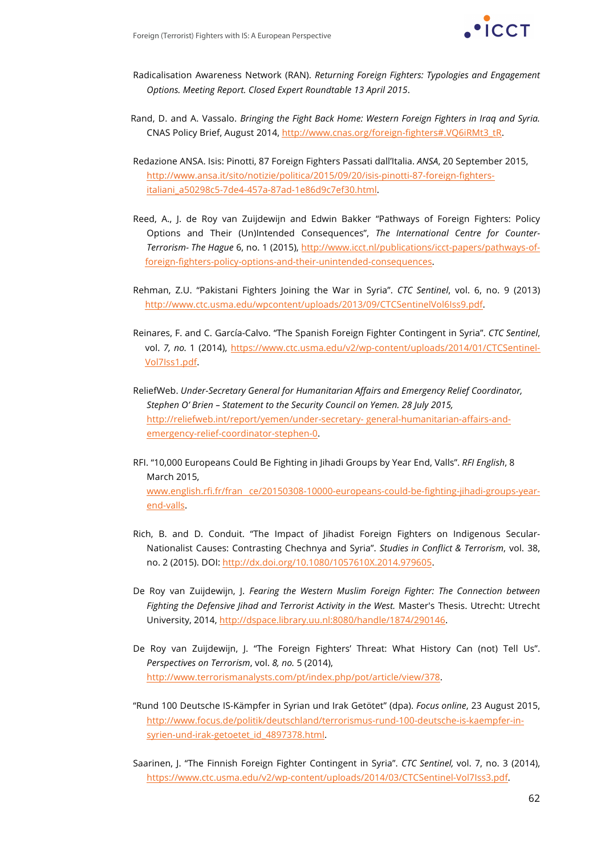

- Radicalisation Awareness Network (RAN). *Returning Foreign Fighters: Typologies and Engagement Options. Meeting Report. Closed Expert Roundtable 13 April 2015*.
- Rand, D. and A. Vassalo. *Bringing the Fight Back Home: Western Foreign Fighters in Iraq and Syria.* CNAS Policy Brief, August 2014, http://www.cnas.org/foreign-fighters#.VQ6iRMt3\_tR.
- Redazione ANSA. Isis: Pinotti, 87 Foreign Fighters Passati dall'Italia. *ANSA*, 20 September 2015, http://www.ansa.it/sito/notizie/politica/2015/09/20/isis-pinotti-87-foreign-fightersitaliani\_a50298c5-7de4-457a-87ad-1e86d9c7ef30.html.
- Reed, A., J. de Roy van Zuijdewijn and Edwin Bakker "Pathways of Foreign Fighters: Policy Options and Their (Un)Intended Consequences", *The International Centre for Counter-Terrorism- The Hague* 6, no. 1 (2015), http://www.icct.nl/publications/icct-papers/pathways-offoreign-fighters-policy-options-and-their-unintended-consequences.
- Rehman, Z.U. "Pakistani Fighters Joining the War in Syria". *CTC Sentinel*, vol. 6, no. 9 (2013) http://www.ctc.usma.edu/wpcontent/uploads/2013/09/CTCSentinelVol6Iss9.pdf.
- Reinares, F. and C. García-Calvo. "The Spanish Foreign Fighter Contingent in Syria". *CTC Sentinel*, vol. *7, no.* 1 (2014), https://www.ctc.usma.edu/v2/wp-content/uploads/2014/01/CTCSentinel-Vol7Iss1.pdf.
- ReliefWeb. *Under-Secretary General for Humanitarian Affairs and Emergency Relief Coordinator, Stephen O' Brien – Statement to the Security Council on Yemen. 28 July 2015,* http://reliefweb.int/report/yemen/under-secretary- general-humanitarian-affairs-andemergency-relief-coordinator-stephen-0.
- RFI. "10,000 Europeans Could Be Fighting in Jihadi Groups by Year End, Valls". *RFI English*, 8 March 2015, www.english.rfi.fr/fran ce/20150308-10000-europeans-could-be-fighting-jihadi-groups-yearend-valls.
- Rich, B. and D. Conduit. "The Impact of Jihadist Foreign Fighters on Indigenous Secular-Nationalist Causes: Contrasting Chechnya and Syria". *Studies in Conflict & Terrorism*, vol. 38, no. 2 (2015). DOI: http://dx.doi.org/10.1080/1057610X.2014.979605.
- De Roy van Zuijdewijn, J. *Fearing the Western Muslim Foreign Fighter: The Connection between Fighting the Defensive Jihad and Terrorist Activity in the West.* Master's Thesis. Utrecht: Utrecht University, 2014, http://dspace.library.uu.nl:8080/handle/1874/290146.
- De Roy van Zuijdewijn, J. "The Foreign Fighters' Threat: What History Can (not) Tell Us". *Perspectives on Terrorism*, vol. *8, no.* 5 (2014), http://www.terrorismanalysts.com/pt/index.php/pot/article/view/378.
- "Rund 100 Deutsche IS-Kämpfer in Syrian und Irak Getötet" (dpa). *Focus online*, 23 August 2015, http://www.focus.de/politik/deutschland/terrorismus-rund-100-deutsche-is-kaempfer-insyrien-und-irak-getoetet\_id\_4897378.html.
- Saarinen, J. "The Finnish Foreign Fighter Contingent in Syria". *CTC Sentinel,* vol. 7, no. 3 (2014), https://www.ctc.usma.edu/v2/wp-content/uploads/2014/03/CTCSentinel-Vol7Iss3.pdf.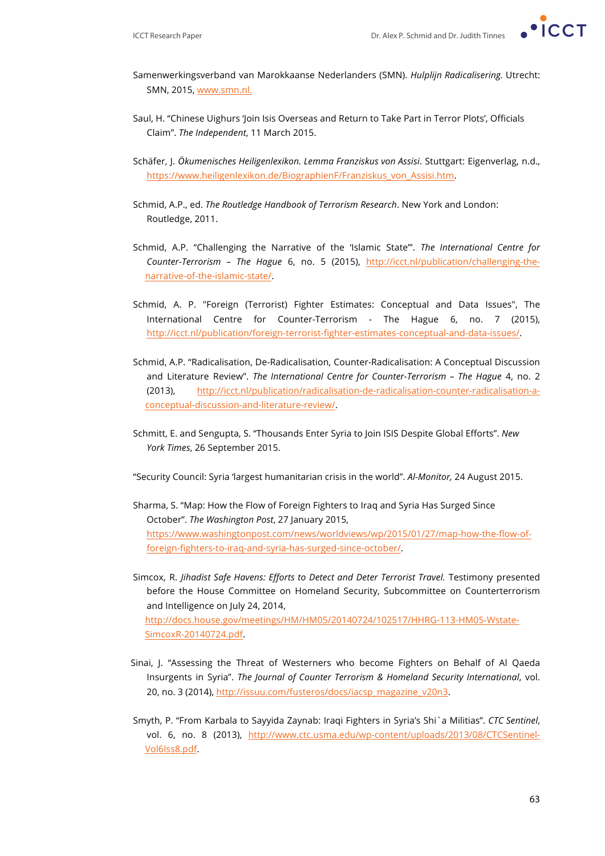

- Samenwerkingsverband van Marokkaanse Nederlanders (SMN). *Hulplijn Radicalisering.* Utrecht: SMN, 2015, www.smn.nl.
- Saul, H. "Chinese Uighurs 'Join Isis Overseas and Return to Take Part in Terror Plots', Officials Claim". *The Independent*, 11 March 2015.
- Schäfer, J. *Ökumenisches Heiligenlexikon. Lemma Franziskus von Assisi*. Stuttgart: Eigenverlag, n.d., https://www.heiligenlexikon.de/BiographienF/Franziskus\_von\_Assisi.htm.
- Schmid, A.P., ed. *The Routledge Handbook of Terrorism Research*. New York and London: Routledge, 2011.
- Schmid, A.P. "Challenging the Narrative of the 'Islamic State'". *The International Centre for Counter-Terrorism – The Hague* 6, no. 5 (2015), http://icct.nl/publication/challenging-thenarrative-of-the-islamic-state/.
- Schmid, A. P. "Foreign (Terrorist) Fighter Estimates: Conceptual and Data Issues", The International Centre for Counter-Terrorism - The Hague 6, no. 7 (2015), http://icct.nl/publication/foreign-terrorist-fighter-estimates-conceptual-and-data-issues/.
- Schmid, A.P. "Radicalisation, De-Radicalisation, Counter-Radicalisation: A Conceptual Discussion and Literature Review". *The International Centre for Counter-Terrorism – The Hague* 4, no. 2 (2013), http://icct.nl/publication/radicalisation-de-radicalisation-counter-radicalisation-aconceptual-discussion-and-literature-review/.
- Schmitt, E. and Sengupta, S. "Thousands Enter Syria to Join ISIS Despite Global Efforts". *New York Times*, 26 September 2015.

"Security Council: Syria 'largest humanitarian crisis in the world". *Al-Monitor,* 24 August 2015.

- Sharma, S. "Map: How the Flow of Foreign Fighters to Iraq and Syria Has Surged Since October". *The Washington Post*, 27 January 2015, https://www.washingtonpost.com/news/worldviews/wp/2015/01/27/map-how-the-flow-offoreign-fighters-to-iraq-and-syria-has-surged-since-october/.
- Simcox, R. *Jihadist Safe Havens: Efforts to Detect and Deter Terrorist Travel.* Testimony presented before the House Committee on Homeland Security, Subcommittee on Counterterrorism and Intelligence on July 24, 2014, http://docs.house.gov/meetings/HM/HM05/20140724/102517/HHRG-113-HM05-Wstate-SimcoxR-20140724.pdf.
- Sinai, J. "Assessing the Threat of Westerners who become Fighters on Behalf of Al Qaeda Insurgents in Syria". *The Journal of Counter Terrorism & Homeland Security International*, vol. 20, no. 3 (2014), http://issuu.com/fusteros/docs/iacsp\_magazine\_v20n3.
- Smyth, P. "From Karbala to Sayyida Zaynab: Iraqi Fighters in Syria's Shi`a Militias". *CTC Sentinel*, vol. 6, no. 8 (2013), http://www.ctc.usma.edu/wp-content/uploads/2013/08/CTCSentinel-Vol6Iss8.pdf.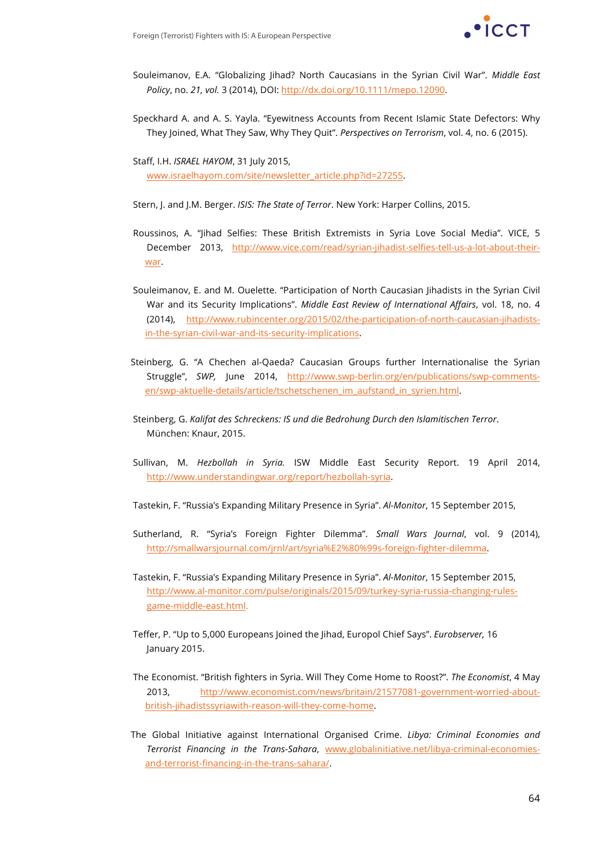

- Souleimanov, E.A. "Globalizing Jihad? North Caucasians in the Syrian Civil War". *Middle East Policy*, no. *21, vol.* 3 (2014), DOI: http://dx.doi.org/10.1111/mepo.12090.
- Speckhard A. and A. S. Yayla. "Eyewitness Accounts from Recent Islamic State Defectors: Why They Joined, What They Saw, Why They Quit". *Perspectives on Terrorism*, vol. 4, no. 6 (2015).

Staff, I.H. *ISRAEL HAYOM*, 31 July 2015, www.israelhayom.com/site/newsletter\_article.php?id=27255.

Stern, J. and J.M. Berger. *ISIS: The State of Terror*. New York: Harper Collins, 2015.

- Roussinos, A. "Jihad Selfies: These British Extremists in Syria Love Social Media". VICE, 5 December 2013, http://www.vice.com/read/syrian-jihadist-selfies-tell-us-a-lot-about-theirwar.
- Souleimanov, E. and M. Ouelette. "Participation of North Caucasian Jihadists in the Syrian Civil War and its Security Implications". *Middle East Review of International Affairs*, vol. 18, no. 4 (2014), http://www.rubincenter.org/2015/02/the-participation-of-north-caucasian-jihadistsin-the-syrian-civil-war-and-its-security-implications.
- Steinberg, G. "A Chechen al-Qaeda? Caucasian Groups further Internationalise the Syrian Struggle", *SWP,* June 2014, http://www.swp-berlin.org/en/publications/swp-commentsen/swp-aktuelle-details/article/tschetschenen\_im\_aufstand\_in\_syrien.html.
- Steinberg, G. *Kalifat des Schreckens: IS und die Bedrohung Durch den Islamitischen Terror*. München: Knaur, 2015.
- Sullivan, M. *Hezbollah in Syria.* ISW Middle East Security Report. 19 April 2014, http://www.understandingwar.org/report/hezbollah-syria.
- Tastekin, F. "Russia's Expanding Military Presence in Syria". *Al-Monitor*, 15 September 2015,
- Sutherland, R. "Syria's Foreign Fighter Dilemma". *Small Wars Journal*, vol. 9 (2014), http://smallwarsjournal.com/jrnl/art/syria%E2%80%99s-foreign-fighter-dilemma.
- Tastekin, F. "Russia's Expanding Military Presence in Syria". *Al-Monitor*, 15 September 2015, http://www.al-monitor.com/pulse/originals/2015/09/turkey-syria-russia-changing-rulesgame-middle-east.html.
- Teffer, P. "Up to 5,000 Europeans Joined the Jihad, Europol Chief Says". *Eurobserver,* 16 January 2015.
- The Economist. "British fighters in Syria. Will They Come Home to Roost?". *The Economist*, 4 May 2013, http://www.economist.com/news/britain/21577081-government-worried-aboutbritish-jihadistssyriawith-reason-will-they-come-home.
- The Global Initiative against International Organised Crime. *Libya: Criminal Economies and Terrorist Financing in the Trans-Sahara*, www.globalinitiative.net/libya-criminal-economiesand-terrorist-financing-in-the-trans-sahara/.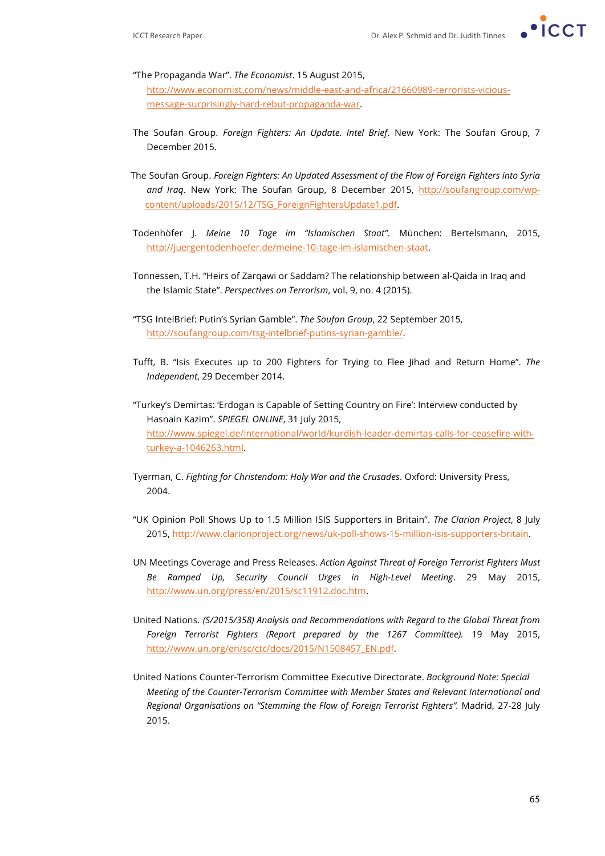

"The Propaganda War". *The Economist*. 15 August 2015, http://www.economist.com/news/middle-east-and-africa/21660989-terrorists-vicious-

message-surprisingly-hard-rebut-propaganda-war.

- The Soufan Group. *Foreign Fighters: An Update. Intel Brief*. New York: The Soufan Group, 7 December 2015.
- The Soufan Group. *Foreign Fighters: An Updated Assessment of the Flow of Foreign Fighters into Syria and Iraq*. New York: The Soufan Group, 8 December 2015, http://soufangroup.com/wpcontent/uploads/2015/12/TSG\_ForeignFightersUpdate1.pdf.
- Todenhöfer J. *Meine 10 Tage im "Islamischen Staat"*. München: Bertelsmann, 2015, http://juergentodenhoefer.de/meine-10-tage-im-islamischen-staat.
- Tonnessen, T.H. "Heirs of Zarqawi or Saddam? The relationship between al-Qaida in Iraq and the Islamic State". *Perspectives on Terrorism*, vol. 9, no. 4 (2015).
- "TSG IntelBrief: Putin's Syrian Gamble". *The Soufan Group*, 22 September 2015, http://soufangroup.com/tsg-intelbrief-putins-syrian-gamble/.
- Tufft, B. "Isis Executes up to 200 Fighters for Trying to Flee Jihad and Return Home". *The Independent*, 29 December 2014.
- "Turkey's Demirtas: 'Erdogan is Capable of Setting Country on Fire': Interview conducted by Hasnain Kazim". *SPIEGEL ONLINE*, 31 July 2015, http://www.spiegel.de/international/world/kurdish-leader-demirtas-calls-for-ceasefire-withturkey-a-1046263.html.
- Tyerman, C. *Fighting for Christendom: Holy War and the Crusades*. Oxford: University Press, 2004.
- "UK Opinion Poll Shows Up to 1.5 Million ISIS Supporters in Britain". *The Clarion Project*, 8 July 2015, http://www.clarionproject.org/news/uk-poll-shows-15-million-isis-supporters-britain.
- UN Meetings Coverage and Press Releases. *Action Against Threat of Foreign Terrorist Fighters Must Be Ramped Up, Security Council Urges in High-Level Meeting*. 29 May 2015, http://www.un.org/press/en/2015/sc11912.doc.htm.
- United Nations. *(S/2015/358) Analysis and Recommendations with Regard to the Global Threat from Foreign Terrorist Fighters (Report prepared by the 1267 Committee).* 19 May 2015, http://www.un.org/en/sc/ctc/docs/2015/N1508457\_EN.pdf.
- United Nations Counter-Terrorism Committee Executive Directorate. *Background Note: Special Meeting of the Counter-Terrorism Committee with Member States and Relevant International and Regional Organisations on "Stemming the Flow of Foreign Terrorist Fighters".* Madrid, 27-28 July 2015.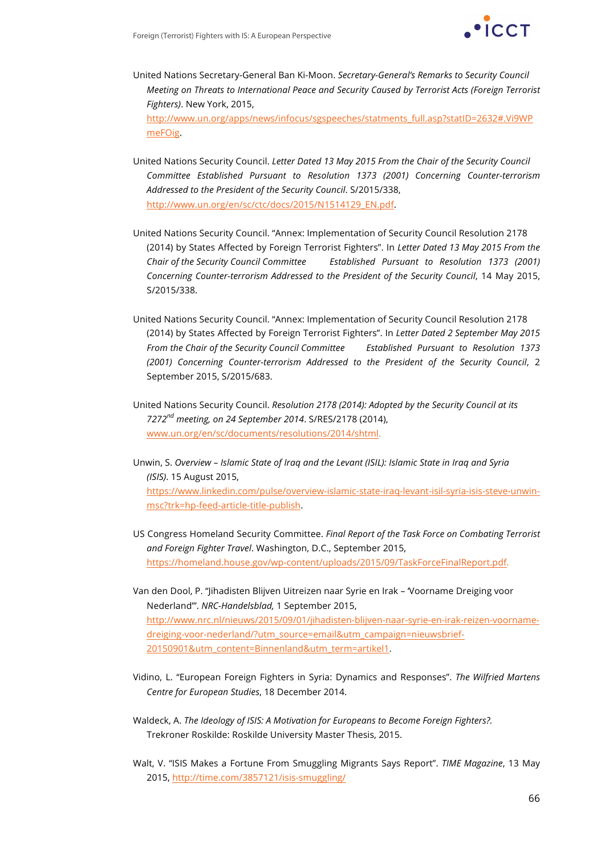

- United Nations Secretary-General Ban Ki-Moon. *Secretary-General's Remarks to Security Council Meeting on Threats to International Peace and Security Caused by Terrorist Acts (Foreign Terrorist Fighters)*. New York, 2015, http://www.un.org/apps/news/infocus/sgspeeches/statments\_full.asp?statID=2632#.Vi9WP meFOig.
- United Nations Security Council. *Letter Dated 13 May 2015 From the Chair of the Security Council Committee Established Pursuant to Resolution 1373 (2001) Concerning Counter-terrorism Addressed to the President of the Security Council*. S/2015/338, http://www.un.org/en/sc/ctc/docs/2015/N1514129\_EN.pdf.
- United Nations Security Council. "Annex: Implementation of Security Council Resolution 2178 (2014) by States Affected by Foreign Terrorist Fighters". In *Letter Dated 13 May 2015 From the Chair of the Security Council Committee Established Pursuant to Resolution 1373 (2001) Concerning Counter-terrorism Addressed to the President of the Security Council*, 14 May 2015, S/2015/338.
- United Nations Security Council. "Annex: Implementation of Security Council Resolution 2178 (2014) by States Affected by Foreign Terrorist Fighters". In *Letter Dated 2 September May 2015 From the Chair of the Security Council Committee Established Pursuant to Resolution 1373 (2001) Concerning Counter-terrorism Addressed to the President of the Security Council*, 2 September 2015, S/2015/683.
- United Nations Security Council. *Resolution 2178 (2014): Adopted by the Security Council at its 7272nd meeting, on 24 September 2014*. S/RES/2178 (2014), www.un.org/en/sc/documents/resolutions/2014/shtml.
- Unwin, S. *Overview – Islamic State of Iraq and the Levant (ISIL): Islamic State in Iraq and Syria (ISIS)*. 15 August 2015, https://www.linkedin.com/pulse/overview-islamic-state-iraq-levant-isil-syria-isis-steve-unwinmsc?trk=hp-feed-article-title-publish.
- US Congress Homeland Security Committee. *Final Report of the Task Force on Combating Terrorist and Foreign Fighter Travel*. Washington, D.C., September 2015, https://homeland.house.gov/wp-content/uploads/2015/09/TaskForceFinalReport.pdf.
- Van den Dool, P. "Jihadisten Blijven Uitreizen naar Syrie en Irak 'Voorname Dreiging voor Nederland'". *NRC-Handelsblad,* 1 September 2015, http://www.nrc.nl/nieuws/2015/09/01/jihadisten-blijven-naar-syrie-en-irak-reizen-voornamedreiging-voor-nederland/?utm\_source=email&utm\_campaign=nieuwsbrief-20150901&utm\_content=Binnenland&utm\_term=artikel1.
- Vidino, L. "European Foreign Fighters in Syria: Dynamics and Responses". *The Wilfried Martens Centre for European Studies*, 18 December 2014.
- Waldeck, A. *The Ideology of ISIS: A Motivation for Europeans to Become Foreign Fighters?.* Trekroner Roskilde: Roskilde University Master Thesis, 2015.
- Walt, V. "ISIS Makes a Fortune From Smuggling Migrants Says Report". *TIME Magazine*, 13 May 2015, http://time.com/3857121/isis-smuggling/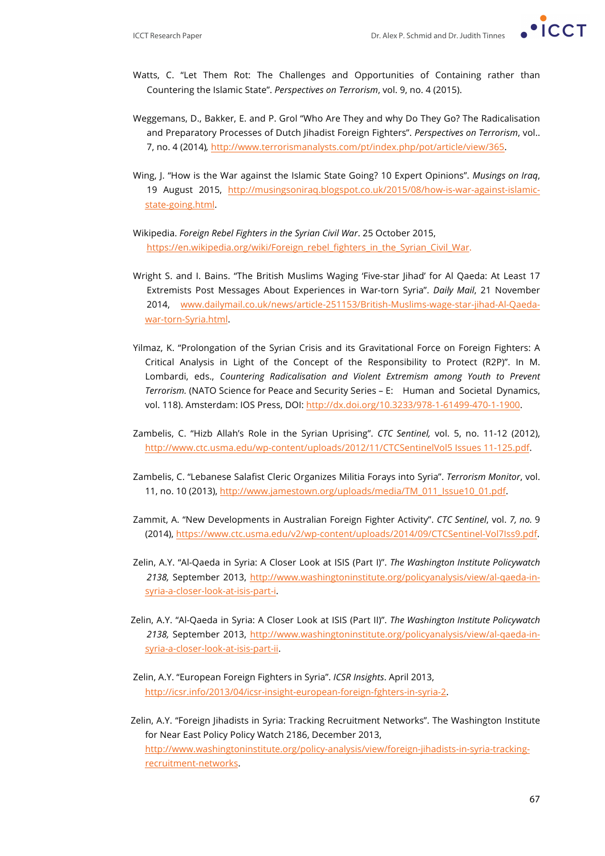

- Watts, C. "Let Them Rot: The Challenges and Opportunities of Containing rather than Countering the Islamic State". *Perspectives on Terrorism*, vol. 9, no. 4 (2015).
- Weggemans, D., Bakker, E. and P. Grol "Who Are They and why Do They Go? The Radicalisation and Preparatory Processes of Dutch Jihadist Foreign Fighters". *Perspectives on Terrorism*, vol.. 7, no. 4 (2014)*,* http://www.terrorismanalysts.com/pt/index.php/pot/article/view/365.
- Wing, J. "How is the War against the Islamic State Going? 10 Expert Opinions". *Musings on Iraq*, 19 August 2015, http://musingsoniraq.blogspot.co.uk/2015/08/how-is-war-against-islamicstate-going.html.
- Wikipedia. *Foreign Rebel Fighters in the Syrian Civil War*. 25 October 2015, https://en.wikipedia.org/wiki/Foreign\_rebel\_fighters\_in\_the\_Syrian\_Civil\_War.
- Wright S. and I. Bains. "The British Muslims Waging 'Five-star Jihad' for Al Qaeda: At Least 17 Extremists Post Messages About Experiences in War-torn Syria". *Daily Mail*, 21 November 2014, www.dailymail.co.uk/news/article-251153/British-Muslims-wage-star-jihad-Al-Qaedawar-torn-Syria.html.
- Yilmaz, K. "Prolongation of the Syrian Crisis and its Gravitational Force on Foreign Fighters: A Critical Analysis in Light of the Concept of the Responsibility to Protect (R2P)". In M. Lombardi, eds., *Countering Radicalisation and Violent Extremism among Youth to Prevent Terrorism.* (NATO Science for Peace and Security Series – E: Human and Societal Dynamics, vol. 118). Amsterdam: IOS Press, DOI: http://dx.doi.org/10.3233/978-1-61499-470-1-1900.
- Zambelis, C. "Hizb Allah's Role in the Syrian Uprising". *CTC Sentinel,* vol. 5, no. 11-12 (2012), http://www.ctc.usma.edu/wp-content/uploads/2012/11/CTCSentinelVol5 Issues 11-125.pdf.
- Zambelis, C. "Lebanese Salafist Cleric Organizes Militia Forays into Syria". *Terrorism Monitor*, vol. 11, no. 10 (2013), http://www.jamestown.org/uploads/media/TM\_011\_Issue10\_01.pdf.
- Zammit, A. "New Developments in Australian Foreign Fighter Activity". *CTC Sentinel*, vol. *7, no.* 9 (2014), https://www.ctc.usma.edu/v2/wp-content/uploads/2014/09/CTCSentinel-Vol7Iss9.pdf.
- Zelin, A.Y. "Al-Qaeda in Syria: A Closer Look at ISIS (Part I)". *The Washington Institute Policywatch 2138,* September 2013, http://www.washingtoninstitute.org/policyanalysis/view/al-qaeda-insyria-a-closer-look-at-isis-part-i.
- Zelin, A.Y. "Al-Qaeda in Syria: A Closer Look at ISIS (Part II)". *The Washington Institute Policywatch 2138,* September 2013, http://www.washingtoninstitute.org/policyanalysis/view/al-qaeda-insyria-a-closer-look-at-isis-part-ii.
- Zelin, A.Y. "European Foreign Fighters in Syria". *ICSR Insights*. April 2013, http://icsr.info/2013/04/icsr-insight-european-foreign-fghters-in-syria-2.
- Zelin, A.Y. "Foreign Jihadists in Syria: Tracking Recruitment Networks". The Washington Institute for Near East Policy Policy Watch 2186, December 2013, http://www.washingtoninstitute.org/policy-analysis/view/foreign-jihadists-in-syria-trackingrecruitment-networks.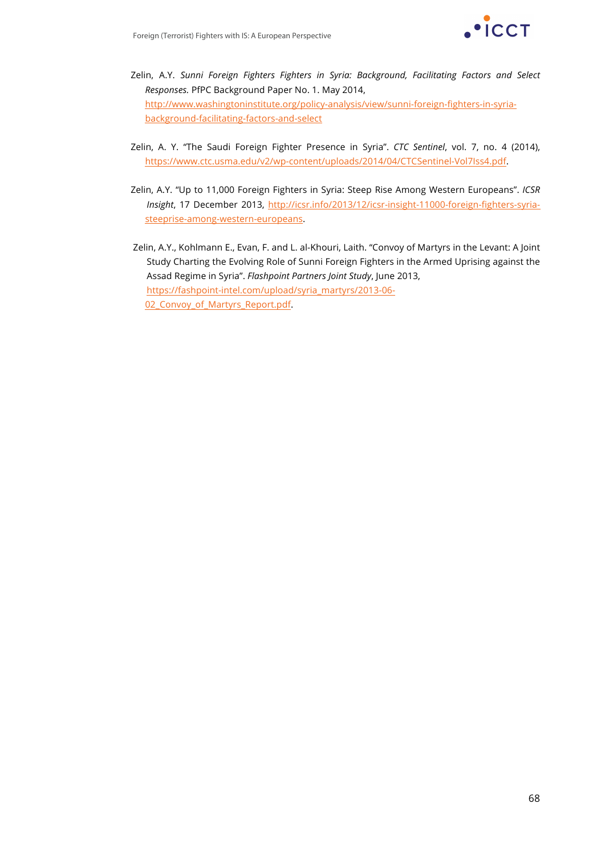

- Zelin, A.Y. *Sunni Foreign Fighters Fighters in Syria: Background, Facilitating Factors and Select Responses.* PfPC Background Paper No. 1. May 2014, http://www.washingtoninstitute.org/policy-analysis/view/sunni-foreign-fighters-in-syriabackground-facilitating-factors-and-select
- Zelin, A. Y. "The Saudi Foreign Fighter Presence in Syria". *CTC Sentinel*, vol. 7, no. 4 (2014), https://www.ctc.usma.edu/v2/wp-content/uploads/2014/04/CTCSentinel-Vol7Iss4.pdf.
- Zelin, A.Y. "Up to 11,000 Foreign Fighters in Syria: Steep Rise Among Western Europeans". *ICSR Insight*, 17 December 2013, http://icsr.info/2013/12/icsr-insight-11000-foreign-fighters-syriasteeprise-among-western-europeans.
- Zelin, A.Y., Kohlmann E., Evan, F. and L. al-Khouri, Laith. "Convoy of Martyrs in the Levant: A Joint Study Charting the Evolving Role of Sunni Foreign Fighters in the Armed Uprising against the Assad Regime in Syria". *Flashpoint Partners Joint Study*, June 2013, https://fashpoint-intel.com/upload/syria\_martyrs/2013-06- 02\_Convoy\_of\_Martyrs\_Report.pdf.